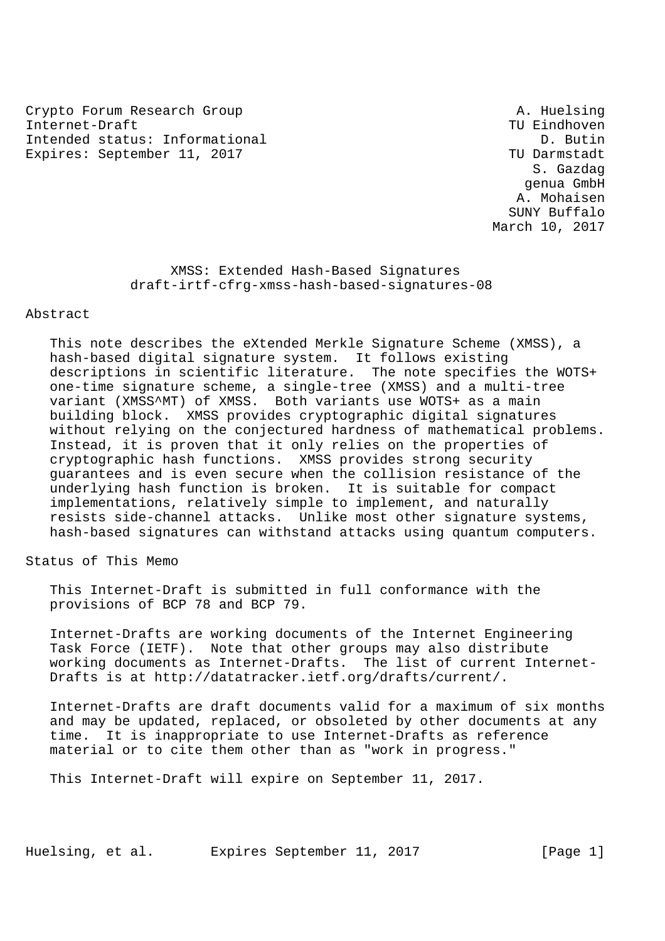Crypto Forum Research Group A. Huelsing Internet-Draft TU Eindhoven Intended status: Informational D. Butin Expires: September 11, 2017 TWD Darmstadt

 S. Gazdag genua GmbH A. Mohaisen SUNY Buffalo March 10, 2017

 XMSS: Extended Hash-Based Signatures draft-irtf-cfrg-xmss-hash-based-signatures-08

### Abstract

 This note describes the eXtended Merkle Signature Scheme (XMSS), a hash-based digital signature system. It follows existing descriptions in scientific literature. The note specifies the WOTS+ one-time signature scheme, a single-tree (XMSS) and a multi-tree variant (XMSS^MT) of XMSS. Both variants use WOTS+ as a main building block. XMSS provides cryptographic digital signatures without relying on the conjectured hardness of mathematical problems. Instead, it is proven that it only relies on the properties of cryptographic hash functions. XMSS provides strong security guarantees and is even secure when the collision resistance of the underlying hash function is broken. It is suitable for compact implementations, relatively simple to implement, and naturally resists side-channel attacks. Unlike most other signature systems, hash-based signatures can withstand attacks using quantum computers.

Status of This Memo

 This Internet-Draft is submitted in full conformance with the provisions of BCP 78 and BCP 79.

 Internet-Drafts are working documents of the Internet Engineering Task Force (IETF). Note that other groups may also distribute working documents as Internet-Drafts. The list of current Internet- Drafts is at http://datatracker.ietf.org/drafts/current/.

 Internet-Drafts are draft documents valid for a maximum of six months and may be updated, replaced, or obsoleted by other documents at any time. It is inappropriate to use Internet-Drafts as reference material or to cite them other than as "work in progress."

This Internet-Draft will expire on September 11, 2017.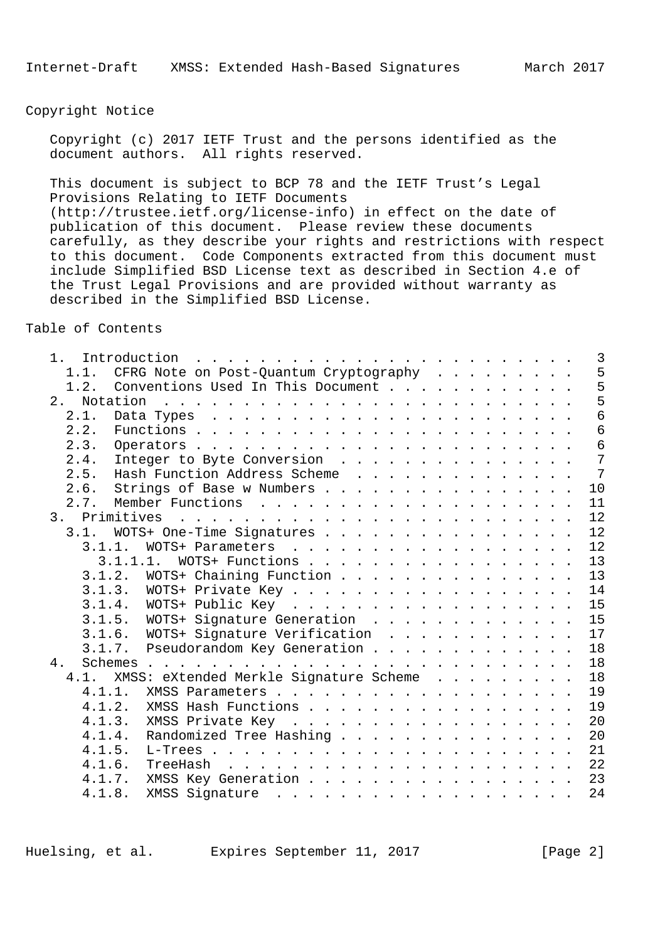Copyright Notice

 Copyright (c) 2017 IETF Trust and the persons identified as the document authors. All rights reserved.

 This document is subject to BCP 78 and the IETF Trust's Legal Provisions Relating to IETF Documents (http://trustee.ietf.org/license-info) in effect on the date of publication of this document. Please review these documents carefully, as they describe your rights and restrictions with respect to this document. Code Components extracted from this document must include Simplified BSD License text as described in Section 4.e of the Trust Legal Provisions and are provided without warranty as described in the Simplified BSD License.

Table of Contents

| $1$ .          |                                                                                                                                                                                                                                |  |  | $\overline{3}$  |
|----------------|--------------------------------------------------------------------------------------------------------------------------------------------------------------------------------------------------------------------------------|--|--|-----------------|
| 1.1.           | CFRG Note on Post-Quantum Cryptography                                                                                                                                                                                         |  |  | 5               |
| 1.2.           | Conventions Used In This Document                                                                                                                                                                                              |  |  | 5               |
| Notation<br>2. | and the contract of the contract of the contract of the contract of the contract of the contract of the contract of the contract of the contract of the contract of the contract of the contract of the contract of the contra |  |  | 5               |
| 2.1.           |                                                                                                                                                                                                                                |  |  | 6               |
| 2.2.           |                                                                                                                                                                                                                                |  |  | $\overline{6}$  |
| 2.3.           |                                                                                                                                                                                                                                |  |  | $\epsilon$      |
| 2.4.           | Integer to Byte Conversion                                                                                                                                                                                                     |  |  | $7\phantom{.0}$ |
| 2.5.           | Hash Function Address Scheme                                                                                                                                                                                                   |  |  | 7               |
| 2.6.           | Strings of Base w Numbers                                                                                                                                                                                                      |  |  | 10              |
| 2.7.           |                                                                                                                                                                                                                                |  |  | 11              |
| 3. Primitives  |                                                                                                                                                                                                                                |  |  | 12              |
|                | 3.1. WOTS+ One-Time Signatures                                                                                                                                                                                                 |  |  | 12              |
| 3.1.1.         | WOTS+ Parameters                                                                                                                                                                                                               |  |  | 12              |
|                | 3.1.1.1. WOTS+ Functions                                                                                                                                                                                                       |  |  | 13              |
|                | 3.1.2. WOTS+ Chaining Function                                                                                                                                                                                                 |  |  | 13              |
|                | 3.1.3. WOTS+ Private Key                                                                                                                                                                                                       |  |  | 14              |
|                |                                                                                                                                                                                                                                |  |  | 15              |
| 3.1.5.         | WOTS+ Signature Generation                                                                                                                                                                                                     |  |  | 15              |
|                | 3.1.6. WOTS+ Signature Verification                                                                                                                                                                                            |  |  | 17              |
|                | 3.1.7. Pseudorandom Key Generation                                                                                                                                                                                             |  |  | 18              |
| 4.             |                                                                                                                                                                                                                                |  |  | 18              |
| 4.1.           | XMSS: eXtended Merkle Signature Scheme                                                                                                                                                                                         |  |  | 18              |
| 4.1.1.         |                                                                                                                                                                                                                                |  |  | 19              |
| 4.1.2.         | XMSS Hash Functions                                                                                                                                                                                                            |  |  | 19              |
|                | 4.1.3. XMSS Private Key                                                                                                                                                                                                        |  |  | 20              |
| 4.1.4.         | Randomized Tree Hashing                                                                                                                                                                                                        |  |  | 20              |
| 4.1.5.         |                                                                                                                                                                                                                                |  |  | 21              |
| 4.1.6.         |                                                                                                                                                                                                                                |  |  | 22              |
| 4.1.7.         | XMSS Key Generation                                                                                                                                                                                                            |  |  | 23              |
| 4.1.8.         |                                                                                                                                                                                                                                |  |  | 24              |
|                |                                                                                                                                                                                                                                |  |  |                 |

Huelsing, et al. Expires September 11, 2017 [Page 2]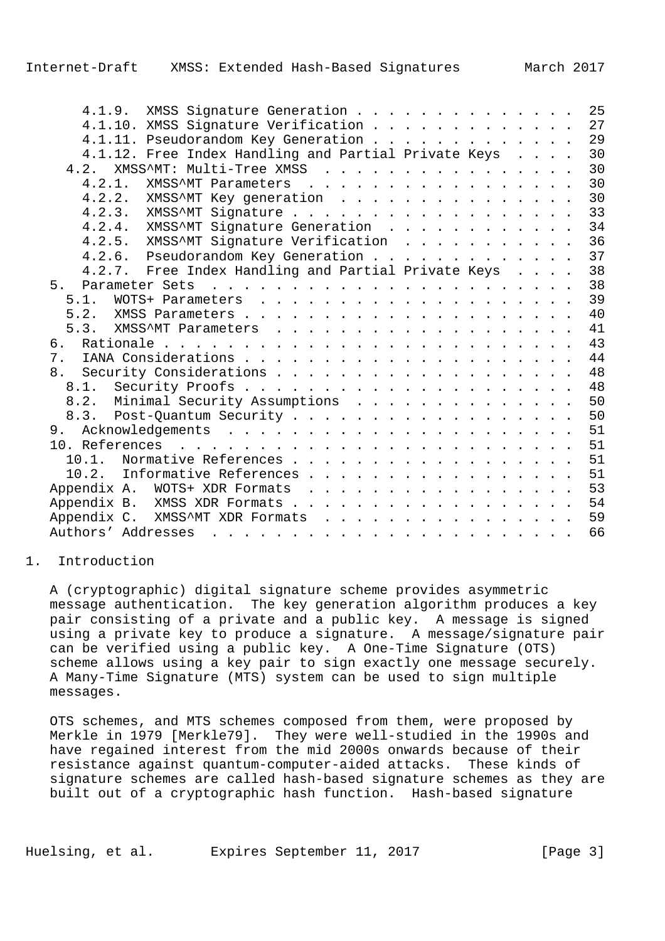| XMSS Signature Generation<br>4.1.9.                  | 25 |
|------------------------------------------------------|----|
| 4.1.10. XMSS Signature Verification                  | 27 |
| 4.1.11. Pseudorandom Key Generation                  | 29 |
| 4.1.12. Free Index Handling and Partial Private Keys | 30 |
| XMSS^MT: Multi-Tree XMSS<br>4.2.                     | 30 |
| 4.2.1.<br>XMSS^MT Parameters                         | 30 |
| 4.2.2.<br>XMSS^MT Key generation                     | 30 |
| 4.2.3. XMSS^MT Signature                             | 33 |
| 4.2.4. XMSS^MT Signature Generation                  | 34 |
| 4.2.5. XMSS^MT Signature Verification                | 36 |
| 4.2.6. Pseudorandom Key Generation                   | 37 |
| 4.2.7. Free Index Handling and Partial Private Keys  | 38 |
| 5 <sub>1</sub>                                       | 38 |
| 5.1.                                                 | 39 |
| 5.2.                                                 | 40 |
| 5.3.                                                 | 41 |
|                                                      | 43 |
|                                                      | 44 |
| 8.                                                   | 48 |
|                                                      | 48 |
| 8.2. Minimal Security Assumptions                    | 50 |
| 8.3. Post-Quantum Security                           | 50 |
|                                                      | 51 |
|                                                      | 51 |
| 10.1. Normative References                           | 51 |
| Informative References<br>10.2.                      | 51 |
|                                                      | 53 |
|                                                      | 54 |
| Appendix C. XMSS^MT XDR Formats                      | 59 |
|                                                      | 66 |
|                                                      |    |

## 1. Introduction

 A (cryptographic) digital signature scheme provides asymmetric message authentication. The key generation algorithm produces a key pair consisting of a private and a public key. A message is signed using a private key to produce a signature. A message/signature pair can be verified using a public key. A One-Time Signature (OTS) scheme allows using a key pair to sign exactly one message securely. A Many-Time Signature (MTS) system can be used to sign multiple messages.

 OTS schemes, and MTS schemes composed from them, were proposed by Merkle in 1979 [Merkle79]. They were well-studied in the 1990s and have regained interest from the mid 2000s onwards because of their resistance against quantum-computer-aided attacks. These kinds of signature schemes are called hash-based signature schemes as they are built out of a cryptographic hash function. Hash-based signature

Huelsing, et al. Expires September 11, 2017 [Page 3]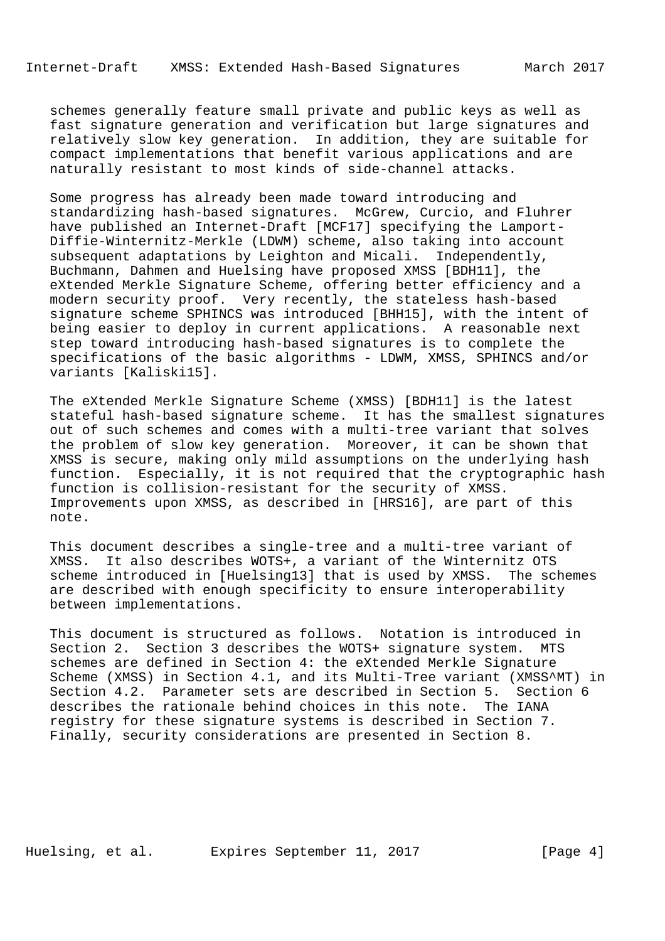schemes generally feature small private and public keys as well as fast signature generation and verification but large signatures and relatively slow key generation. In addition, they are suitable for compact implementations that benefit various applications and are naturally resistant to most kinds of side-channel attacks.

 Some progress has already been made toward introducing and standardizing hash-based signatures. McGrew, Curcio, and Fluhrer have published an Internet-Draft [MCF17] specifying the Lamport- Diffie-Winternitz-Merkle (LDWM) scheme, also taking into account subsequent adaptations by Leighton and Micali. Independently, Buchmann, Dahmen and Huelsing have proposed XMSS [BDH11], the eXtended Merkle Signature Scheme, offering better efficiency and a modern security proof. Very recently, the stateless hash-based signature scheme SPHINCS was introduced [BHH15], with the intent of being easier to deploy in current applications. A reasonable next step toward introducing hash-based signatures is to complete the specifications of the basic algorithms - LDWM, XMSS, SPHINCS and/or variants [Kaliski15].

 The eXtended Merkle Signature Scheme (XMSS) [BDH11] is the latest stateful hash-based signature scheme. It has the smallest signatures out of such schemes and comes with a multi-tree variant that solves the problem of slow key generation. Moreover, it can be shown that XMSS is secure, making only mild assumptions on the underlying hash function. Especially, it is not required that the cryptographic hash function is collision-resistant for the security of XMSS. Improvements upon XMSS, as described in [HRS16], are part of this note.

 This document describes a single-tree and a multi-tree variant of XMSS. It also describes WOTS+, a variant of the Winternitz OTS scheme introduced in [Huelsing13] that is used by XMSS. The schemes are described with enough specificity to ensure interoperability between implementations.

 This document is structured as follows. Notation is introduced in Section 2. Section 3 describes the WOTS+ signature system. MTS schemes are defined in Section 4: the eXtended Merkle Signature Scheme (XMSS) in Section 4.1, and its Multi-Tree variant (XMSS^MT) in Section 4.2. Parameter sets are described in Section 5. Section 6 describes the rationale behind choices in this note. The IANA registry for these signature systems is described in Section 7. Finally, security considerations are presented in Section 8.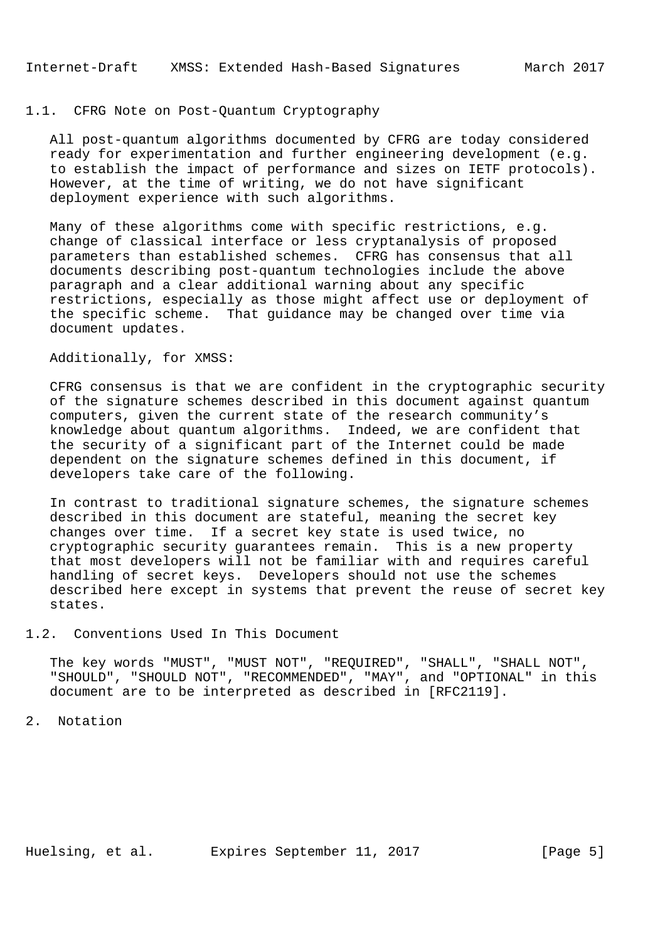### 1.1. CFRG Note on Post-Quantum Cryptography

 All post-quantum algorithms documented by CFRG are today considered ready for experimentation and further engineering development (e.g. to establish the impact of performance and sizes on IETF protocols). However, at the time of writing, we do not have significant deployment experience with such algorithms.

 Many of these algorithms come with specific restrictions, e.g. change of classical interface or less cryptanalysis of proposed parameters than established schemes. CFRG has consensus that all documents describing post-quantum technologies include the above paragraph and a clear additional warning about any specific restrictions, especially as those might affect use or deployment of the specific scheme. That guidance may be changed over time via document updates.

#### Additionally, for XMSS:

 CFRG consensus is that we are confident in the cryptographic security of the signature schemes described in this document against quantum computers, given the current state of the research community's knowledge about quantum algorithms. Indeed, we are confident that the security of a significant part of the Internet could be made dependent on the signature schemes defined in this document, if developers take care of the following.

 In contrast to traditional signature schemes, the signature schemes described in this document are stateful, meaning the secret key changes over time. If a secret key state is used twice, no cryptographic security guarantees remain. This is a new property that most developers will not be familiar with and requires careful handling of secret keys. Developers should not use the schemes described here except in systems that prevent the reuse of secret key states.

### 1.2. Conventions Used In This Document

 The key words "MUST", "MUST NOT", "REQUIRED", "SHALL", "SHALL NOT", "SHOULD", "SHOULD NOT", "RECOMMENDED", "MAY", and "OPTIONAL" in this document are to be interpreted as described in [RFC2119].

2. Notation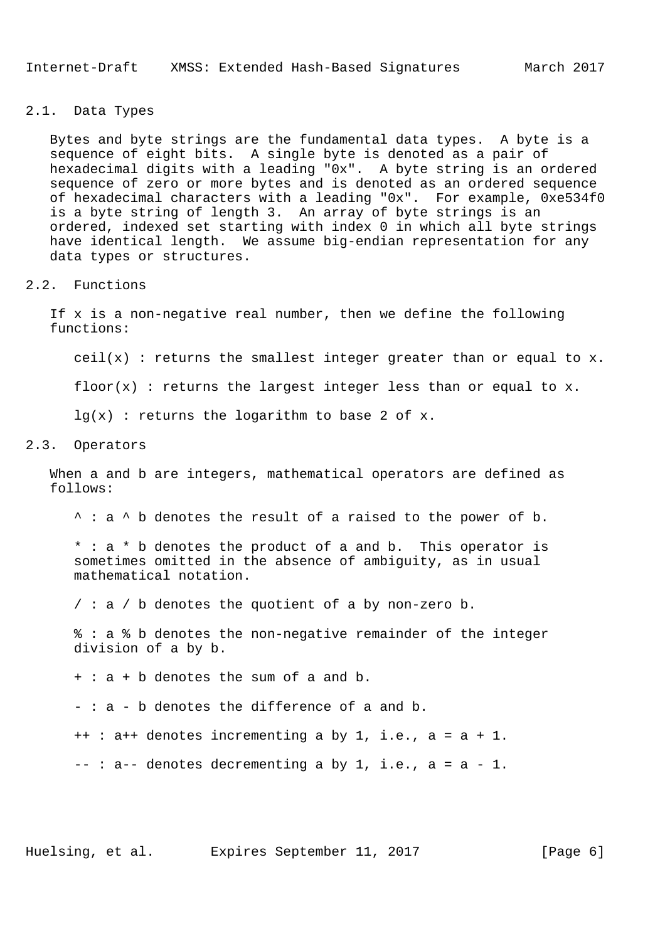Internet-Draft XMSS: Extended Hash-Based Signatures March 2017

### 2.1. Data Types

 Bytes and byte strings are the fundamental data types. A byte is a sequence of eight bits. A single byte is denoted as a pair of hexadecimal digits with a leading "0x". A byte string is an ordered sequence of zero or more bytes and is denoted as an ordered sequence of hexadecimal characters with a leading "0x". For example, 0xe534f0 is a byte string of length 3. An array of byte strings is an ordered, indexed set starting with index 0 in which all byte strings have identical length. We assume big-endian representation for any data types or structures.

#### 2.2. Functions

 If x is a non-negative real number, then we define the following functions:

ceil(x) : returns the smallest integer greater than or equal to  $x$ .

 $floor(x)$ : returns the largest integer less than or equal to x.

 $lq(x)$  : returns the logarithm to base 2 of x.

### 2.3. Operators

 When a and b are integers, mathematical operators are defined as follows:

^ : a ^ b denotes the result of a raised to the power of b.

 \* : a \* b denotes the product of a and b. This operator is sometimes omitted in the absence of ambiguity, as in usual mathematical notation.

 $/$ : a  $/$  b denotes the quotient of a by non-zero b.

 % : a % b denotes the non-negative remainder of the integer division of a by b.

+ : a + b denotes the sum of a and b.

- : a - b denotes the difference of a and b.

++ : a++ denotes incrementing a by 1, i.e., a = a + 1.

 $--: a--$  denotes decrementing a by 1, i.e.,  $a = a - 1$ .

Huelsing, et al. Expires September 11, 2017 [Page 6]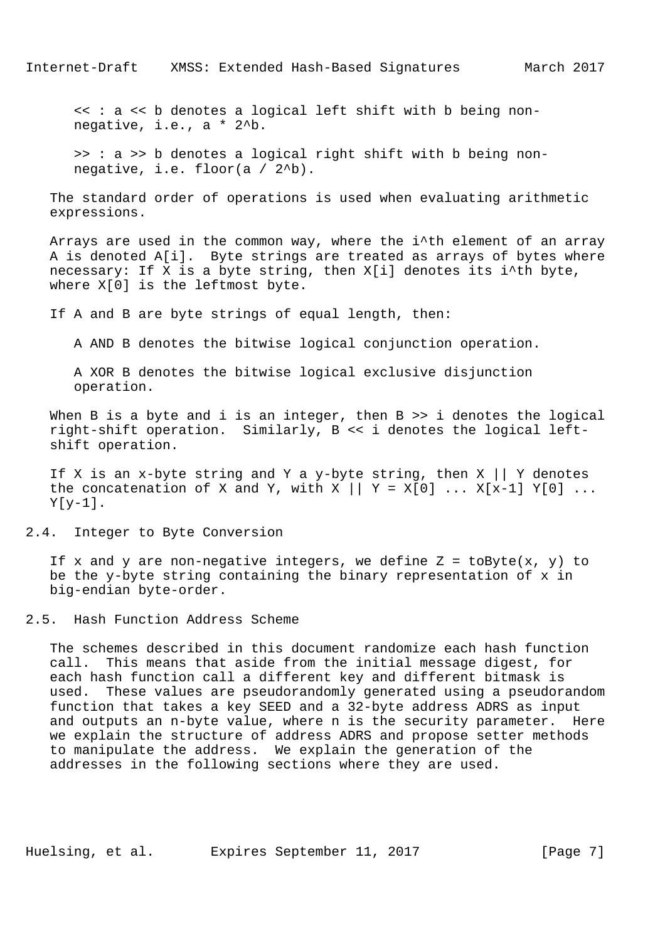<< : a << b denotes a logical left shift with b being non negative, i.e., a \* 2^b.

 >> : a >> b denotes a logical right shift with b being non negative, i.e. floor(a / 2^b).

 The standard order of operations is used when evaluating arithmetic expressions.

 Arrays are used in the common way, where the i^th element of an array A is denoted A[i]. Byte strings are treated as arrays of bytes where necessary: If X is a byte string, then X[i] denotes its i^th byte, where X[0] is the leftmost byte.

If A and B are byte strings of equal length, then:

A AND B denotes the bitwise logical conjunction operation.

 A XOR B denotes the bitwise logical exclusive disjunction operation.

When B is a byte and i is an integer, then B >> i denotes the logical right-shift operation. Similarly, B << i denotes the logical left shift operation.

If X is an x-byte string and Y a y-byte string, then X || Y denotes the concatenation of X and Y, with X  $|| y = X[0] ... X[x-1] Y[0] ...$  $Y[y-1]$ .

2.4. Integer to Byte Conversion

If x and y are non-negative integers, we define  $Z = \text{toByte}(x, y)$  to be the y-byte string containing the binary representation of x in big-endian byte-order.

2.5. Hash Function Address Scheme

 The schemes described in this document randomize each hash function call. This means that aside from the initial message digest, for each hash function call a different key and different bitmask is used. These values are pseudorandomly generated using a pseudorandom function that takes a key SEED and a 32-byte address ADRS as input and outputs an n-byte value, where n is the security parameter. Here we explain the structure of address ADRS and propose setter methods to manipulate the address. We explain the generation of the addresses in the following sections where they are used.

Huelsing, et al. Expires September 11, 2017 [Page 7]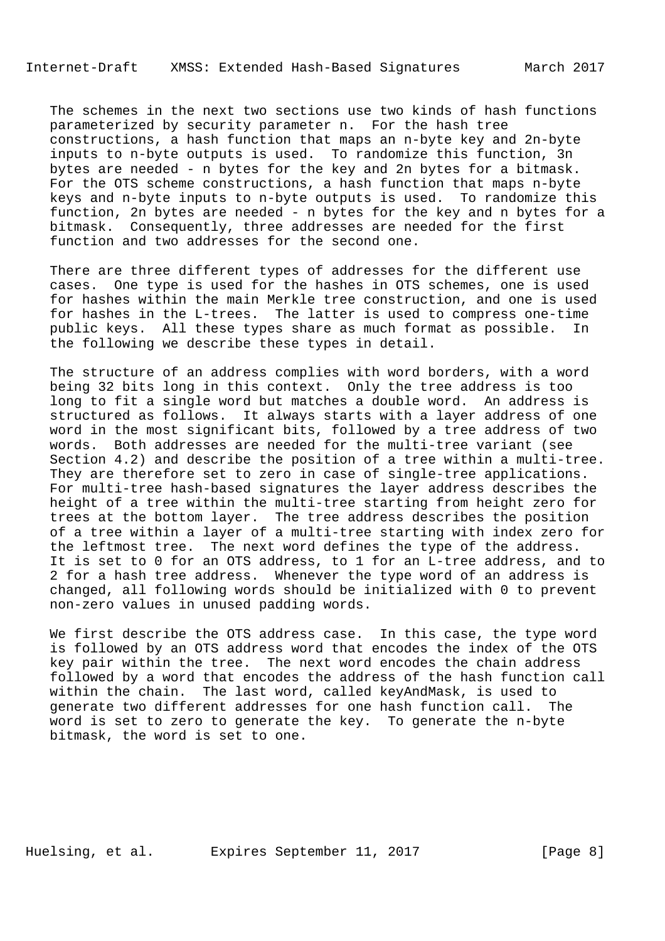The schemes in the next two sections use two kinds of hash functions parameterized by security parameter n. For the hash tree constructions, a hash function that maps an n-byte key and 2n-byte inputs to n-byte outputs is used. To randomize this function, 3n bytes are needed - n bytes for the key and 2n bytes for a bitmask. For the OTS scheme constructions, a hash function that maps n-byte keys and n-byte inputs to n-byte outputs is used. To randomize this function, 2n bytes are needed - n bytes for the key and n bytes for a bitmask. Consequently, three addresses are needed for the first function and two addresses for the second one.

 There are three different types of addresses for the different use cases. One type is used for the hashes in OTS schemes, one is used for hashes within the main Merkle tree construction, and one is used for hashes in the L-trees. The latter is used to compress one-time public keys. All these types share as much format as possible. In the following we describe these types in detail.

 The structure of an address complies with word borders, with a word being 32 bits long in this context. Only the tree address is too long to fit a single word but matches a double word. An address is structured as follows. It always starts with a layer address of one word in the most significant bits, followed by a tree address of two words. Both addresses are needed for the multi-tree variant (see Section 4.2) and describe the position of a tree within a multi-tree. They are therefore set to zero in case of single-tree applications. For multi-tree hash-based signatures the layer address describes the height of a tree within the multi-tree starting from height zero for trees at the bottom layer. The tree address describes the position of a tree within a layer of a multi-tree starting with index zero for the leftmost tree. The next word defines the type of the address. It is set to 0 for an OTS address, to 1 for an L-tree address, and to 2 for a hash tree address. Whenever the type word of an address is changed, all following words should be initialized with 0 to prevent non-zero values in unused padding words.

 We first describe the OTS address case. In this case, the type word is followed by an OTS address word that encodes the index of the OTS key pair within the tree. The next word encodes the chain address followed by a word that encodes the address of the hash function call within the chain. The last word, called keyAndMask, is used to generate two different addresses for one hash function call. The word is set to zero to generate the key. To generate the n-byte bitmask, the word is set to one.

Huelsing, et al. Expires September 11, 2017 [Page 8]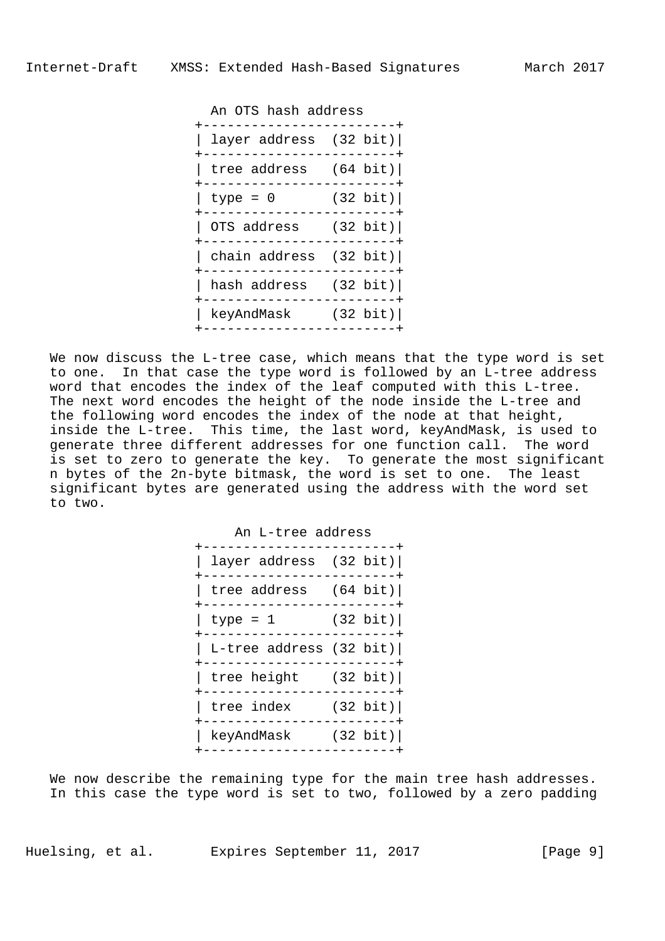An OTS hash address

| layer address (32 bit)          |          |
|---------------------------------|----------|
| tree address $(64 \text{ bit})$ |          |
| type = $0$                      | (32 bit) |
| OTS address (32 bit)            |          |
| chain address (32 bit)          |          |
| hash address (32 bit)           |          |
| keyAndMask                      | (32 bit) |
|                                 |          |

 We now discuss the L-tree case, which means that the type word is set to one. In that case the type word is followed by an L-tree address word that encodes the index of the leaf computed with this L-tree. The next word encodes the height of the node inside the L-tree and the following word encodes the index of the node at that height, inside the L-tree. This time, the last word, keyAndMask, is used to generate three different addresses for one function call. The word is set to zero to generate the key. To generate the most significant n bytes of the 2n-byte bitmask, the word is set to one. The least significant bytes are generated using the address with the word set to two.

| An L-tree address                                         | --------+ |
|-----------------------------------------------------------|-----------|
| layer address $(32 \text{ bit})$                          |           |
| tree address $(64 \text{ bit})$                           |           |
| $type = 1$ (32 bit)<br>____________                       |           |
| L-tree address (32 bit) <br>-------------------+          |           |
| tree height $(32 \text{ bit})$<br>----------------------+ |           |
| tree index $(32 \text{ bit})$                             |           |
| keyAndMask (32 bit)                                       |           |
|                                                           |           |

We now describe the remaining type for the main tree hash addresses. In this case the type word is set to two, followed by a zero padding

Huelsing, et al. Expires September 11, 2017 [Page 9]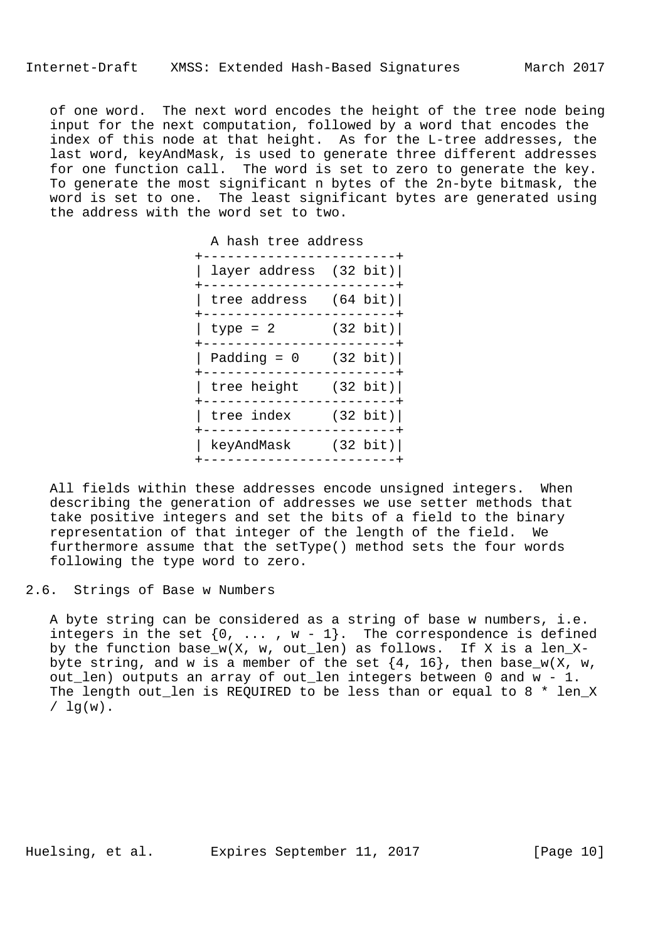of one word. The next word encodes the height of the tree node being input for the next computation, followed by a word that encodes the index of this node at that height. As for the L-tree addresses, the last word, keyAndMask, is used to generate three different addresses for one function call. The word is set to zero to generate the key. To generate the most significant n bytes of the 2n-byte bitmask, the word is set to one. The least significant bytes are generated using the address with the word set to two.

| A hash tree address<br>----------                            | $- - - - - - - +$ |
|--------------------------------------------------------------|-------------------|
| layer address $(32 \text{ bit})$<br>------------------------ |                   |
| tree address $(64 \text{ bit})$                              |                   |
| $type = 2$ (32 bit)                                          |                   |
| Padding = $0$ (32 bit)<br>-----------------------+           |                   |
| tree height $(32 \text{ bit})$<br>-----------------------+   |                   |
| tree index $(32 \text{ bit})$                                |                   |
| keyAndMask (32 bit)                                          |                   |
|                                                              |                   |

 All fields within these addresses encode unsigned integers. When describing the generation of addresses we use setter methods that take positive integers and set the bits of a field to the binary representation of that integer of the length of the field. We furthermore assume that the setType() method sets the four words following the type word to zero.

2.6. Strings of Base w Numbers

 A byte string can be considered as a string of base w numbers, i.e. integers in the set  $\{0, \ldots, w-1\}$ . The correspondence is defined by the function base\_w(X, w, out\_len) as follows. If X is a len\_Xbyte string, and w is a member of the set  $\{4, 16\}$ , then base\_w(X, w, out\_len) outputs an array of out\_len integers between 0 and w - 1. The length out\_len is REQUIRED to be less than or equal to 8 \* len\_X  $/ \ln(w)$ .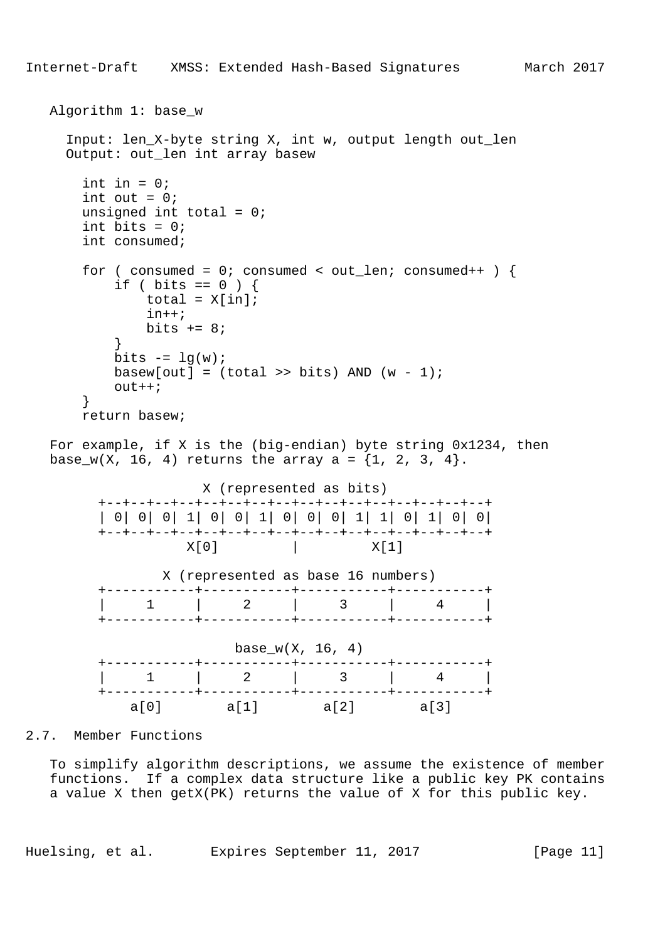```
 Algorithm 1: base_w
     Input: len_X-byte string X, int w, output length out_len
     Output: out_len int array basew
      int in = 0;int out = 0;
      unsigned int total = 0;
      int bits = 0; int consumed;
      for ( consumed = 0; consumed < out_len; consumed++ ) {
          if ( bits == 0 ) {
             total = X[in];
              in++;
             bits += 8; }
         bits - = \lg(w);
         basew[out] = (total >> bits) AND (w - 1)iout++; }
       return basew;
   For example, if X is the (big-endian) byte string 0x1234, then
  base_w(X, 16, 4) returns the array a = \{1, 2, 3, 4\}. X (represented as bits)
         +--+--+--+--+--+--+--+--+--+--+--+--+--+--+--+--+
         | 0| 0| 0| 1| 0| 0| 1| 0| 0| 0| 1| 1| 0| 1| 0| 0|
         +--+--+--+--+--+--+--+--+--+--+--+--+--+--+--+--+
                  X[0] X[1] X (represented as base 16 numbers)
         +-----------+-----------+-----------+-----------+
        | 1 | 2 | 3 | 4 |
         +-----------+-----------+-----------+-----------+
                       base_w(X, 16, 4)
         +-----------+-----------+-----------+-----------+
        | 1 | 2 | 3 | 4 |
```
2.7. Member Functions

 To simplify algorithm descriptions, we assume the existence of member functions. If a complex data structure like a public key PK contains a value X then getX(PK) returns the value of X for this public key.

 +-----------+-----------+-----------+-----------+ a[0] a[1] a[2] a[3]

Huelsing, et al. Expires September 11, 2017 [Page 11]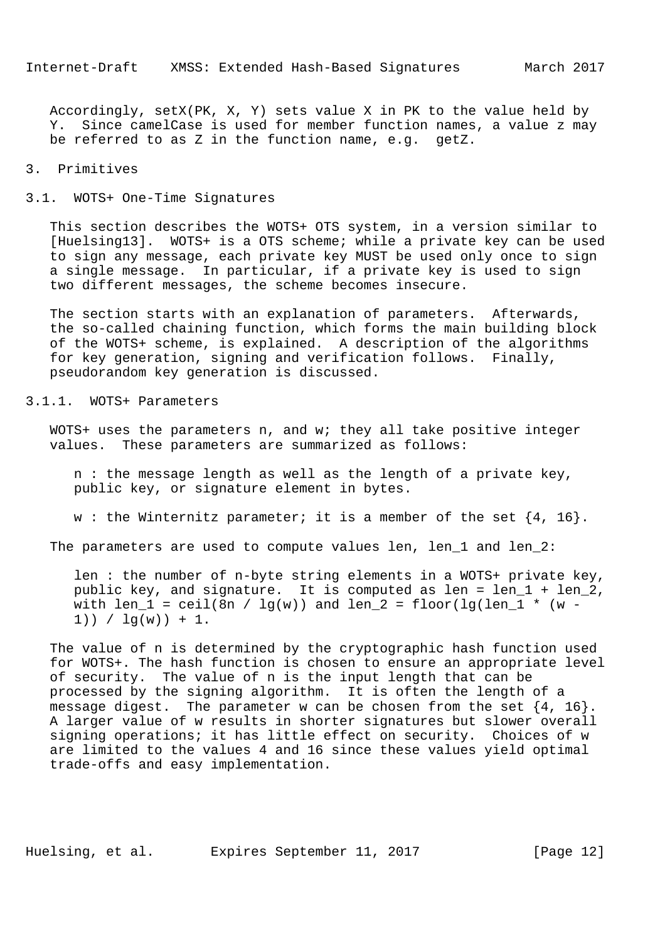Accordingly, setX(PK, X, Y) sets value X in PK to the value held by Y. Since camelCase is used for member function names, a value z may be referred to as Z in the function name, e.g. getZ.

#### 3. Primitives

#### 3.1. WOTS+ One-Time Signatures

 This section describes the WOTS+ OTS system, in a version similar to [Huelsing13]. WOTS+ is a OTS scheme; while a private key can be used to sign any message, each private key MUST be used only once to sign a single message. In particular, if a private key is used to sign two different messages, the scheme becomes insecure.

 The section starts with an explanation of parameters. Afterwards, the so-called chaining function, which forms the main building block of the WOTS+ scheme, is explained. A description of the algorithms for key generation, signing and verification follows. Finally, pseudorandom key generation is discussed.

### 3.1.1. WOTS+ Parameters

 WOTS+ uses the parameters n, and w; they all take positive integer values. These parameters are summarized as follows:

 n : the message length as well as the length of a private key, public key, or signature element in bytes.

w : the Winternitz parameter; it is a member of the set  $\{4, 16\}$ .

The parameters are used to compute values len, len\_1 and len\_2:

 len : the number of n-byte string elements in a WOTS+ private key, public key, and signature. It is computed as len = len\_1 + len\_2, with len\_1 = ceil(8n /  $lg(w)$ ) and len\_2 = floor(lg(len\_1 \* (w - $1)$ ) /  $\lg(w)$ ) + 1.

 The value of n is determined by the cryptographic hash function used for WOTS+. The hash function is chosen to ensure an appropriate level of security. The value of n is the input length that can be processed by the signing algorithm. It is often the length of a message digest. The parameter w can be chosen from the set  $\{4, 16\}$ . A larger value of w results in shorter signatures but slower overall signing operations; it has little effect on security. Choices of w are limited to the values 4 and 16 since these values yield optimal trade-offs and easy implementation.

Huelsing, et al. Expires September 11, 2017 [Page 12]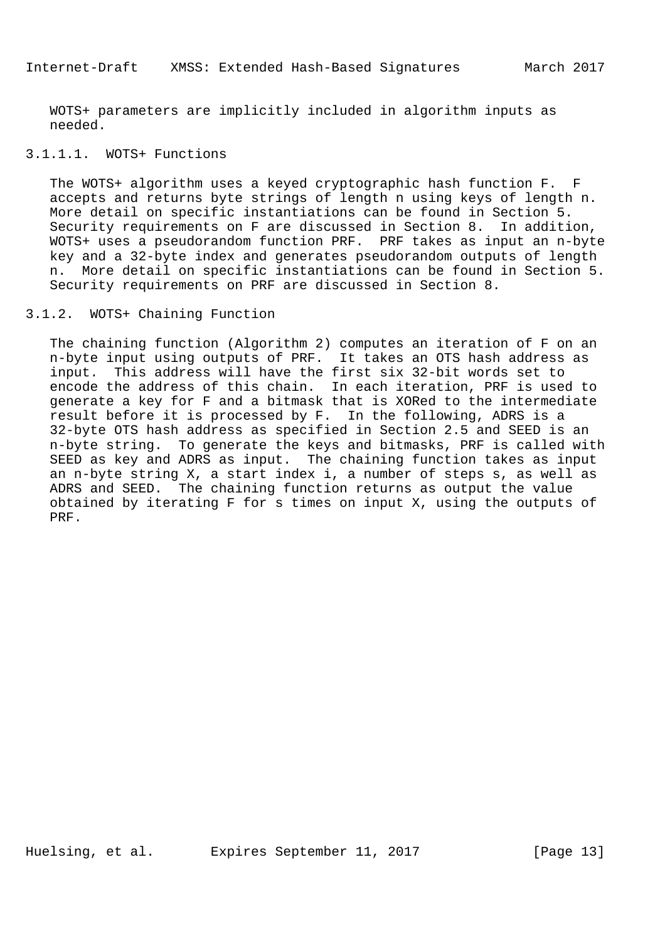WOTS+ parameters are implicitly included in algorithm inputs as needed.

# 3.1.1.1. WOTS+ Functions

 The WOTS+ algorithm uses a keyed cryptographic hash function F. F accepts and returns byte strings of length n using keys of length n. More detail on specific instantiations can be found in Section 5. Security requirements on F are discussed in Section 8. In addition, WOTS+ uses a pseudorandom function PRF. PRF takes as input an n-byte key and a 32-byte index and generates pseudorandom outputs of length n. More detail on specific instantiations can be found in Section 5. Security requirements on PRF are discussed in Section 8.

# 3.1.2. WOTS+ Chaining Function

 The chaining function (Algorithm 2) computes an iteration of F on an n-byte input using outputs of PRF. It takes an OTS hash address as input. This address will have the first six 32-bit words set to encode the address of this chain. In each iteration, PRF is used to generate a key for F and a bitmask that is XORed to the intermediate result before it is processed by F. In the following, ADRS is a 32-byte OTS hash address as specified in Section 2.5 and SEED is an n-byte string. To generate the keys and bitmasks, PRF is called with SEED as key and ADRS as input. The chaining function takes as input an n-byte string X, a start index i, a number of steps s, as well as ADRS and SEED. The chaining function returns as output the value obtained by iterating F for s times on input X, using the outputs of PRF.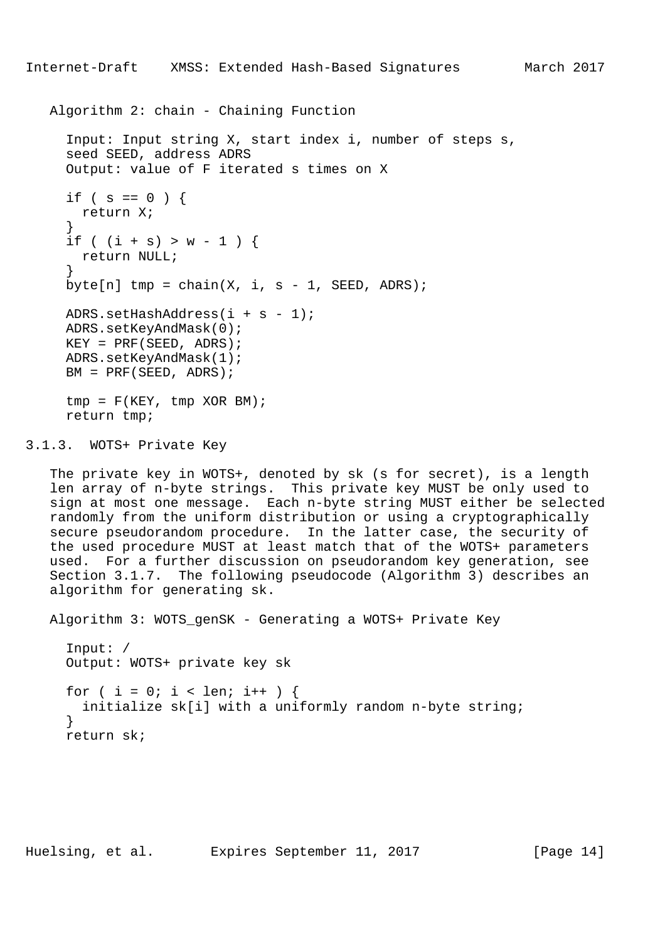```
 Algorithm 2: chain - Chaining Function
```

```
 Input: Input string X, start index i, number of steps s,
     seed SEED, address ADRS
     Output: value of F iterated s times on X
    if ( s == 0 ) {
       return X;
 }
    if ( (i + s) > w - 1 ) {
      return NULL;
 }
    byte[n] tmp = chain(X, i, s - 1, SEED, ADRS);
    ADRS.setHashAddress(i + s - 1);
     ADRS.setKeyAndMask(0);
    KEY = PRF(SEED, ADRS); ADRS.setKeyAndMask(1);
    BM = PRF(SEED, ADRS);tmp = F(KEY, tmp XOR BM); return tmp;
```
3.1.3. WOTS+ Private Key

 The private key in WOTS+, denoted by sk (s for secret), is a length len array of n-byte strings. This private key MUST be only used to sign at most one message. Each n-byte string MUST either be selected randomly from the uniform distribution or using a cryptographically secure pseudorandom procedure. In the latter case, the security of the used procedure MUST at least match that of the WOTS+ parameters used. For a further discussion on pseudorandom key generation, see Section 3.1.7. The following pseudocode (Algorithm 3) describes an algorithm for generating sk.

Algorithm 3: WOTS\_genSK - Generating a WOTS+ Private Key

 Input: / Output: WOTS+ private key sk for (  $i = 0$ ;  $i < len$ ;  $i++)$  { initialize sk[i] with a uniformly random n-byte string; } return sk;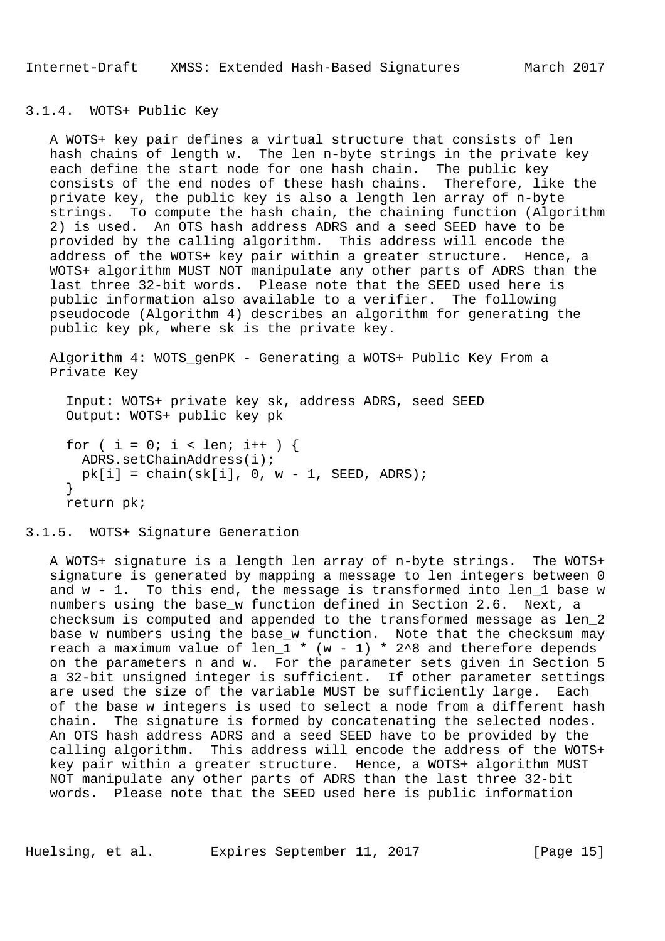Internet-Draft XMSS: Extended Hash-Based Signatures March 2017

### 3.1.4. WOTS+ Public Key

 A WOTS+ key pair defines a virtual structure that consists of len hash chains of length w. The len n-byte strings in the private key each define the start node for one hash chain. The public key consists of the end nodes of these hash chains. Therefore, like the private key, the public key is also a length len array of n-byte strings. To compute the hash chain, the chaining function (Algorithm 2) is used. An OTS hash address ADRS and a seed SEED have to be provided by the calling algorithm. This address will encode the address of the WOTS+ key pair within a greater structure. Hence, a WOTS+ algorithm MUST NOT manipulate any other parts of ADRS than the last three 32-bit words. Please note that the SEED used here is public information also available to a verifier. The following pseudocode (Algorithm 4) describes an algorithm for generating the public key pk, where sk is the private key.

 Algorithm 4: WOTS\_genPK - Generating a WOTS+ Public Key From a Private Key

 Input: WOTS+ private key sk, address ADRS, seed SEED Output: WOTS+ public key pk

```
for ( i = 0; i < len; i++ ) {
  ADRS.setChainAddress(i);
 pk[i] = chain(sk[i], 0, w - 1, SEED, ADRS); }
 return pk;
```
3.1.5. WOTS+ Signature Generation

 A WOTS+ signature is a length len array of n-byte strings. The WOTS+ signature is generated by mapping a message to len integers between 0 and w - 1. To this end, the message is transformed into len\_1 base w numbers using the base\_w function defined in Section 2.6. Next, a checksum is computed and appended to the transformed message as len\_2 base w numbers using the base\_w function. Note that the checksum may reach a maximum value of len\_1  $*$  (w - 1)  $*$  2^8 and therefore depends on the parameters n and w. For the parameter sets given in Section 5 a 32-bit unsigned integer is sufficient. If other parameter settings are used the size of the variable MUST be sufficiently large. Each of the base w integers is used to select a node from a different hash chain. The signature is formed by concatenating the selected nodes. An OTS hash address ADRS and a seed SEED have to be provided by the calling algorithm. This address will encode the address of the WOTS+ key pair within a greater structure. Hence, a WOTS+ algorithm MUST NOT manipulate any other parts of ADRS than the last three 32-bit words. Please note that the SEED used here is public information

Huelsing, et al. Expires September 11, 2017 [Page 15]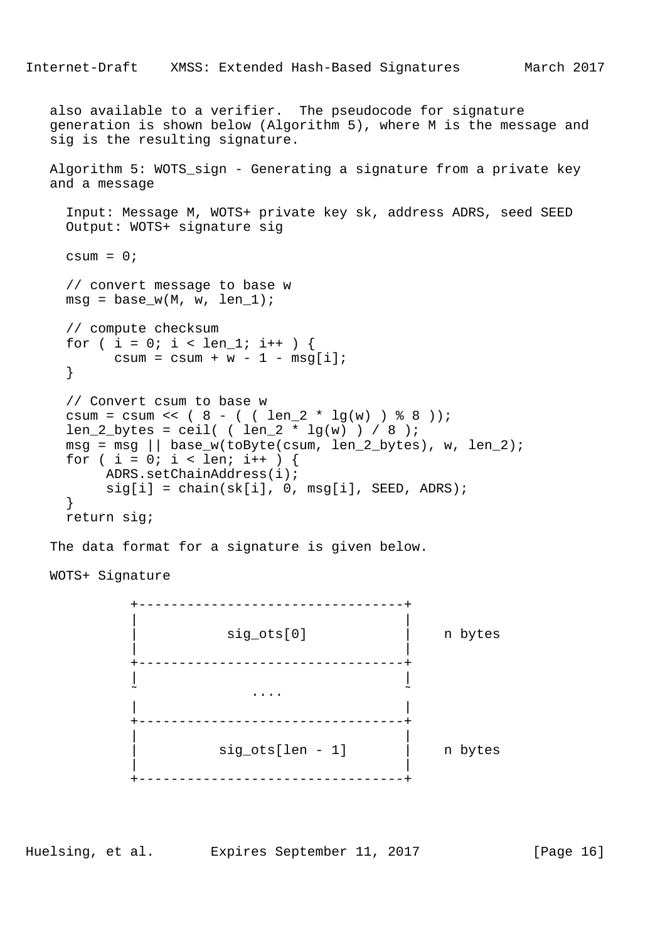```
Internet-Draft XMSS: Extended Hash-Based Signatures March 2017
   also available to a verifier. The pseudocode for signature
   generation is shown below (Algorithm 5), where M is the message and
   sig is the resulting signature.
   Algorithm 5: WOTS_sign - Generating a signature from a private key
   and a message
     Input: Message M, WOTS+ private key sk, address ADRS, seed SEED
     Output: WOTS+ signature sig
    csum = 0; // convert message to base w
    msg = base w(M, w, len 1);
     // compute checksum
    for ( i = 0; i < len_1; i++ ) {
         csum = csum + w - 1 - msg[i];
     }
     // Convert csum to base w
    csum = csum << (8 - ( ( 1en\ 2 * 1q(w) ) 88));
    len_2_bytes = ceil ( ( len_2 * lg(w) ) / 8 );
    msg = msg || base_w(toByte(csum, len_2_bytes), w, len_2);for ( i = 0; i < 1en; i++ ) {
          ADRS.setChainAddress(i);
         sig[i] = chain(sk[i], 0, msg[i], SEED, ADRS); }
     return sig;
   The data format for a signature is given below.
   WOTS+ Signature
             +---------------------------------+
 | |
                  sig_ots[0] | n bytes
 | |
             +---------------------------------+
 | |
\sim . The contract of the contract of the contract of the contract of the contract of the contract of the contract of the contract of the contract of the contract of the contract of the contract of the contract of the co
 | |
             +---------------------------------+
 | |
                     sig_ots[len - 1] | | | | n bytes
 | |
             +---------------------------------+
```
Huelsing, et al. Expires September 11, 2017 [Page 16]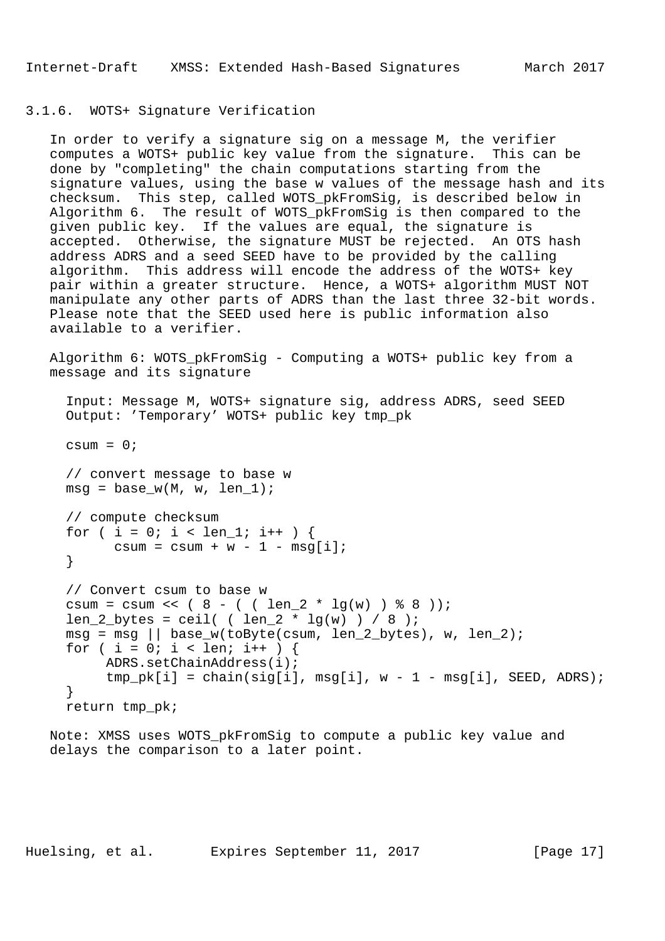# 3.1.6. WOTS+ Signature Verification

 In order to verify a signature sig on a message M, the verifier computes a WOTS+ public key value from the signature. This can be done by "completing" the chain computations starting from the signature values, using the base w values of the message hash and its checksum. This step, called WOTS\_pkFromSig, is described below in Algorithm 6. The result of WOTS\_pkFromSig is then compared to the given public key. If the values are equal, the signature is accepted. Otherwise, the signature MUST be rejected. An OTS hash address ADRS and a seed SEED have to be provided by the calling algorithm. This address will encode the address of the WOTS+ key pair within a greater structure. Hence, a WOTS+ algorithm MUST NOT manipulate any other parts of ADRS than the last three 32-bit words. Please note that the SEED used here is public information also available to a verifier.

 Algorithm 6: WOTS\_pkFromSig - Computing a WOTS+ public key from a message and its signature

```
 Input: Message M, WOTS+ signature sig, address ADRS, seed SEED
 Output: 'Temporary' WOTS+ public key tmp_pk
csum = 0;
```
 // convert message to base w  $msg = base_w(M, w, len_1);$ 

```
 // compute checksum
for ( i = 0; i < len 1; i++ ) {
      csum = csum + w - 1 - msg[i];
 }
```

```
 // Convert csum to base w
csum = csum << ( 8 - ( \ ( len_2 * lg(w) ) 8 8 ) );
len_2_bytes = ceil( \left( len_2 * lg(w) \right) / 8 );
msg = msg || base_w(toByte(csum, len_2_bytes), w, len_2);for ( i = 0; i < len; i++ ) {
      ADRS.setChainAddress(i);
     tmp\_pk[i] = chain(sig[i], msg[i], w - 1 - msg[i], SEED, ADRS); }
 return tmp_pk;
```
 Note: XMSS uses WOTS\_pkFromSig to compute a public key value and delays the comparison to a later point.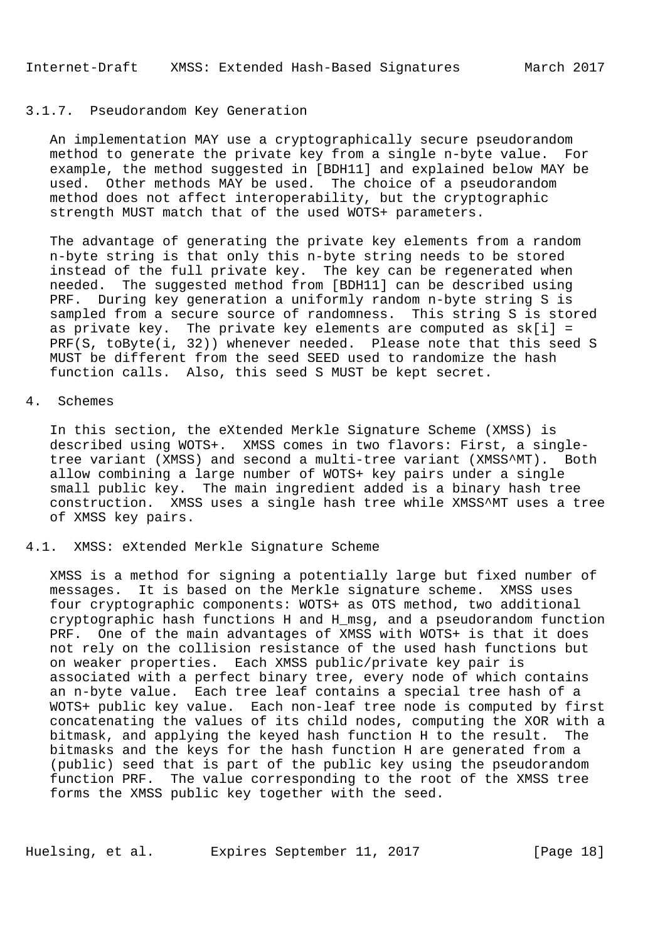### 3.1.7. Pseudorandom Key Generation

 An implementation MAY use a cryptographically secure pseudorandom method to generate the private key from a single n-byte value. For example, the method suggested in [BDH11] and explained below MAY be used. Other methods MAY be used. The choice of a pseudorandom method does not affect interoperability, but the cryptographic strength MUST match that of the used WOTS+ parameters.

 The advantage of generating the private key elements from a random n-byte string is that only this n-byte string needs to be stored instead of the full private key. The key can be regenerated when needed. The suggested method from [BDH11] can be described using PRF. During key generation a uniformly random n-byte string S is sampled from a secure source of randomness. This string S is stored as private key. The private key elements are computed as  $sk[i] =$ PRF(S, toByte(i, 32)) whenever needed. Please note that this seed S MUST be different from the seed SEED used to randomize the hash function calls. Also, this seed S MUST be kept secret.

#### 4. Schemes

 In this section, the eXtended Merkle Signature Scheme (XMSS) is described using WOTS+. XMSS comes in two flavors: First, a single tree variant (XMSS) and second a multi-tree variant (XMSS^MT). Both allow combining a large number of WOTS+ key pairs under a single small public key. The main ingredient added is a binary hash tree construction. XMSS uses a single hash tree while XMSS^MT uses a tree of XMSS key pairs.

# 4.1. XMSS: eXtended Merkle Signature Scheme

 XMSS is a method for signing a potentially large but fixed number of messages. It is based on the Merkle signature scheme. XMSS uses four cryptographic components: WOTS+ as OTS method, two additional cryptographic hash functions H and H\_msg, and a pseudorandom function PRF. One of the main advantages of XMSS with WOTS+ is that it does not rely on the collision resistance of the used hash functions but on weaker properties. Each XMSS public/private key pair is associated with a perfect binary tree, every node of which contains an n-byte value. Each tree leaf contains a special tree hash of a WOTS+ public key value. Each non-leaf tree node is computed by first concatenating the values of its child nodes, computing the XOR with a bitmask, and applying the keyed hash function H to the result. The bitmasks and the keys for the hash function H are generated from a (public) seed that is part of the public key using the pseudorandom function PRF. The value corresponding to the root of the XMSS tree forms the XMSS public key together with the seed.

Huelsing, et al. Expires September 11, 2017 [Page 18]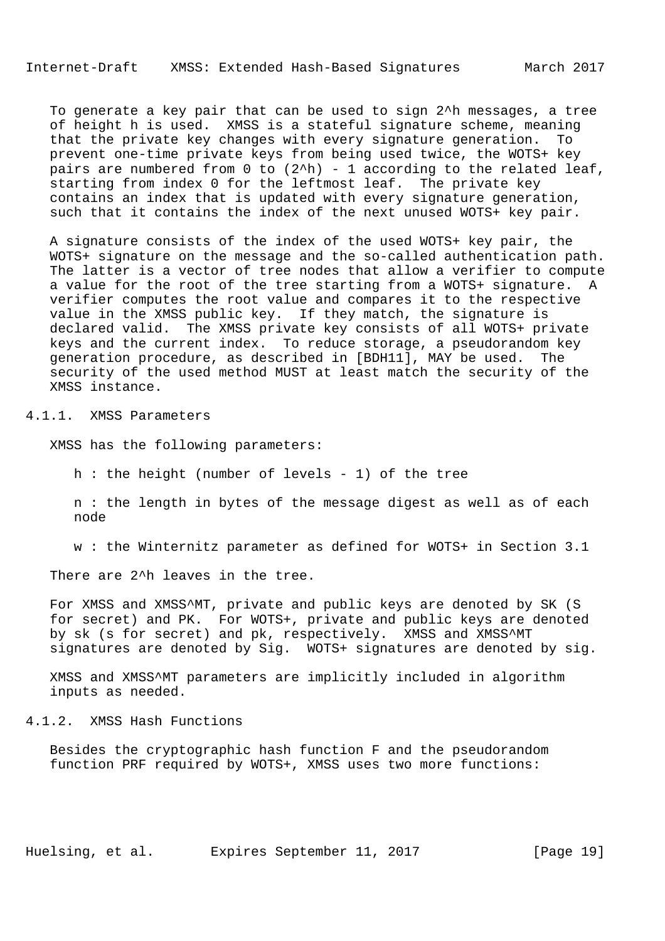## Internet-Draft XMSS: Extended Hash-Based Signatures March 2017

 To generate a key pair that can be used to sign 2^h messages, a tree of height h is used. XMSS is a stateful signature scheme, meaning that the private key changes with every signature generation. To prevent one-time private keys from being used twice, the WOTS+ key pairs are numbered from  $0$  to  $(2^h)$  - 1 according to the related leaf, starting from index 0 for the leftmost leaf. The private key contains an index that is updated with every signature generation, such that it contains the index of the next unused WOTS+ key pair.

 A signature consists of the index of the used WOTS+ key pair, the WOTS+ signature on the message and the so-called authentication path. The latter is a vector of tree nodes that allow a verifier to compute a value for the root of the tree starting from a WOTS+ signature. A verifier computes the root value and compares it to the respective value in the XMSS public key. If they match, the signature is declared valid. The XMSS private key consists of all WOTS+ private keys and the current index. To reduce storage, a pseudorandom key generation procedure, as described in [BDH11], MAY be used. The security of the used method MUST at least match the security of the XMSS instance.

4.1.1. XMSS Parameters

XMSS has the following parameters:

h : the height (number of levels - 1) of the tree

 n : the length in bytes of the message digest as well as of each node

w : the Winternitz parameter as defined for WOTS+ in Section 3.1

There are 2<sup>^</sup>h leaves in the tree.

 For XMSS and XMSS^MT, private and public keys are denoted by SK (S for secret) and PK. For WOTS+, private and public keys are denoted by sk (s for secret) and pk, respectively. XMSS and XMSS^MT signatures are denoted by Sig. WOTS+ signatures are denoted by sig.

 XMSS and XMSS^MT parameters are implicitly included in algorithm inputs as needed.

4.1.2. XMSS Hash Functions

 Besides the cryptographic hash function F and the pseudorandom function PRF required by WOTS+, XMSS uses two more functions: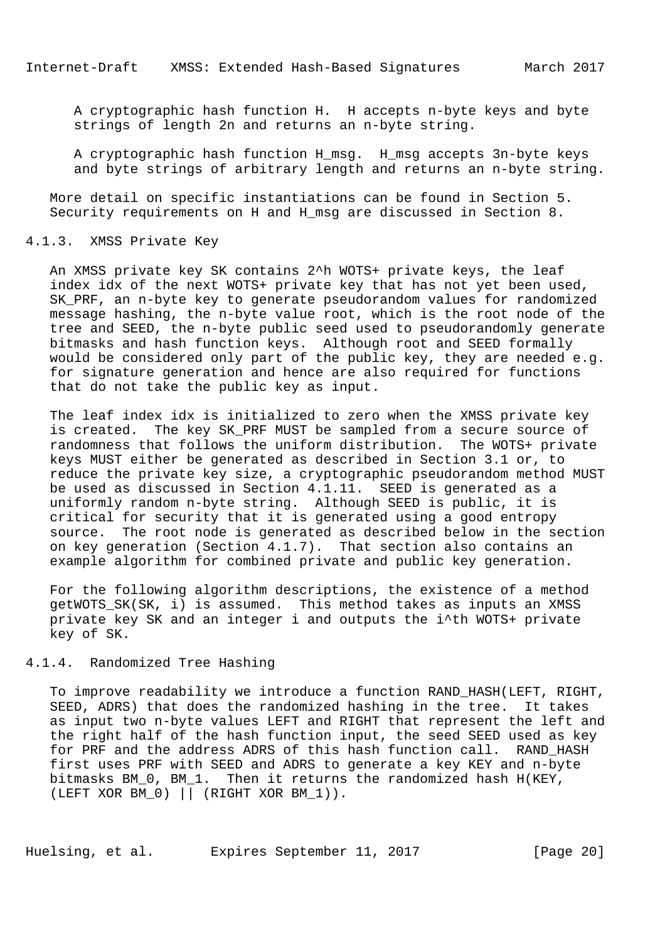A cryptographic hash function H. H accepts n-byte keys and byte strings of length 2n and returns an n-byte string.

A cryptographic hash function H msg. H msg accepts 3n-byte keys and byte strings of arbitrary length and returns an n-byte string.

 More detail on specific instantiations can be found in Section 5. Security requirements on H and H\_msg are discussed in Section 8.

#### 4.1.3. XMSS Private Key

 An XMSS private key SK contains 2^h WOTS+ private keys, the leaf index idx of the next WOTS+ private key that has not yet been used, SK PRF, an n-byte key to generate pseudorandom values for randomized message hashing, the n-byte value root, which is the root node of the tree and SEED, the n-byte public seed used to pseudorandomly generate bitmasks and hash function keys. Although root and SEED formally would be considered only part of the public key, they are needed e.g. for signature generation and hence are also required for functions that do not take the public key as input.

 The leaf index idx is initialized to zero when the XMSS private key is created. The key SK\_PRF MUST be sampled from a secure source of randomness that follows the uniform distribution. The WOTS+ private keys MUST either be generated as described in Section 3.1 or, to reduce the private key size, a cryptographic pseudorandom method MUST be used as discussed in Section 4.1.11. SEED is generated as a uniformly random n-byte string. Although SEED is public, it is critical for security that it is generated using a good entropy source. The root node is generated as described below in the section on key generation (Section 4.1.7). That section also contains an example algorithm for combined private and public key generation.

 For the following algorithm descriptions, the existence of a method getWOTS\_SK(SK, i) is assumed. This method takes as inputs an XMSS private key SK and an integer i and outputs the i^th WOTS+ private key of SK.

### 4.1.4. Randomized Tree Hashing

 To improve readability we introduce a function RAND\_HASH(LEFT, RIGHT, SEED, ADRS) that does the randomized hashing in the tree. It takes as input two n-byte values LEFT and RIGHT that represent the left and the right half of the hash function input, the seed SEED used as key for PRF and the address ADRS of this hash function call. RAND\_HASH first uses PRF with SEED and ADRS to generate a key KEY and n-byte bitmasks BM\_0, BM\_1. Then it returns the randomized hash H(KEY, (LEFT XOR BM\_0) || (RIGHT XOR BM\_1)).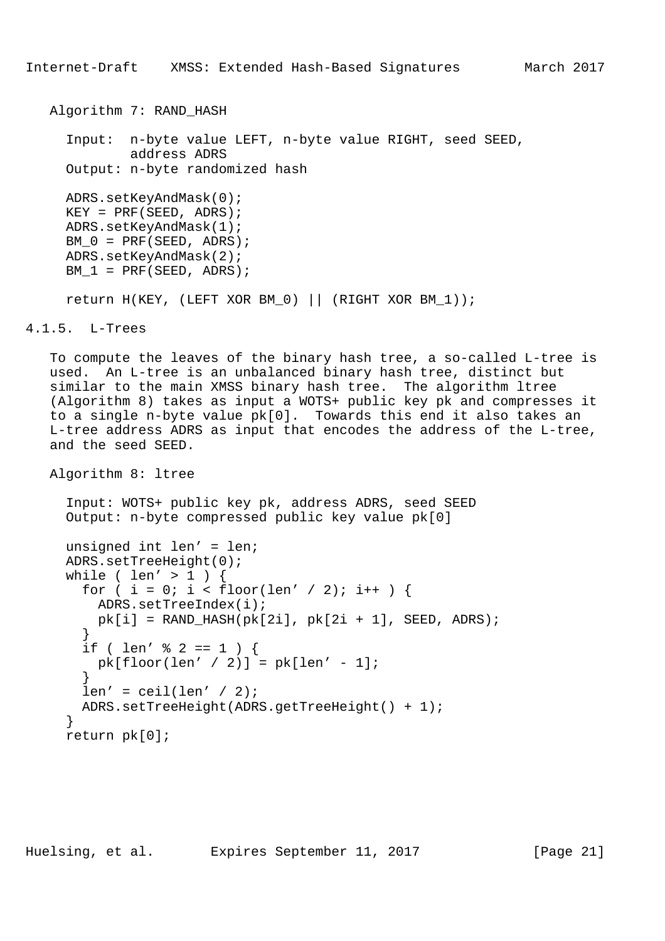```
 Algorithm 7: RAND_HASH
   Input: n-byte value LEFT, n-byte value RIGHT, seed SEED,
           address ADRS
   Output: n-byte randomized hash
   ADRS.setKeyAndMask(0);
  KEY = PRF(SEED, ADRS); ADRS.setKeyAndMask(1);
  BM 0 = PRF(SEED, ADRS);
   ADRS.setKeyAndMask(2);
  BM_1 = PRF(SEED, ADRS);return H(KEY, (LEFT XOR BM 0) || (RIGHT XOR BM 1));
```
4.1.5. L-Trees

 To compute the leaves of the binary hash tree, a so-called L-tree is used. An L-tree is an unbalanced binary hash tree, distinct but similar to the main XMSS binary hash tree. The algorithm ltree (Algorithm 8) takes as input a WOTS+ public key pk and compresses it to a single n-byte value pk[0]. Towards this end it also takes an L-tree address ADRS as input that encodes the address of the L-tree, and the seed SEED.

Algorithm 8: ltree

 Input: WOTS+ public key pk, address ADRS, seed SEED Output: n-byte compressed public key value pk[0]

```
 unsigned int len' = len;
     ADRS.setTreeHeight(0);
     while ( len' > 1 ) {
       for ( i = 0; i < floor(len' / 2); i++ ) {
         ADRS.setTreeIndex(i);
        pk[i] = RAND_HASH(pk[2i], pk[2i + 1], SEED, ADRS); }
       if ( len' \frac{1}{2} 2 == 1 ) {
        pk[floor(len' / 2)] = pk[len' - 1]; }
      len' =ceil(len' / 2); ADRS.setTreeHeight(ADRS.getTreeHeight() + 1);
 }
     return pk[0];
```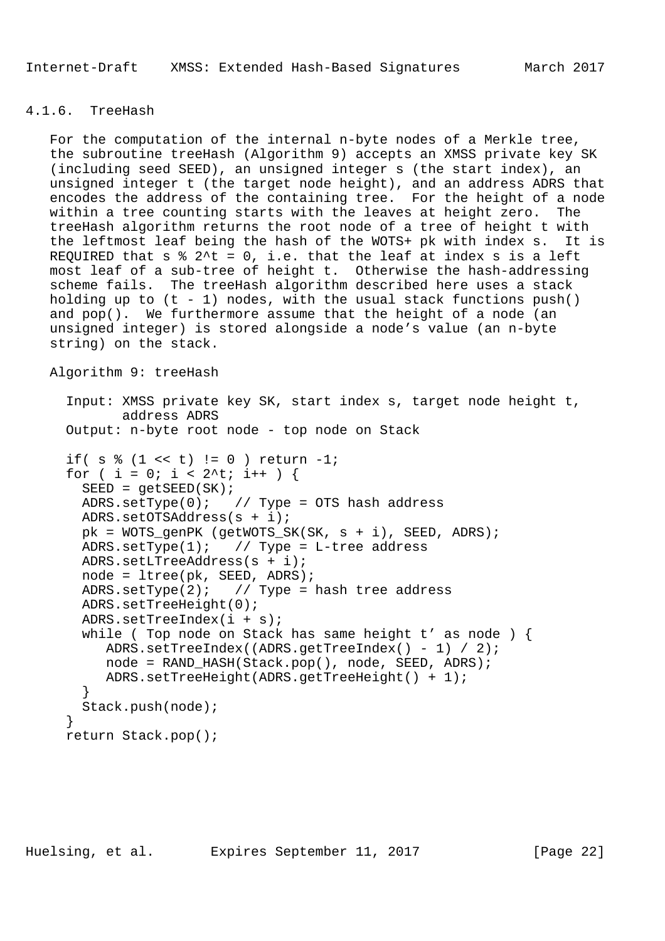### 4.1.6. TreeHash

 For the computation of the internal n-byte nodes of a Merkle tree, the subroutine treeHash (Algorithm 9) accepts an XMSS private key SK (including seed SEED), an unsigned integer s (the start index), an unsigned integer t (the target node height), and an address ADRS that encodes the address of the containing tree. For the height of a node within a tree counting starts with the leaves at height zero. The treeHash algorithm returns the root node of a tree of height t with the leftmost leaf being the hash of the WOTS+ pk with index s. It is REQUIRED that  $s \t3'$ t = 0, i.e. that the leaf at index s is a left most leaf of a sub-tree of height t. Otherwise the hash-addressing scheme fails. The treeHash algorithm described here uses a stack holding up to  $(t - 1)$  nodes, with the usual stack functions  $push()$  and pop(). We furthermore assume that the height of a node (an unsigned integer) is stored alongside a node's value (an n-byte string) on the stack.

```
 Algorithm 9: treeHash
```

```
 Input: XMSS private key SK, start index s, target node height t,
             address ADRS
     Output: n-byte root node - top node on Stack
     if( s \text{ } 8 \text{ } (1 \text{ } < t) != 0 ) return -1;
     for ( i = 0; i < 2^t; i++ ) {
       SEED = getSEED(SK);ADRS.setType(0); // Type = OTS hash address
       ADRS.setOTSAddress(s + i);
       pk = WOTS_genPK (getWOTS_SK(SK, s + i), SEED, ADRS);
      ADRS.setType(1); // Type = L-tree address ADRS.setLTreeAddress(s + i);
       node = ltree(pk, SEED, ADRS);
       ADRS.setType(2); // Type = hash tree address
      ADRS.setTreeHeight(0);
       ADRS.setTreeIndex(i + s);
        while ( Top node on Stack has same height t' as node ) {
           ADRS.setTreeIndex((ADRS.getTreeIndex() - 1) / 2);
           node = RAND_HASH(Stack.pop(), node, SEED, ADRS);
           ADRS.setTreeHeight(ADRS.getTreeHeight() + 1);
 }
        Stack.push(node);
      }
     return Stack.pop();
```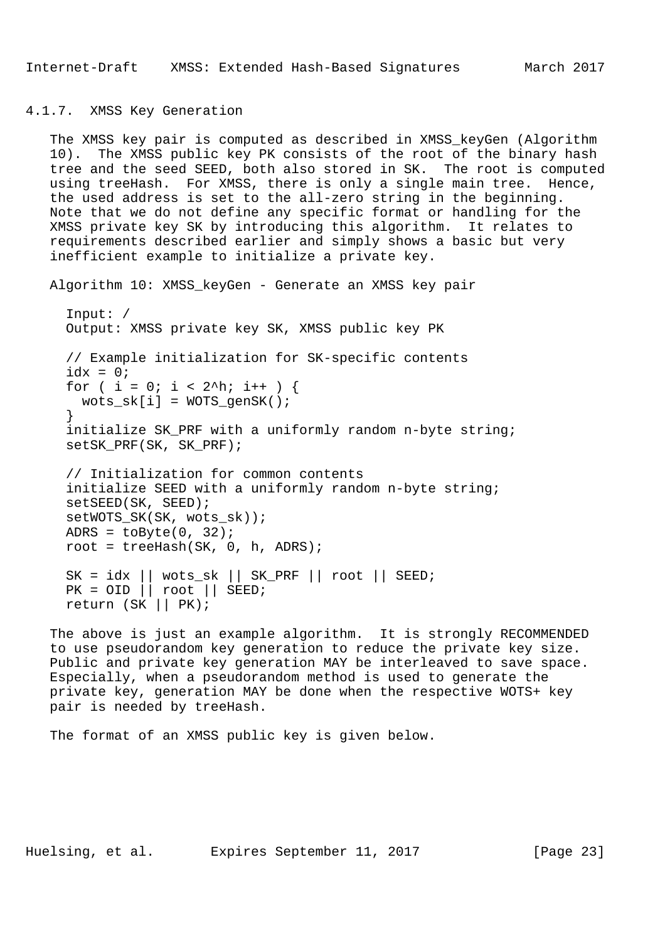```
4.1.7. XMSS Key Generation
```
 The XMSS key pair is computed as described in XMSS\_keyGen (Algorithm 10). The XMSS public key PK consists of the root of the binary hash tree and the seed SEED, both also stored in SK. The root is computed using treeHash. For XMSS, there is only a single main tree. Hence, the used address is set to the all-zero string in the beginning. Note that we do not define any specific format or handling for the XMSS private key SK by introducing this algorithm. It relates to requirements described earlier and simply shows a basic but very inefficient example to initialize a private key.

Algorithm 10: XMSS\_keyGen - Generate an XMSS key pair

```
 Input: /
 Output: XMSS private key SK, XMSS public key PK
 // Example initialization for SK-specific contents
idx = 0;for ( i = 0; i < 2^h; i++ ) {
  wots\_sk[i] = WOTS\_gensK();
 }
 initialize SK_PRF with a uniformly random n-byte string;
 setSK_PRF(SK, SK_PRF);
 // Initialization for common contents
 initialize SEED with a uniformly random n-byte string;
 setSEED(SK, SEED);
 setWOTS_SK(SK, wots_sk));
ADRS = toByte(0, 32);
root = treeHash(SK, 0, h, ADRS);SK = idx || wots_s k || SK_PRF || root || SEED;PK = OID \mid \text{root} \mid \text{SEED}; return (SK || PK);
```
 The above is just an example algorithm. It is strongly RECOMMENDED to use pseudorandom key generation to reduce the private key size. Public and private key generation MAY be interleaved to save space. Especially, when a pseudorandom method is used to generate the private key, generation MAY be done when the respective WOTS+ key pair is needed by treeHash.

The format of an XMSS public key is given below.

Huelsing, et al. Expires September 11, 2017 [Page 23]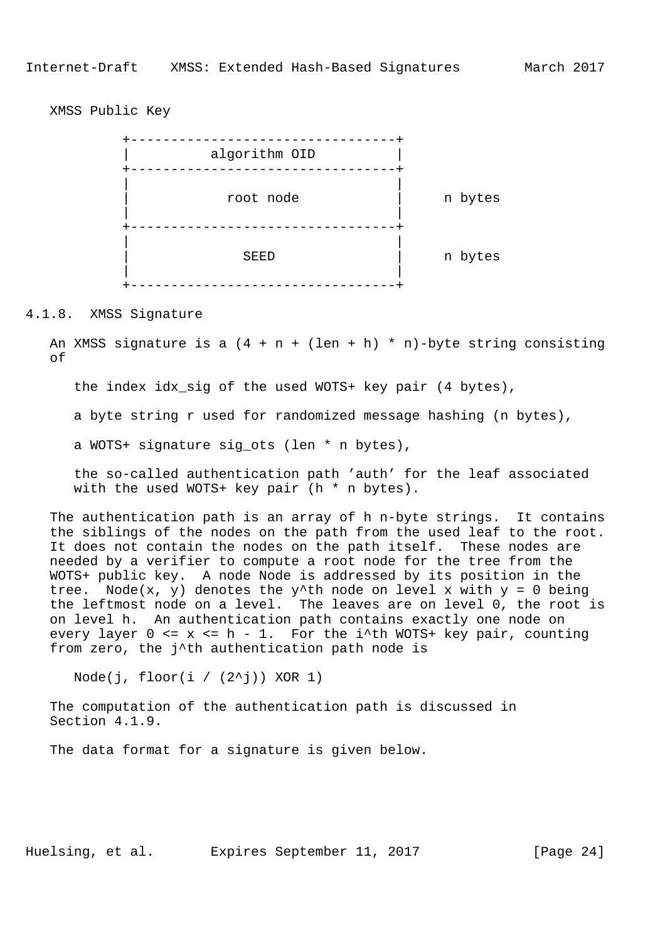XMSS Public Key



#### 4.1.8. XMSS Signature

An XMSS signature is a  $(4 + n + (len + h) * n)$ -byte string consisting of

the index idx\_sig of the used WOTS+ key pair (4 bytes),

a byte string r used for randomized message hashing (n bytes),

a WOTS+ signature sig\_ots (len \* n bytes),

 the so-called authentication path 'auth' for the leaf associated with the used WOTS+ key pair (h  $*$  n bytes).

 The authentication path is an array of h n-byte strings. It contains the siblings of the nodes on the path from the used leaf to the root. It does not contain the nodes on the path itself. These nodes are needed by a verifier to compute a root node for the tree from the WOTS+ public key. A node Node is addressed by its position in the tree. Node(x, y) denotes the y^th node on level x with  $y = 0$  being the leftmost node on a level. The leaves are on level 0, the root is on level h. An authentication path contains exactly one node on every layer  $0 \le x \le h - 1$ . For the i^th WOTS+ key pair, counting from zero, the j^th authentication path node is

Node(j, floor(i /  $(2^{\wedge}j)$ ) XOR 1)

 The computation of the authentication path is discussed in Section 4.1.9.

The data format for a signature is given below.

Huelsing, et al. Expires September 11, 2017 [Page 24]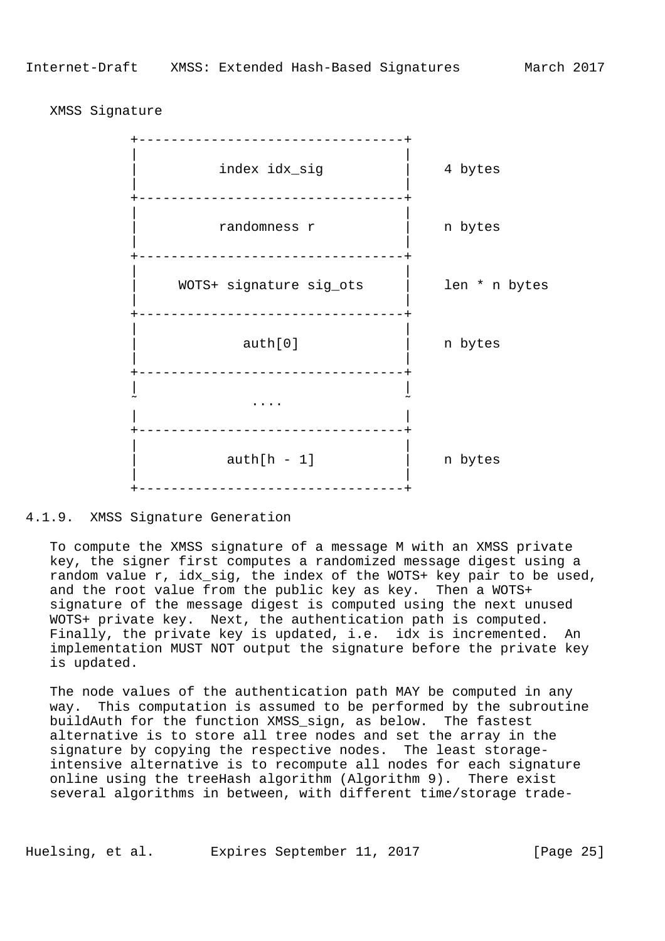+---------------------------------+ | | | index idx\_sig | 4 bytes | | +---------------------------------+ | | | randomness r | n bytes | | +---------------------------------+ | | | WOTS+ signature sig\_ots | len \* n bytes | | +---------------------------------+ | | auth[0] | n bytes | | +---------------------------------+ | |  $\sim$  . The contract of the contract of the contract of the contract of the contract of the contract of the contract of the contract of the contract of the contract of the contract of the contract of the contract of the co | | +---------------------------------+ | |  $\text{auth}[h - 1]$  | n bytes | | +---------------------------------+

#### XMSS Signature

### 4.1.9. XMSS Signature Generation

 To compute the XMSS signature of a message M with an XMSS private key, the signer first computes a randomized message digest using a random value r, idx\_sig, the index of the WOTS+ key pair to be used, and the root value from the public key as key. Then a WOTS+ signature of the message digest is computed using the next unused WOTS+ private key. Next, the authentication path is computed. Finally, the private key is updated, i.e. idx is incremented. An implementation MUST NOT output the signature before the private key is updated.

 The node values of the authentication path MAY be computed in any way. This computation is assumed to be performed by the subroutine buildAuth for the function XMSS\_sign, as below. The fastest alternative is to store all tree nodes and set the array in the signature by copying the respective nodes. The least storage intensive alternative is to recompute all nodes for each signature online using the treeHash algorithm (Algorithm 9). There exist several algorithms in between, with different time/storage trade-

Huelsing, et al. Expires September 11, 2017 [Page 25]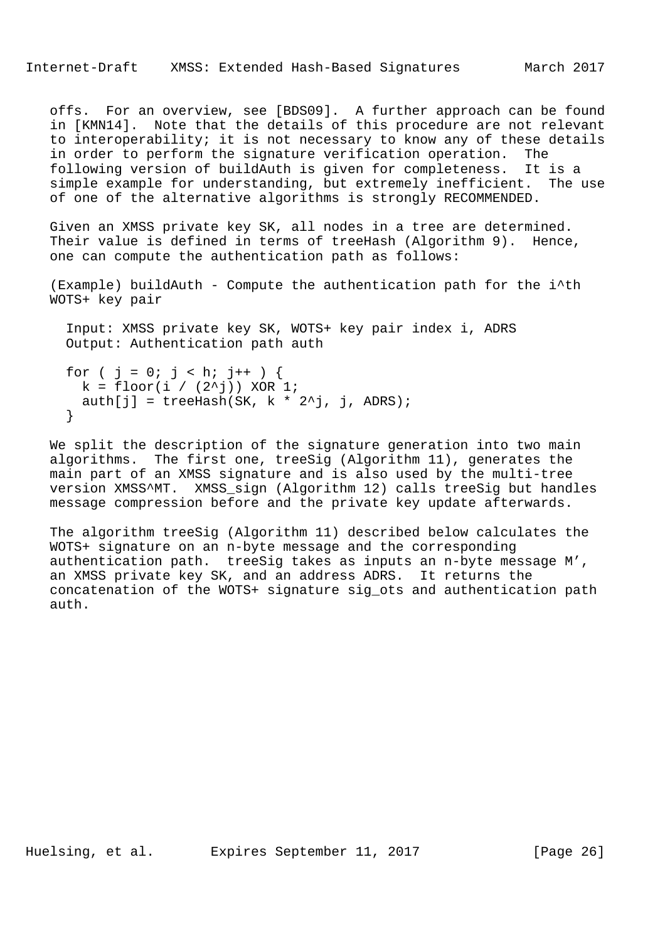offs. For an overview, see [BDS09]. A further approach can be found in [KMN14]. Note that the details of this procedure are not relevant to interoperability; it is not necessary to know any of these details in order to perform the signature verification operation. The following version of buildAuth is given for completeness. It is a simple example for understanding, but extremely inefficient. The use of one of the alternative algorithms is strongly RECOMMENDED.

 Given an XMSS private key SK, all nodes in a tree are determined. Their value is defined in terms of treeHash (Algorithm 9). Hence, one can compute the authentication path as follows:

 (Example) buildAuth - Compute the authentication path for the i^th WOTS+ key pair

 Input: XMSS private key SK, WOTS+ key pair index i, ADRS Output: Authentication path auth

```
for ( j = 0; j < h; j++) {
 k = \text{floor}(i / (2^i)) XOR 1;
 auth[j] = treeHash(SK, k * 2^jj, j, ADRS);
 }
```
 We split the description of the signature generation into two main algorithms. The first one, treeSig (Algorithm 11), generates the main part of an XMSS signature and is also used by the multi-tree version XMSS^MT. XMSS\_sign (Algorithm 12) calls treeSig but handles message compression before and the private key update afterwards.

 The algorithm treeSig (Algorithm 11) described below calculates the WOTS+ signature on an n-byte message and the corresponding authentication path. treeSig takes as inputs an n-byte message M', an XMSS private key SK, and an address ADRS. It returns the concatenation of the WOTS+ signature sig\_ots and authentication path auth.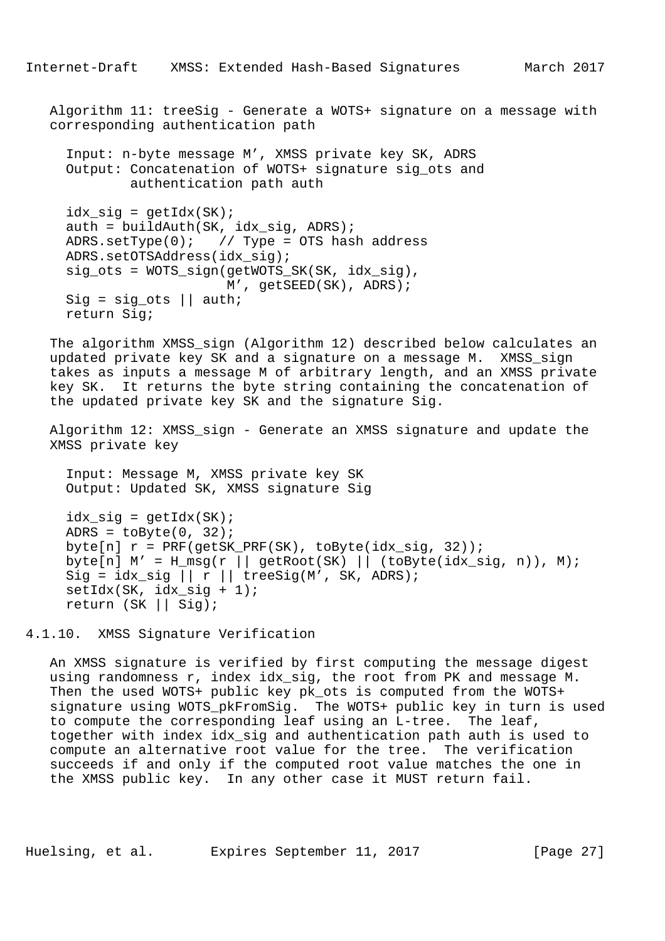Algorithm 11: treeSig - Generate a WOTS+ signature on a message with corresponding authentication path

 Input: n-byte message M', XMSS private key SK, ADRS Output: Concatenation of WOTS+ signature sig\_ots and authentication path auth

 $idx\_sig = getIdx(SK);$  $auth = buildAuthor(SK, idx_sig, ADRS);$ ADRS.setType(0);  $// Type = OTS hash address$  ADRS.setOTSAddress(idx\_sig); sig\_ots = WOTS\_sign(getWOTS\_SK(SK, idx\_sig), M', getSEED(SK), ADRS); Sig = sig ots  $||$  auth; return Sig;

 The algorithm XMSS\_sign (Algorithm 12) described below calculates an updated private key SK and a signature on a message M. XMSS\_sign takes as inputs a message M of arbitrary length, and an XMSS private key SK. It returns the byte string containing the concatenation of the updated private key SK and the signature Sig.

 Algorithm 12: XMSS\_sign - Generate an XMSS signature and update the XMSS private key

 Input: Message M, XMSS private key SK Output: Updated SK, XMSS signature Sig

 $idx\_sig = getIdx(SK);$ ADRS =  $toByte(0, 32)$ ; byte[n]  $r = PRF(getSK\_PRF(SK)$ , toByte( $idx\_sig$ , 32)); byte[n]  $M' = H_m s g(r || getRoot(SK) || (toByte(idx_sig, n)), M);$  $\text{Sig} = \text{idx\_sig}$  || r || treeSig(M', SK, ADRS);  $setIdx(SK, idx_isig + 1);$ return (SK || Sig);

4.1.10. XMSS Signature Verification

 An XMSS signature is verified by first computing the message digest using randomness r, index idx\_sig, the root from PK and message M. Then the used WOTS+ public key pk ots is computed from the WOTS+ signature using WOTS pkFromSig. The WOTS+ public key in turn is used to compute the corresponding leaf using an L-tree. The leaf, together with index idx\_sig and authentication path auth is used to compute an alternative root value for the tree. The verification succeeds if and only if the computed root value matches the one in the XMSS public key. In any other case it MUST return fail.

Huelsing, et al. Expires September 11, 2017 [Page 27]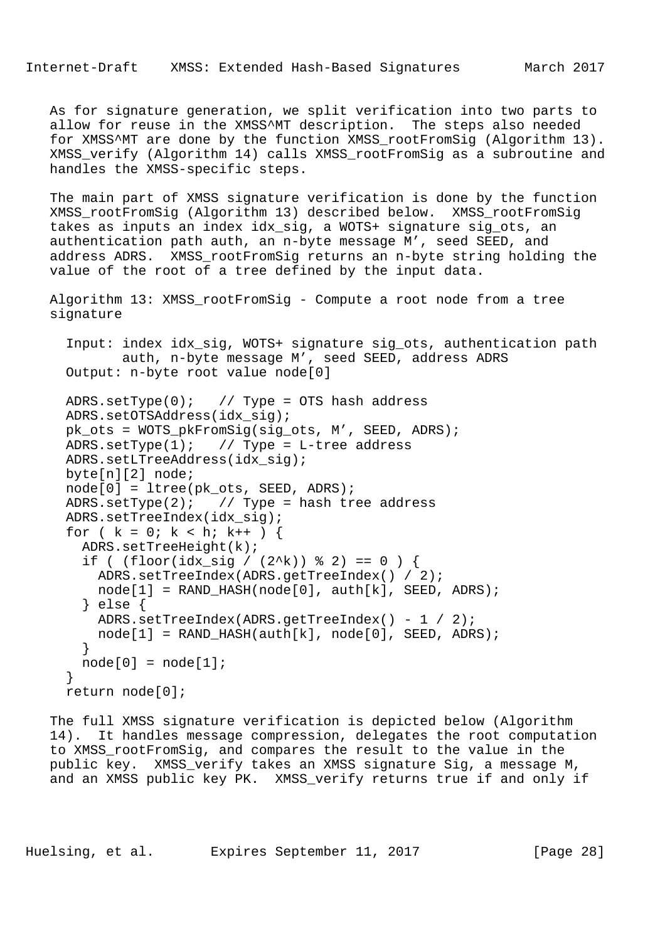Internet-Draft XMSS: Extended Hash-Based Signatures March 2017

 As for signature generation, we split verification into two parts to allow for reuse in the XMSS^MT description. The steps also needed for XMSS^MT are done by the function XMSS\_rootFromSig (Algorithm 13). XMSS\_verify (Algorithm 14) calls XMSS\_rootFromSig as a subroutine and handles the XMSS-specific steps.

 The main part of XMSS signature verification is done by the function XMSS\_rootFromSig (Algorithm 13) described below. XMSS\_rootFromSig takes as inputs an index idx\_sig, a WOTS+ signature sig\_ots, an authentication path auth, an n-byte message M', seed SEED, and address ADRS. XMSS\_rootFromSig returns an n-byte string holding the value of the root of a tree defined by the input data.

 Algorithm 13: XMSS\_rootFromSig - Compute a root node from a tree signature

 Input: index idx\_sig, WOTS+ signature sig\_ots, authentication path auth, n-byte message M', seed SEED, address ADRS Output: n-byte root value node[0]

```
 ADRS.setType(0); // Type = OTS hash address
 ADRS.setOTSAddress(idx_sig);
 pk_ots = WOTS_pkFromSig(sig_ots, M', SEED, ADRS);
ADRS.setType(1); // Type = L-tree address ADRS.setLTreeAddress(idx_sig);
 byte[n][2] node;
 node[0] = ltree(pk_ots, SEED, ADRS);
ADRS.setType(2); // Type = hash tree address ADRS.setTreeIndex(idx_sig);
for ( k = 0; k < h; k++ ) {
 ADRS.setTreeHeight(k);
  if ( (floor_idx_isig / (2^k)) % 2) == 0 ) {
     ADRS.setTreeIndex(ADRS.getTreeIndex() / 2);
   node[1] = RAND_HASH(node[0], author[k], SEED, ADRS); } else {
    ADRS.setTreeIndex(ADRS.getTreeIndex() - 1 / 2);
   node[1] = RAND_HASH(auth[k], node[0], SEED, ADRS); }
 node[0] = node[1]; }
 return node[0];
```
 The full XMSS signature verification is depicted below (Algorithm 14). It handles message compression, delegates the root computation to XMSS\_rootFromSig, and compares the result to the value in the public key. XMSS\_verify takes an XMSS signature Sig, a message M, and an XMSS public key PK. XMSS\_verify returns true if and only if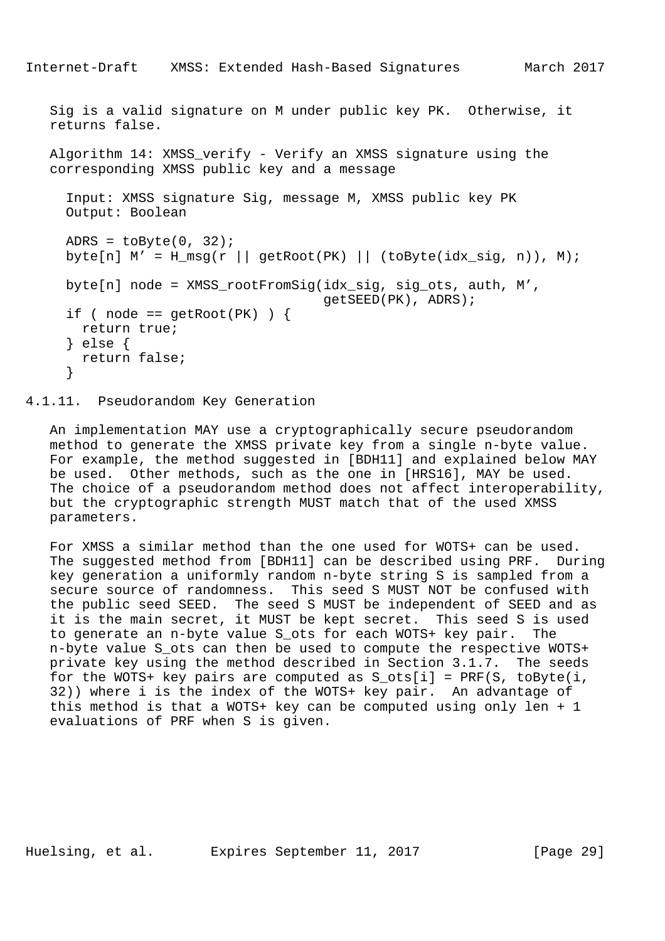```
Internet-Draft XMSS: Extended Hash-Based Signatures March 2017
   Sig is a valid signature on M under public key PK. Otherwise, it
   returns false.
  Algorithm 14: XMSS verify - Verify an XMSS signature using the
   corresponding XMSS public key and a message
      Input: XMSS signature Sig, message M, XMSS public key PK
     Output: Boolean
    ADRS = toByte(0, 32);
    byte[n] M' = H_m s g(r || getRoot(PK) || (toByte(idx_sig, n)), M);byte[n] node = XMSS rootFromSig(idx sig, sig ots, auth, M',
                                      getSEED(PK), ADRS);
    if ( node == qetRoot(PK) ) {
       return true;
      } else {
      return false;
      }
```
### 4.1.11. Pseudorandom Key Generation

 An implementation MAY use a cryptographically secure pseudorandom method to generate the XMSS private key from a single n-byte value. For example, the method suggested in [BDH11] and explained below MAY be used. Other methods, such as the one in [HRS16], MAY be used. The choice of a pseudorandom method does not affect interoperability, but the cryptographic strength MUST match that of the used XMSS parameters.

 For XMSS a similar method than the one used for WOTS+ can be used. The suggested method from [BDH11] can be described using PRF. During key generation a uniformly random n-byte string S is sampled from a secure source of randomness. This seed S MUST NOT be confused with the public seed SEED. The seed S MUST be independent of SEED and as it is the main secret, it MUST be kept secret. This seed S is used to generate an n-byte value S\_ots for each WOTS+ key pair. The n-byte value S\_ots can then be used to compute the respective WOTS+ private key using the method described in Section 3.1.7. The seeds for the WOTS+ key pairs are computed as  $S_{\text{obs}}[i] = PRF(S, toByte(i,$  32)) where i is the index of the WOTS+ key pair. An advantage of this method is that a WOTS+ key can be computed using only len + 1 evaluations of PRF when S is given.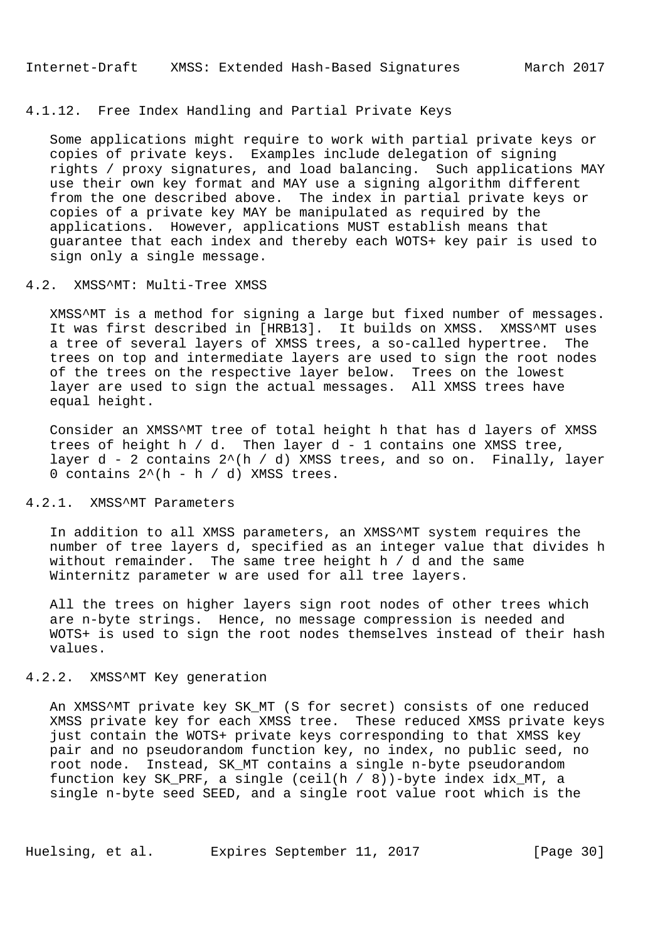### 4.1.12. Free Index Handling and Partial Private Keys

 Some applications might require to work with partial private keys or copies of private keys. Examples include delegation of signing rights / proxy signatures, and load balancing. Such applications MAY use their own key format and MAY use a signing algorithm different from the one described above. The index in partial private keys or copies of a private key MAY be manipulated as required by the applications. However, applications MUST establish means that guarantee that each index and thereby each WOTS+ key pair is used to sign only a single message.

### 4.2. XMSS^MT: Multi-Tree XMSS

 XMSS^MT is a method for signing a large but fixed number of messages. It was first described in [HRB13]. It builds on XMSS. XMSS^MT uses a tree of several layers of XMSS trees, a so-called hypertree. The trees on top and intermediate layers are used to sign the root nodes of the trees on the respective layer below. Trees on the lowest layer are used to sign the actual messages. All XMSS trees have equal height.

 Consider an XMSS^MT tree of total height h that has d layers of XMSS trees of height h  $/$  d. Then layer d - 1 contains one XMSS tree, layer  $d - 2$  contains  $2^{(h)}/d$ ) XMSS trees, and so on. Finally, layer 0 contains  $2^{(h - h / d)}$  XMSS trees.

# 4.2.1. XMSS^MT Parameters

 In addition to all XMSS parameters, an XMSS^MT system requires the number of tree layers d, specified as an integer value that divides h without remainder. The same tree height h / d and the same Winternitz parameter w are used for all tree layers.

 All the trees on higher layers sign root nodes of other trees which are n-byte strings. Hence, no message compression is needed and WOTS+ is used to sign the root nodes themselves instead of their hash values.

### 4.2.2. XMSS^MT Key generation

An XMSS^MT private key SK MT (S for secret) consists of one reduced XMSS private key for each XMSS tree. These reduced XMSS private keys just contain the WOTS+ private keys corresponding to that XMSS key pair and no pseudorandom function key, no index, no public seed, no root node. Instead, SK\_MT contains a single n-byte pseudorandom function key SK\_PRF, a single (ceil(h / 8))-byte index idx\_MT, a single n-byte seed SEED, and a single root value root which is the

Huelsing, et al. Expires September 11, 2017 [Page 30]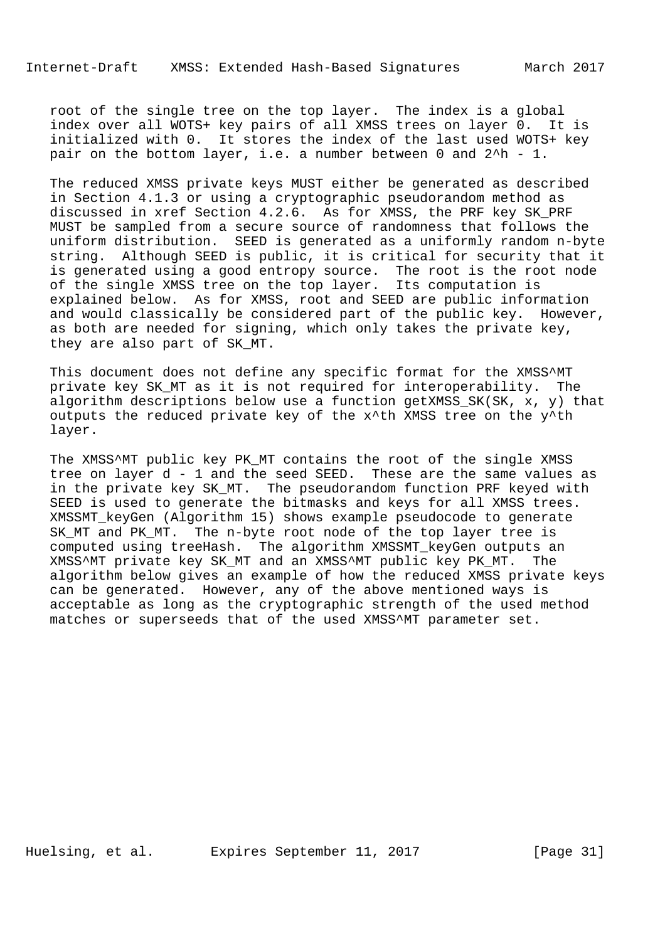root of the single tree on the top layer. The index is a global index over all WOTS+ key pairs of all XMSS trees on layer 0. It is initialized with 0. It stores the index of the last used WOTS+ key pair on the bottom layer, i.e. a number between 0 and 2^h - 1.

 The reduced XMSS private keys MUST either be generated as described in Section 4.1.3 or using a cryptographic pseudorandom method as discussed in xref Section 4.2.6. As for XMSS, the PRF key SK\_PRF MUST be sampled from a secure source of randomness that follows the uniform distribution. SEED is generated as a uniformly random n-byte string. Although SEED is public, it is critical for security that it is generated using a good entropy source. The root is the root node of the single XMSS tree on the top layer. Its computation is explained below. As for XMSS, root and SEED are public information and would classically be considered part of the public key. However, as both are needed for signing, which only takes the private key, they are also part of SK\_MT.

This document does not define any specific format for the XMSS^MT private key SK\_MT as it is not required for interoperability. The algorithm descriptions below use a function getXMSS\_SK(SK, x, y) that outputs the reduced private key of the x^th XMSS tree on the y^th layer.

The XMSS^MT public key PK\_MT contains the root of the single XMSS tree on layer d - 1 and the seed SEED. These are the same values as in the private key SK\_MT. The pseudorandom function PRF keyed with SEED is used to generate the bitmasks and keys for all XMSS trees. XMSSMT\_keyGen (Algorithm 15) shows example pseudocode to generate SK\_MT and PK\_MT. The n-byte root node of the top layer tree is computed using treeHash. The algorithm XMSSMT\_keyGen outputs an XMSS^MT private key SK\_MT and an XMSS^MT public key PK\_MT. The algorithm below gives an example of how the reduced XMSS private keys can be generated. However, any of the above mentioned ways is acceptable as long as the cryptographic strength of the used method matches or superseeds that of the used XMSS^MT parameter set.

Huelsing, et al. Expires September 11, 2017 [Page 31]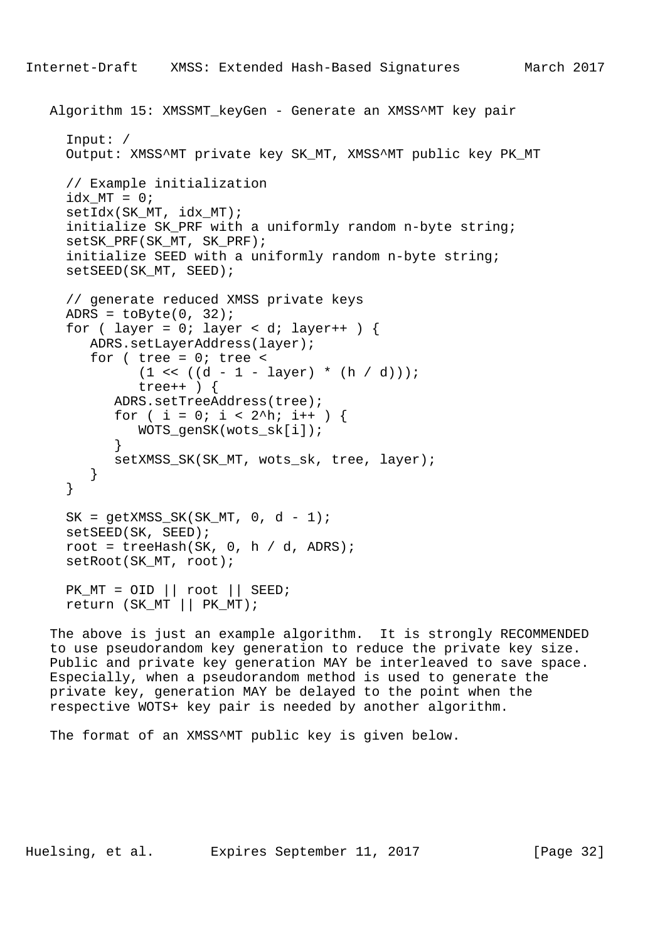```
 Algorithm 15: XMSSMT_keyGen - Generate an XMSS^MT key pair
      Input: /
      Output: XMSS^MT private key SK_MT, XMSS^MT public key PK_MT
      // Example initialization
     idx_MT = 0; setIdx(SK_MT, idx_MT);
      initialize SK_PRF with a uniformly random n-byte string;
     setSK_PRF(SK_MT, SK_PRF);
      initialize SEED with a uniformly random n-byte string;
      setSEED(SK_MT, SEED);
      // generate reduced XMSS private keys
     ADRS = \text{toByte}(0, 32);
     for ( layer = 0; layer < di layer ++ ) {
         ADRS.setLayerAddress(layer);
        for ( tree = 0; tree <(1 \le (d - 1 - layer) * (h / d)));
               tree++ ) {
            ADRS.setTreeAddress(tree);
           for ( i = 0; i < 2^h; i++ ) {
               WOTS_genSK(wots_sk[i]);
 }
            setXMSS_SK(SK_MT, wots_sk, tree, layer);
         }
      }
     SK = getXMSS_SKK(SK_MTT, 0, d - 1); setSEED(SK, SEED);
     root = treeHash(SK, 0, h / d, ADRS);
      setRoot(SK_MT, root);
    PK_MT = OID \mid \text{root} \mid \text{SEED}; return (SK_MT || PK_MT);
```
 The above is just an example algorithm. It is strongly RECOMMENDED to use pseudorandom key generation to reduce the private key size. Public and private key generation MAY be interleaved to save space. Especially, when a pseudorandom method is used to generate the private key, generation MAY be delayed to the point when the respective WOTS+ key pair is needed by another algorithm.

The format of an XMSS^MT public key is given below.

Huelsing, et al. Expires September 11, 2017 [Page 32]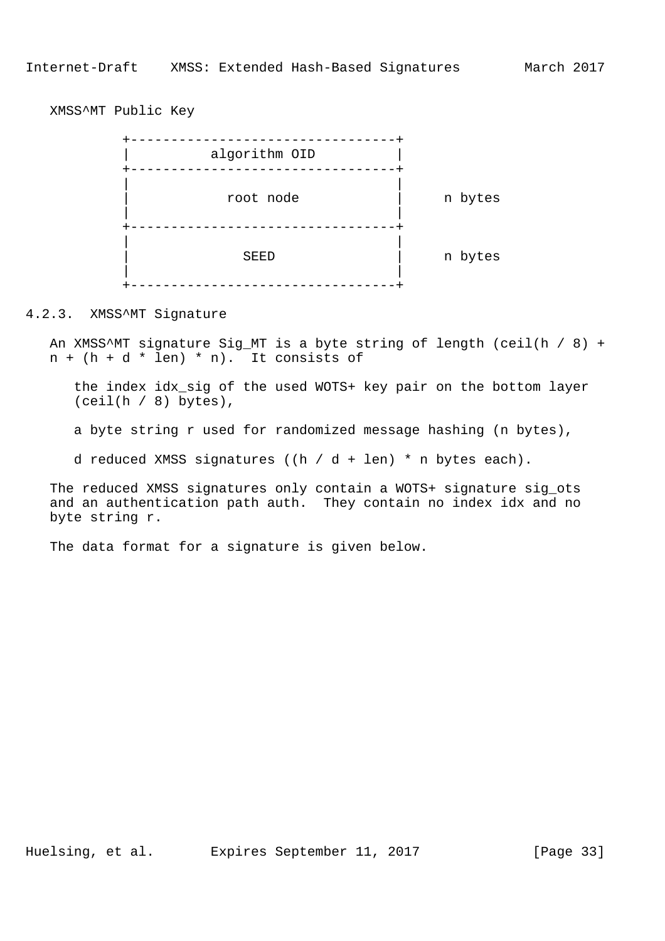XMSS^MT Public Key



4.2.3. XMSS^MT Signature

 An XMSS^MT signature Sig\_MT is a byte string of length (ceil(h / 8) +  $n + (h + d * len) * n$ . It consists of

 the index idx\_sig of the used WOTS+ key pair on the bottom layer  $(ceil(h / 8)$  bytes),

a byte string r used for randomized message hashing (n bytes),

d reduced XMSS signatures ((h / d + len) \* n bytes each).

 The reduced XMSS signatures only contain a WOTS+ signature sig\_ots and an authentication path auth. They contain no index idx and no byte string r.

The data format for a signature is given below.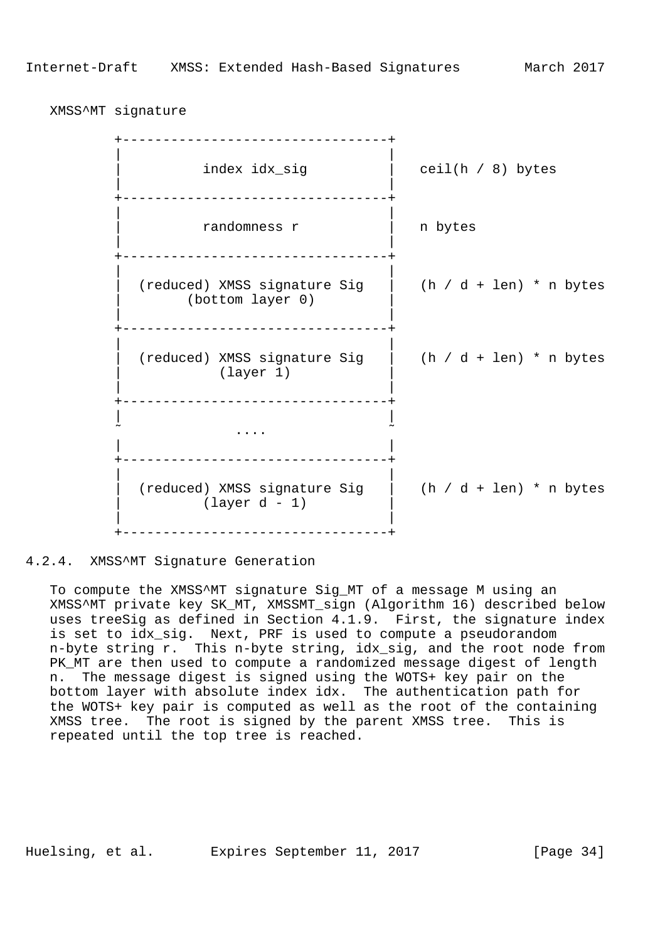XMSS^MT signature

 +---------------------------------+ | | index idx\_sig  $|$  ceil(h / 8) bytes | | +---------------------------------+ | | | randomness r | n bytes | | +---------------------------------+ | | (reduced) XMSS signature Sig  $|$  (h / d + len) \* n bytes (bottom layer 0) | | .<br>+-----------------------------------+ | | | (reduced) XMSS signature Sig | (h / d + len) \* n bytes (layer 1) | | +---------------------------------+ | |  $\sim$  . The contract of the contract of the contract of the contract of the contract of the contract of the contract of the contract of the contract of the contract of the contract of the contract of the contract of the co | | .<br>+--------------------------------- | | | (reduced) XMSS signature Sig | (h / d + len) \* n bytes | (layer d - 1) | | | .<br>+-----------------------------------+

4.2.4. XMSS^MT Signature Generation

 To compute the XMSS^MT signature Sig\_MT of a message M using an XMSS^MT private key SK\_MT, XMSSMT\_sign (Algorithm 16) described below uses treeSig as defined in Section 4.1.9. First, the signature index is set to idx\_sig. Next, PRF is used to compute a pseudorandom n-byte string r. This n-byte string, idx\_sig, and the root node from PK\_MT are then used to compute a randomized message digest of length n. The message digest is signed using the WOTS+ key pair on the bottom layer with absolute index idx. The authentication path for the WOTS+ key pair is computed as well as the root of the containing XMSS tree. The root is signed by the parent XMSS tree. This is repeated until the top tree is reached.

Huelsing, et al. Expires September 11, 2017 [Page 34]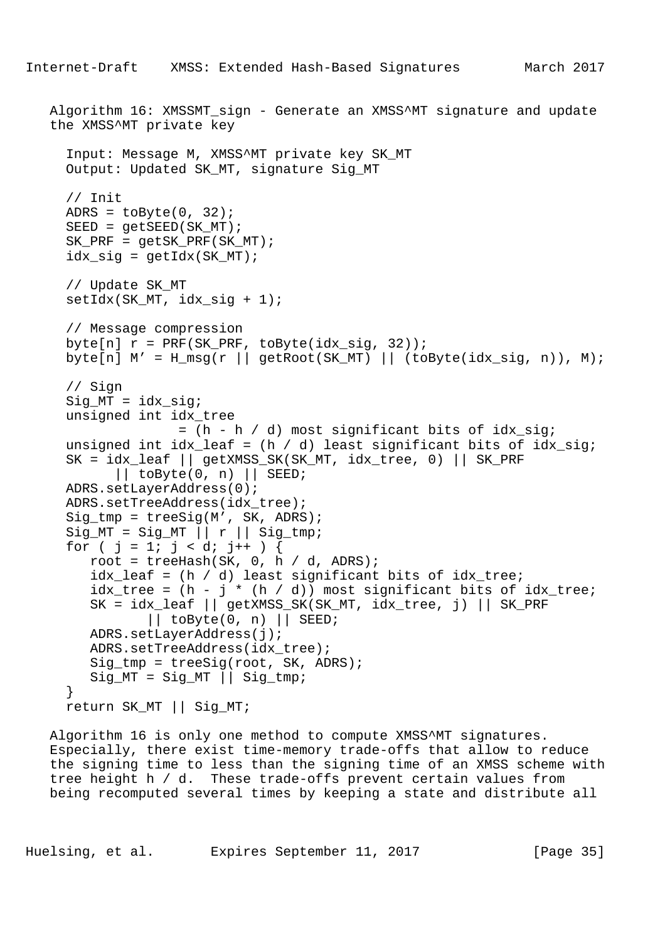```
 Algorithm 16: XMSSMT_sign - Generate an XMSS^MT signature and update
 the XMSS^MT private key
   Input: Message M, XMSS^MT private key SK_MT
   Output: Updated SK_MT, signature Sig_MT
   // Init
  ADRS = \text{toByte}(0, 32);
  SEED = qetsEED(SKMT);SK PRF = qetsK PRF(SK MT);
  idx\_sig = getIdx(SK_MT); // Update SK_MT
  setIdx(SK_MT, idx_sig + 1);
   // Message compression
  byte[n] r = PRF(SK_PRF, toByte(idx_sig, 32));byte[n] M' = H_m s g(r || getRoot(SK_MT) || (toByte(idx_sig, n)), M); // Sign
   Sig_MT = idx_sig;
   unsigned int idx_tree
                 = (h - h / d) most significant bits of idx_sig;
  unsigned int idx\_leaf = (h / d) least significant bits of idx\_sig;
   SK = idx_leaf || getXMSS_SK(SK_MT, idx_tree, 0) || SK_PRF
        || to By te (0, n) || SEED;
   ADRS.setLayerAddress(0);
   ADRS.setTreeAddress(idx_tree);
   Sig_tmp = treeSig(M', SK, ADRS);
  Sig_MT = Sig_MT || r || Sig_tmp;for ( j = 1; j < di j++) {
     root = treeHash(SK, 0, h / d, ADRS);
      idx_leaf = (h / d) least significant bits of idx_tree;
     idx\_tree = (h - j * (h / d)) most significant bits of idx\_tree;
      SK = idx_leaf || getXMSS_SK(SK_MT, idx_tree, j) || SK_PRF
             || to By te (0, n) || SEED;
      ADRS.setLayerAddress(j);
      ADRS.setTreeAddress(idx_tree);
      Sig_tmp = treeSig(root, SK, ADRS);
     Sig_MT = Sig_MT || Sig_tmp; }
   return SK_MT || Sig_MT;
```
 Algorithm 16 is only one method to compute XMSS^MT signatures. Especially, there exist time-memory trade-offs that allow to reduce the signing time to less than the signing time of an XMSS scheme with tree height h / d. These trade-offs prevent certain values from being recomputed several times by keeping a state and distribute all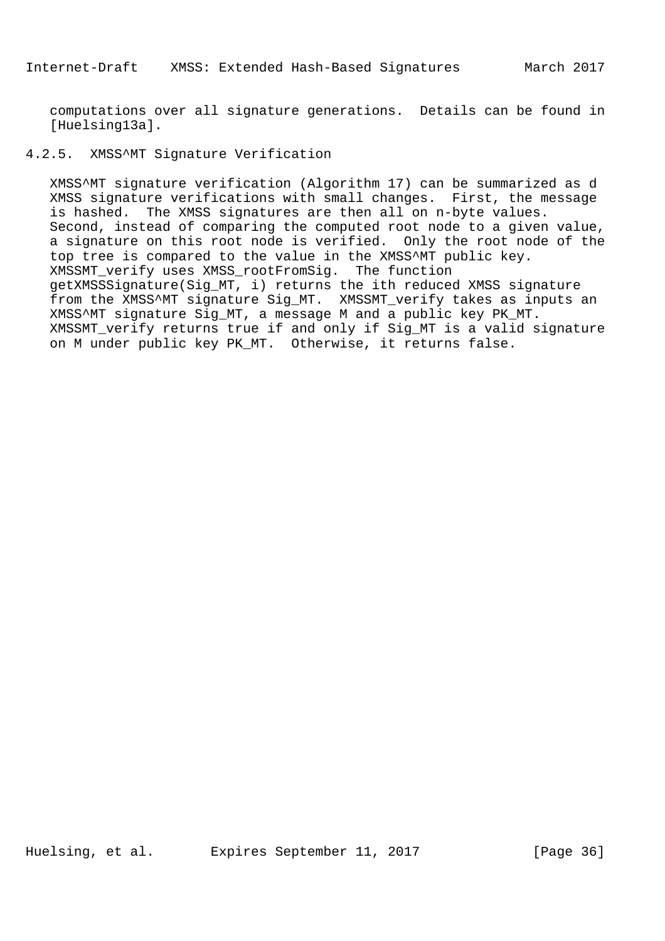computations over all signature generations. Details can be found in [Huelsing13a].

## 4.2.5. XMSS^MT Signature Verification

 XMSS^MT signature verification (Algorithm 17) can be summarized as d XMSS signature verifications with small changes. First, the message is hashed. The XMSS signatures are then all on n-byte values. Second, instead of comparing the computed root node to a given value, a signature on this root node is verified. Only the root node of the top tree is compared to the value in the XMSS^MT public key. XMSSMT\_verify uses XMSS\_rootFromSig. The function getXMSSSignature(Sig\_MT, i) returns the ith reduced XMSS signature from the XMSS^MT signature Sig\_MT. XMSSMT\_verify takes as inputs an XMSS^MT signature Sig\_MT, a message M and a public key PK\_MT. XMSSMT verify returns true if and only if Sig MT is a valid signature on M under public key PK\_MT. Otherwise, it returns false.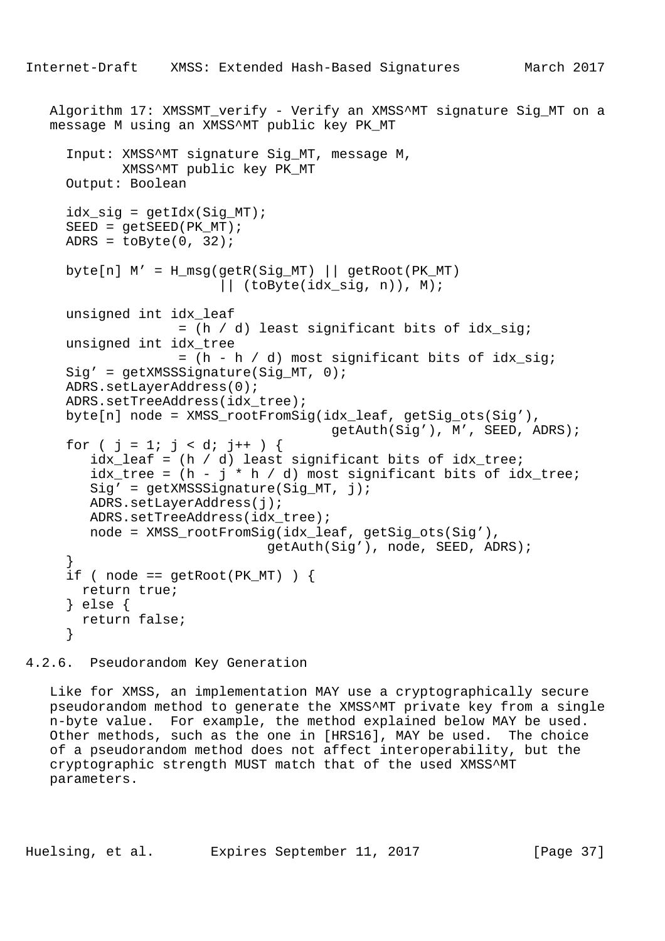```
Algorithm 17: XMSSMT verify - Verify an XMSS^MT signature Sig MT on a
   message M using an XMSS^MT public key PK_MT
      Input: XMSS^MT signature Sig_MT, message M,
             XMSS^MT public key PK_MT
     Output: Boolean
     idx\_sig = getIdx(Sig_MT);SEED = qetsEED(PKMT);ADRS = toByte(0, 32);
    byte[n] M' = H_m s g (get R(Sig_MT) || getRoot(PK_MT) || (toByte(idx_sig, n)), M);
     unsigned int idx_leaf
                   = (h / d) least significant bits of idx sig;
     unsigned int idx_tree
                    = (h - h / d) most significant bits of idx_sig;
    Sig' = getXMSSSignature(Siq MT, 0); ADRS.setLayerAddress(0);
    ADRS.setTreeAddress(idx_tree);
     byte[n] node = XMSS_rootFromSig(idx_leaf, getSig_ots(Sig'),
                                        getAuth(Sig'), M', SEED, ADRS);
     for ( j = 1; j < di + ) {
        idx\_leaf = (h / d) least significant bits of idx\_tree;
        idx\_tree = (h - j * h / d) most significant bits of idx\_tree;
        Sig' = getXMSSSignature(Sig_MT, j); ADRS.setLayerAddress(j);
        ADRS.setTreeAddress(idx_tree);
         node = XMSS_rootFromSig(idx_leaf, getSig_ots(Sig'),
                               getAuth(Sig'), node, SEED, ADRS);
 }
     if ( node == getRoot(PK_MT) ) {
       return true;
      } else {
       return false;
      }
```
4.2.6. Pseudorandom Key Generation

 Like for XMSS, an implementation MAY use a cryptographically secure pseudorandom method to generate the XMSS^MT private key from a single n-byte value. For example, the method explained below MAY be used. Other methods, such as the one in [HRS16], MAY be used. The choice of a pseudorandom method does not affect interoperability, but the cryptographic strength MUST match that of the used XMSS^MT parameters.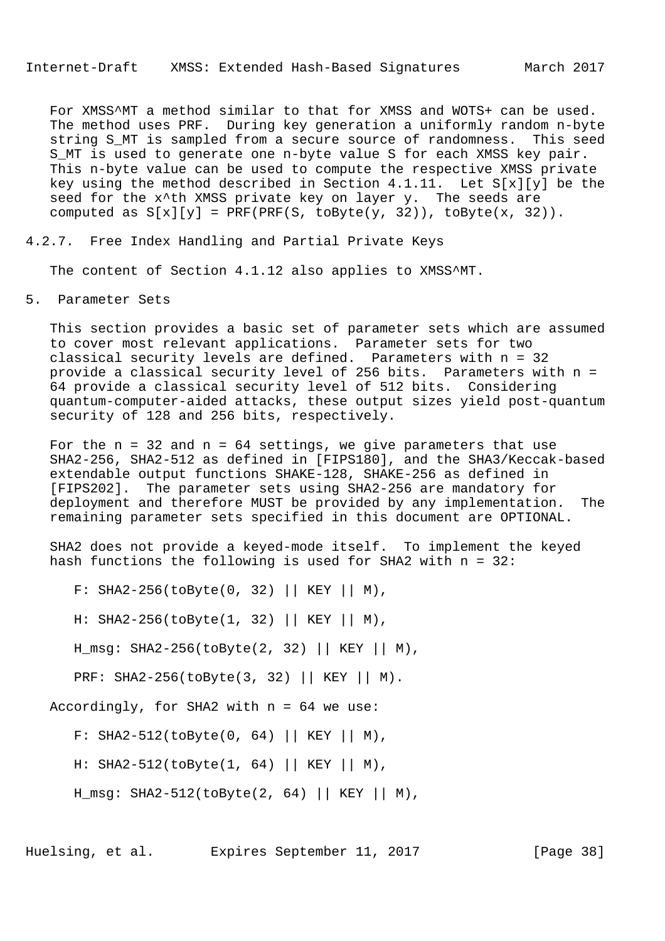For XMSS^MT a method similar to that for XMSS and WOTS+ can be used. The method uses PRF. During key generation a uniformly random n-byte string S\_MT is sampled from a secure source of randomness. This seed S MT is used to generate one n-byte value S for each XMSS key pair. This n-byte value can be used to compute the respective XMSS private key using the method described in Section 4.1.11. Let S[x][y] be the seed for the x<sup>^</sup>th XMSS private key on layer y. The seeds are computed as  $S[x][y] = PRF(PRF(S, toByte(y, 32)), toByte(x, 32)).$ 

4.2.7. Free Index Handling and Partial Private Keys

The content of Section 4.1.12 also applies to XMSS^MT.

5. Parameter Sets

 This section provides a basic set of parameter sets which are assumed to cover most relevant applications. Parameter sets for two classical security levels are defined. Parameters with n = 32 provide a classical security level of 256 bits. Parameters with n = 64 provide a classical security level of 512 bits. Considering quantum-computer-aided attacks, these output sizes yield post-quantum security of 128 and 256 bits, respectively.

For the  $n = 32$  and  $n = 64$  settings, we give parameters that use SHA2-256, SHA2-512 as defined in [FIPS180], and the SHA3/Keccak-based extendable output functions SHAKE-128, SHAKE-256 as defined in [FIPS202]. The parameter sets using SHA2-256 are mandatory for deployment and therefore MUST be provided by any implementation. The remaining parameter sets specified in this document are OPTIONAL.

 SHA2 does not provide a keyed-mode itself. To implement the keyed hash functions the following is used for SHA2 with n = 32:

F: SHA2-256(toByte(0, 32) || KEY || M),

H: SHA2-256(toByte(1, 32) || KEY || M),

H\_msg: SHA2-256(toByte(2, 32) || KEY || M),

PRF: SHA2-256(toByte(3, 32) || KEY || M).

Accordingly, for SHA2 with  $n = 64$  we use:

F: SHA2-512(toByte(0, 64) || KEY || M),

H: SHA2-512(toByte(1, 64) || KEY || M),

H msq: SHA2-512(toByte(2, 64) || KEY || M),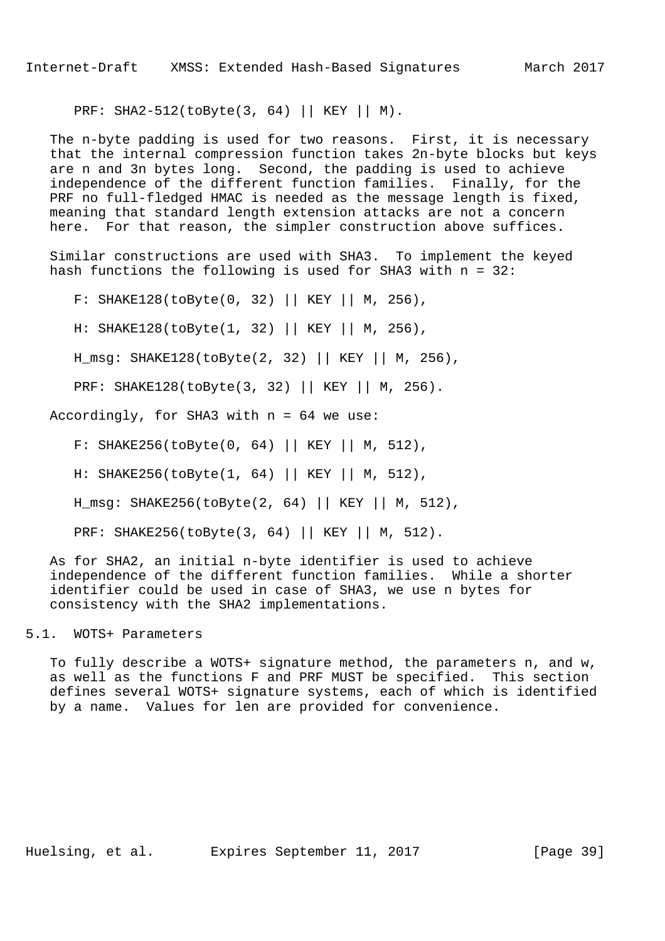PRF: SHA2-512(toByte(3, 64) || KEY || M).

 The n-byte padding is used for two reasons. First, it is necessary that the internal compression function takes 2n-byte blocks but keys are n and 3n bytes long. Second, the padding is used to achieve independence of the different function families. Finally, for the PRF no full-fledged HMAC is needed as the message length is fixed, meaning that standard length extension attacks are not a concern here. For that reason, the simpler construction above suffices.

 Similar constructions are used with SHA3. To implement the keyed hash functions the following is used for SHA3 with n = 32:

F: SHAKE128(toByte(0, 32) || KEY || M, 256),

H: SHAKE128(toByte(1, 32) || KEY || M, 256),

H\_msg: SHAKE128(toByte(2, 32) || KEY || M, 256),

PRF: SHAKE128(toByte(3, 32) || KEY || M, 256).

Accordingly, for SHA3 with n = 64 we use:

F: SHAKE256(toByte(0, 64) || KEY || M, 512),

H: SHAKE256(toByte(1, 64) || KEY || M, 512),

H\_msg: SHAKE256(toByte(2, 64) || KEY || M, 512),

PRF: SHAKE256(toByte(3, 64) || KEY || M, 512).

 As for SHA2, an initial n-byte identifier is used to achieve independence of the different function families. While a shorter identifier could be used in case of SHA3, we use n bytes for consistency with the SHA2 implementations.

## 5.1. WOTS+ Parameters

 To fully describe a WOTS+ signature method, the parameters n, and w, as well as the functions F and PRF MUST be specified. This section defines several WOTS+ signature systems, each of which is identified by a name. Values for len are provided for convenience.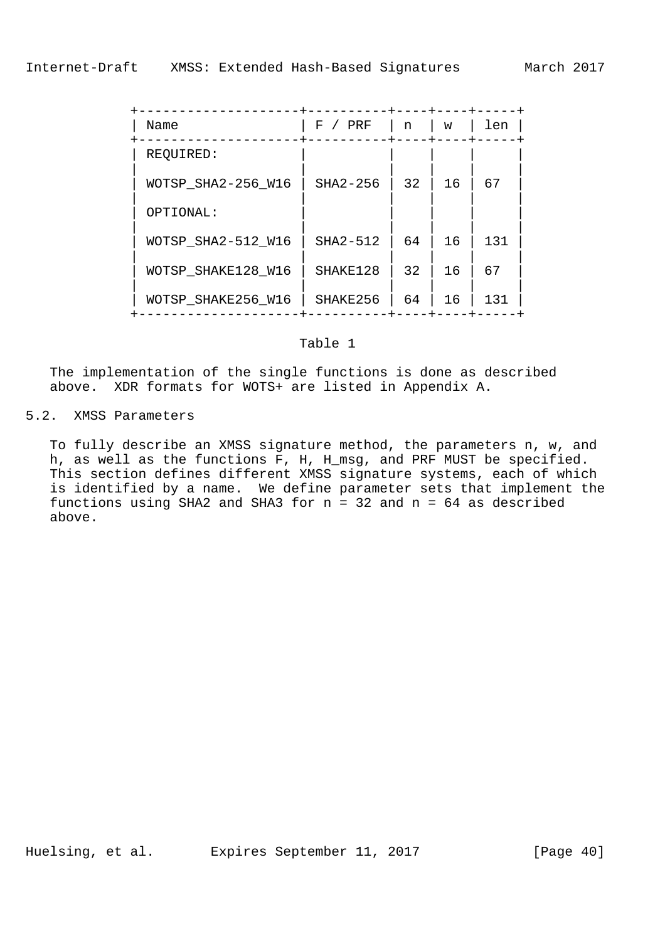| Name               | F<br>PRF | n  | W  | len |  |
|--------------------|----------|----|----|-----|--|
| REQUIRED:          |          |    |    |     |  |
| WOTSP SHA2-256 W16 | SHA2-256 | 32 | 16 | 67  |  |
| OPTIONAL:          |          |    |    |     |  |
| WOTSP SHA2-512 W16 | SHA2-512 | 64 | 16 | 131 |  |
| WOTSP SHAKE128 W16 | SHAKE128 | 32 | 16 | 67  |  |
| WOTSP SHAKE256 W16 | SHAKE256 | 64 | 16 | 131 |  |

### Table 1

 The implementation of the single functions is done as described above. XDR formats for WOTS+ are listed in Appendix A.

# 5.2. XMSS Parameters

 To fully describe an XMSS signature method, the parameters n, w, and h, as well as the functions F, H, H\_msg, and PRF MUST be specified. This section defines different XMSS signature systems, each of which is identified by a name. We define parameter sets that implement the functions using SHA2 and SHA3 for  $n = 32$  and  $n = 64$  as described above.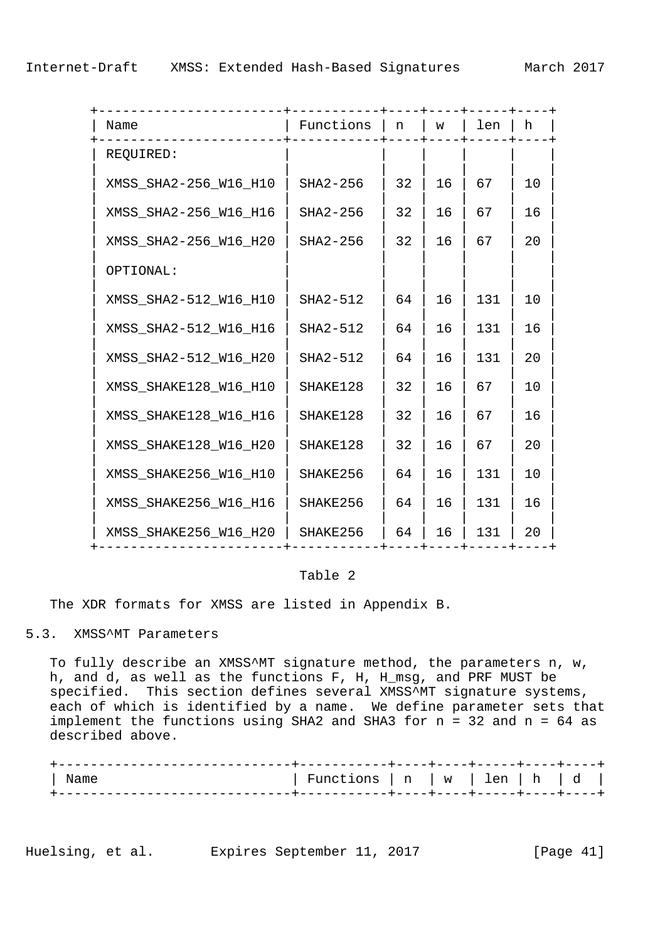| Name                  | Functions | n  | W  | len | h  |
|-----------------------|-----------|----|----|-----|----|
| REQUIRED:             |           |    |    |     |    |
| XMSS_SHA2-256_W16_H10 | SHA2-256  | 32 | 16 | 67  | 10 |
| XMSS_SHA2-256_W16_H16 | SHA2-256  | 32 | 16 | 67  | 16 |
| XMSS_SHA2-256_W16_H20 | SHA2-256  | 32 | 16 | 67  | 20 |
| OPTIONAL:             |           |    |    |     |    |
| XMSS_SHA2-512_W16_H10 | SHA2-512  | 64 | 16 | 131 | 10 |
| XMSS_SHA2-512_W16_H16 | SHA2-512  | 64 | 16 | 131 | 16 |
| XMSS_SHA2-512_W16_H20 | SHA2-512  | 64 | 16 | 131 | 20 |
| XMSS_SHAKE128_W16_H10 | SHAKE128  | 32 | 16 | 67  | 10 |
| XMSS_SHAKE128_W16_H16 | SHAKE128  | 32 | 16 | 67  | 16 |
| XMSS_SHAKE128_W16_H20 | SHAKE128  | 32 | 16 | 67  | 20 |
| XMSS_SHAKE256_W16_H10 | SHAKE256  | 64 | 16 | 131 | 10 |
| XMSS_SHAKE256_W16_H16 | SHAKE256  | 64 | 16 | 131 | 16 |
| XMSS_SHAKE256_W16_H20 | SHAKE256  | 64 | 16 | 131 | 20 |
|                       |           |    |    |     |    |

#### Table 2

The XDR formats for XMSS are listed in Appendix B.

## 5.3. XMSS^MT Parameters

 To fully describe an XMSS^MT signature method, the parameters n, w, h, and d, as well as the functions F, H, H\_msg, and PRF MUST be specified. This section defines several XMSS^MT signature systems, each of which is identified by a name. We define parameter sets that implement the functions using SHA2 and SHA3 for n = 32 and n = 64 as described above.

| Name | Functions   n   w   len   h   d |  |  |  |
|------|---------------------------------|--|--|--|
|      |                                 |  |  |  |

Huelsing, et al. Expires September 11, 2017 [Page 41]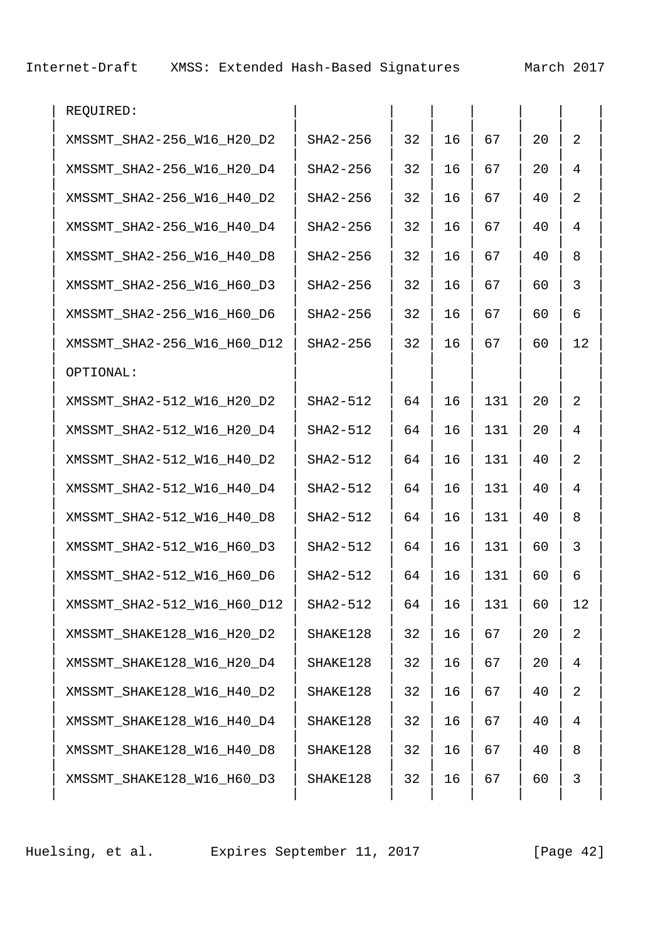| REQUIRED:                   |          |    |    |     |    |                |
|-----------------------------|----------|----|----|-----|----|----------------|
| XMSSMT_SHA2-256_W16_H20_D2  | SHA2-256 | 32 | 16 | 67  | 20 | $\overline{2}$ |
| XMSSMT_SHA2-256_W16_H20_D4  | SHA2-256 | 32 | 16 | 67  | 20 | $\overline{4}$ |
| XMSSMT_SHA2-256_W16_H40_D2  | SHA2-256 | 32 | 16 | 67  | 40 | 2              |
| XMSSMT_SHA2-256_W16_H40_D4  | SHA2-256 | 32 | 16 | 67  | 40 | $\overline{4}$ |
| XMSSMT_SHA2-256_W16_H40_D8  | SHA2-256 | 32 | 16 | 67  | 40 | 8              |
| XMSSMT_SHA2-256_W16_H60_D3  | SHA2-256 | 32 | 16 | 67  | 60 | $\mathfrak{Z}$ |
| XMSSMT_SHA2-256_W16_H60_D6  | SHA2-256 | 32 | 16 | 67  | 60 | 6              |
| XMSSMT_SHA2-256_W16_H60_D12 | SHA2-256 | 32 | 16 | 67  | 60 | 12             |
| OPTIONAL:                   |          |    |    |     |    |                |
| XMSSMT_SHA2-512_W16_H20_D2  | SHA2-512 | 64 | 16 | 131 | 20 | $\overline{2}$ |
| XMSSMT_SHA2-512_W16_H20_D4  | SHA2-512 | 64 | 16 | 131 | 20 | $\overline{4}$ |
| XMSSMT_SHA2-512_W16_H40_D2  | SHA2-512 | 64 | 16 | 131 | 40 | 2              |
| XMSSMT_SHA2-512_W16_H40_D4  | SHA2-512 | 64 | 16 | 131 | 40 | $\overline{4}$ |
| XMSSMT_SHA2-512_W16_H40_D8  | SHA2-512 | 64 | 16 | 131 | 40 | 8              |
| XMSSMT_SHA2-512_W16_H60_D3  | SHA2-512 | 64 | 16 | 131 | 60 | $\mathfrak{Z}$ |
| XMSSMT_SHA2-512_W16_H60_D6  | SHA2-512 | 64 | 16 | 131 | 60 | 6              |
| XMSSMT_SHA2-512_W16_H60_D12 | SHA2-512 | 64 | 16 | 131 | 60 | 12             |
| XMSSMT_SHAKE128_W16_H20_D2  | SHAKE128 | 32 | 16 | 67  | 20 | $\overline{a}$ |
| XMSSMT_SHAKE128_W16_H20_D4  | SHAKE128 | 32 | 16 | 67  | 20 | $\overline{4}$ |
| XMSSMT_SHAKE128_W16_H40_D2  | SHAKE128 | 32 | 16 | 67  | 40 | $\overline{2}$ |
| XMSSMT_SHAKE128_W16_H40_D4  | SHAKE128 | 32 | 16 | 67  | 40 | $\overline{4}$ |
| XMSSMT_SHAKE128_W16_H40_D8  | SHAKE128 | 32 | 16 | 67  | 40 | 8              |
| XMSSMT_SHAKE128_W16_H60_D3  | SHAKE128 | 32 | 16 | 67  | 60 | 3              |
|                             |          |    |    |     |    |                |

Huelsing, et al. Expires September 11, 2017 [Page 42]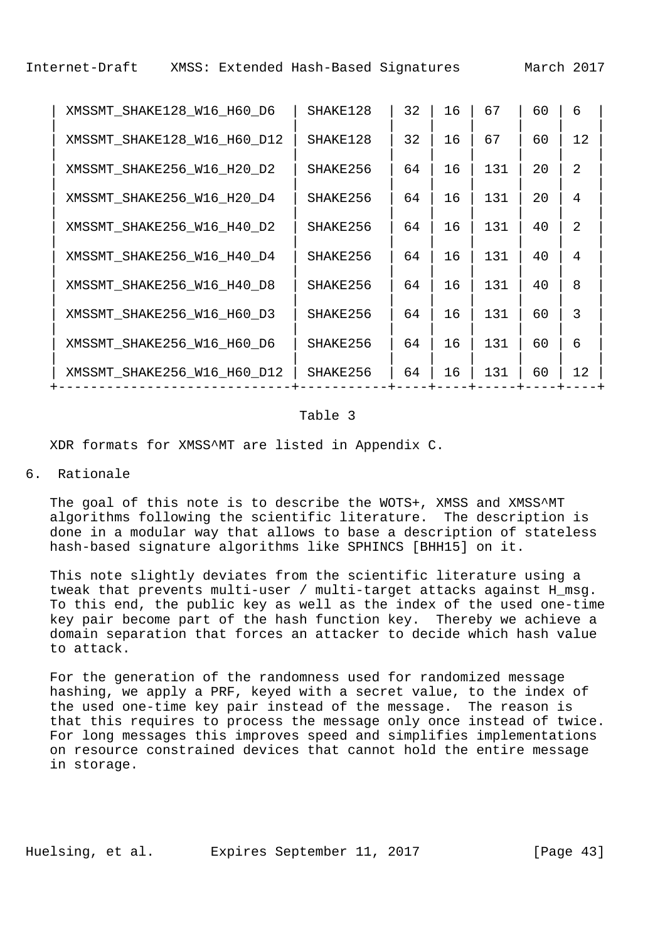| XMSSMT SHAKE128 W16 H60 D6  | SHAKE128 | 32 | 16 | 67  | 60 | 6  |  |
|-----------------------------|----------|----|----|-----|----|----|--|
| XMSSMT_SHAKE128_W16_H60_D12 | SHAKE128 | 32 | 16 | 67  | 60 | 12 |  |
| XMSSMT_SHAKE256_W16_H20_D2  | SHAKE256 | 64 | 16 | 131 | 20 | 2  |  |
| XMSSMT_SHAKE256_W16_H20_D4  | SHAKE256 | 64 | 16 | 131 | 20 | 4  |  |
| XMSSMT_SHAKE256_W16_H40_D2  | SHAKE256 | 64 | 16 | 131 | 40 | 2  |  |
| XMSSMT_SHAKE256_W16_H40_D4  | SHAKE256 | 64 | 16 | 131 | 40 | 4  |  |
| XMSSMT SHAKE256 W16 H40 D8  | SHAKE256 | 64 | 16 | 131 | 40 | 8  |  |
| XMSSMT SHAKE256 W16 H60 D3  | SHAKE256 | 64 | 16 | 131 | 60 | 3  |  |
| XMSSMT_SHAKE256_W16_H60_D6  | SHAKE256 | 64 | 16 | 131 | 60 | 6  |  |
| XMSSMT SHAKE256 W16 H60 D12 | SHAKE256 | 64 | 16 | 131 | 60 | 12 |  |
|                             |          |    |    |     |    |    |  |

### Table 3

XDR formats for XMSS^MT are listed in Appendix C.

# 6. Rationale

 The goal of this note is to describe the WOTS+, XMSS and XMSS^MT algorithms following the scientific literature. The description is done in a modular way that allows to base a description of stateless hash-based signature algorithms like SPHINCS [BHH15] on it.

 This note slightly deviates from the scientific literature using a tweak that prevents multi-user / multi-target attacks against H\_msg. To this end, the public key as well as the index of the used one-time key pair become part of the hash function key. Thereby we achieve a domain separation that forces an attacker to decide which hash value to attack.

 For the generation of the randomness used for randomized message hashing, we apply a PRF, keyed with a secret value, to the index of the used one-time key pair instead of the message. The reason is that this requires to process the message only once instead of twice. For long messages this improves speed and simplifies implementations on resource constrained devices that cannot hold the entire message in storage.

Huelsing, et al. Expires September 11, 2017 [Page 43]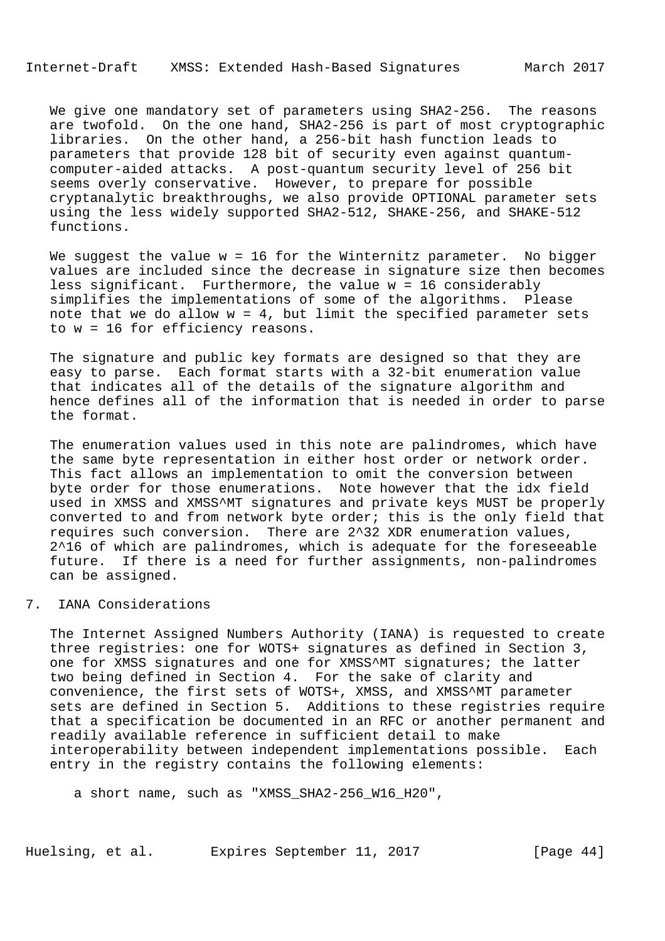We give one mandatory set of parameters using SHA2-256. The reasons are twofold. On the one hand, SHA2-256 is part of most cryptographic libraries. On the other hand, a 256-bit hash function leads to parameters that provide 128 bit of security even against quantum computer-aided attacks. A post-quantum security level of 256 bit seems overly conservative. However, to prepare for possible cryptanalytic breakthroughs, we also provide OPTIONAL parameter sets using the less widely supported SHA2-512, SHAKE-256, and SHAKE-512 functions.

We suggest the value  $w = 16$  for the Winternitz parameter. No bigger values are included since the decrease in signature size then becomes less significant. Furthermore, the value w = 16 considerably simplifies the implementations of some of the algorithms. Please note that we do allow  $w = 4$ , but limit the specified parameter sets to w = 16 for efficiency reasons.

 The signature and public key formats are designed so that they are easy to parse. Each format starts with a 32-bit enumeration value that indicates all of the details of the signature algorithm and hence defines all of the information that is needed in order to parse the format.

 The enumeration values used in this note are palindromes, which have the same byte representation in either host order or network order. This fact allows an implementation to omit the conversion between byte order for those enumerations. Note however that the idx field used in XMSS and XMSS^MT signatures and private keys MUST be properly converted to and from network byte order; this is the only field that requires such conversion. There are 2^32 XDR enumeration values, 2^16 of which are palindromes, which is adequate for the foreseeable future. If there is a need for further assignments, non-palindromes can be assigned.

#### 7. IANA Considerations

 The Internet Assigned Numbers Authority (IANA) is requested to create three registries: one for WOTS+ signatures as defined in Section 3, one for XMSS signatures and one for XMSS^MT signatures; the latter two being defined in Section 4. For the sake of clarity and convenience, the first sets of WOTS+, XMSS, and XMSS^MT parameter sets are defined in Section 5. Additions to these registries require that a specification be documented in an RFC or another permanent and readily available reference in sufficient detail to make interoperability between independent implementations possible. Each entry in the registry contains the following elements:

a short name, such as "XMSS\_SHA2-256\_W16\_H20",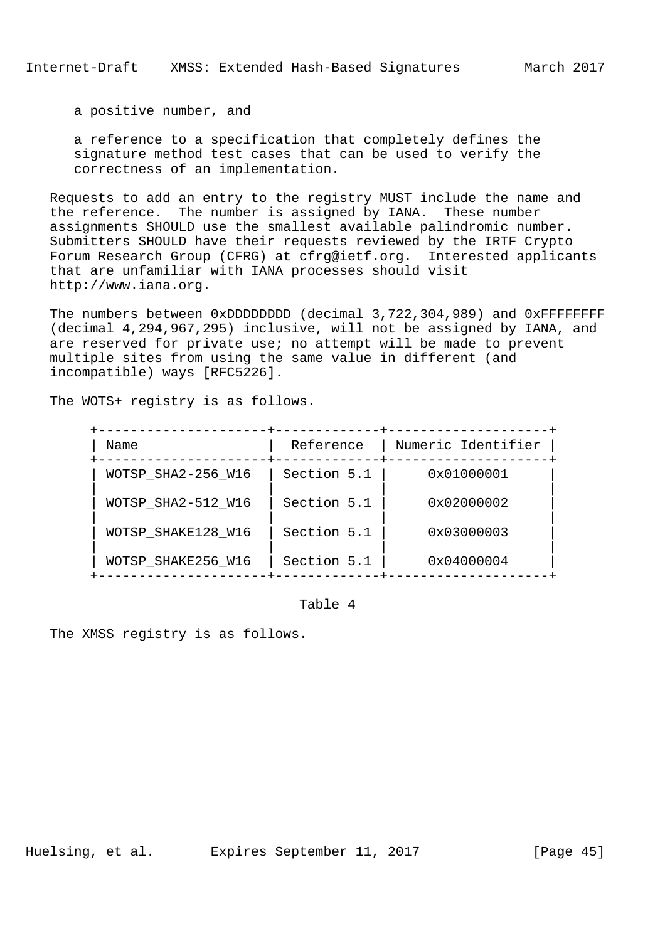a positive number, and

 a reference to a specification that completely defines the signature method test cases that can be used to verify the correctness of an implementation.

 Requests to add an entry to the registry MUST include the name and the reference. The number is assigned by IANA. These number assignments SHOULD use the smallest available palindromic number. Submitters SHOULD have their requests reviewed by the IRTF Crypto Forum Research Group (CFRG) at cfrg@ietf.org. Interested applicants that are unfamiliar with IANA processes should visit http://www.iana.org.

 The numbers between 0xDDDDDDDD (decimal 3,722,304,989) and 0xFFFFFFFF (decimal 4,294,967,295) inclusive, will not be assigned by IANA, and are reserved for private use; no attempt will be made to prevent multiple sites from using the same value in different (and incompatible) ways [RFC5226].

The WOTS+ registry is as follows.

| Name               | Reference   | Numeric Identifier  |
|--------------------|-------------|---------------------|
| WOTSP_SHA2-256_W16 | Section 5.1 | 0x01000001          |
| WOTSP SHA2-512 W16 | Section 5.1 | $0 \times 02000002$ |
| WOTSP SHAKE128 W16 | Section 5.1 | $0 \times 03000003$ |
| WOTSP_SHAKE256_W16 | Section 5.1 | 0x04000004          |

#### Table 4

The XMSS registry is as follows.

Huelsing, et al. Expires September 11, 2017 [Page 45]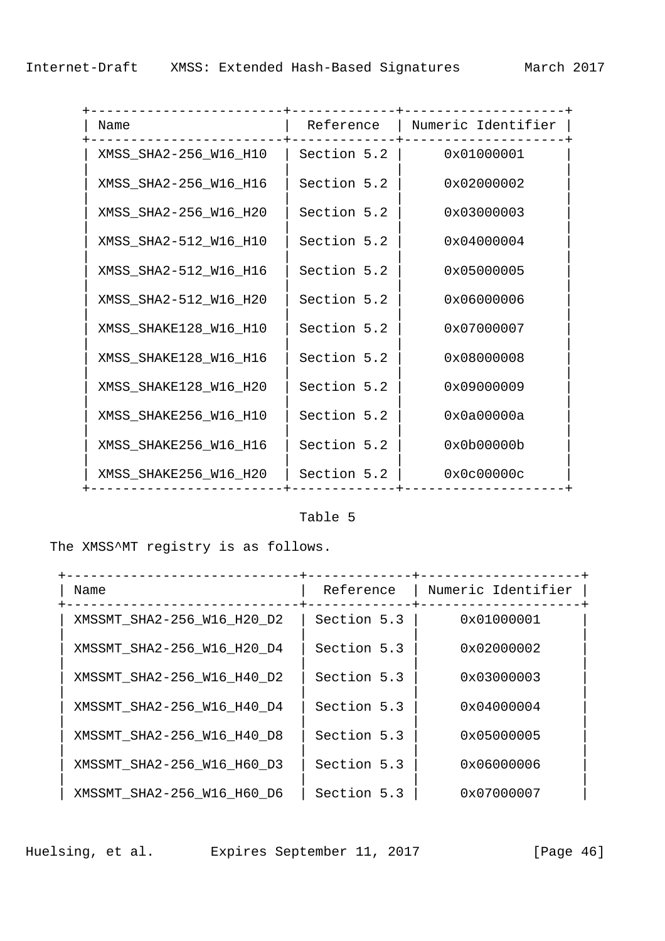| Name                  | Reference   | Numeric Identifier |
|-----------------------|-------------|--------------------|
| XMSS_SHA2-256_W16_H10 | Section 5.2 | 0x01000001         |
| XMSS_SHA2-256_W16_H16 | Section 5.2 | 0x02000002         |
| XMSS_SHA2-256_W16_H20 | Section 5.2 | 0x03000003         |
| XMSS_SHA2-512_W16_H10 | Section 5.2 | 0x04000004         |
| XMSS_SHA2-512_W16_H16 | Section 5.2 | 0x05000005         |
| XMSS_SHA2-512_W16_H20 | Section 5.2 | 0x06000006         |
| XMSS_SHAKE128_W16_H10 | Section 5.2 | 0x07000007         |
| XMSS_SHAKE128_W16_H16 | Section 5.2 | 0x08000008         |
| XMSS_SHAKE128_W16_H20 | Section 5.2 | 0x09000009         |
| XMSS_SHAKE256_W16_H10 | Section 5.2 | 0x0a00000a         |
| XMSS_SHAKE256_W16_H16 | Section 5.2 | 0x0b00000b         |
| XMSS_SHAKE256_W16_H20 | Section 5.2 | 0x0c00000c         |

## Table 5

The XMSS^MT registry is as follows.

| Name                       | Reference   | Numeric Identifier  |  |
|----------------------------|-------------|---------------------|--|
| XMSSMT_SHA2-256_W16_H20_D2 | Section 5.3 | $0 \times 01000001$ |  |
| XMSSMT SHA2-256 W16 H20 D4 | Section 5.3 | 0x02000002          |  |
| XMSSMT SHA2-256 W16 H40 D2 | Section 5.3 | 0x03000003          |  |
| XMSSMT SHA2-256 W16 H40 D4 | Section 5.3 | 0x04000004          |  |
| XMSSMT SHA2-256 W16 H40 D8 | Section 5.3 | 0x05000005          |  |
| XMSSMT SHA2-256 W16 H60 D3 | Section 5.3 | 0x06000006          |  |
| XMSSMT SHA2-256 W16 H60 D6 | Section 5.3 | 0x07000007          |  |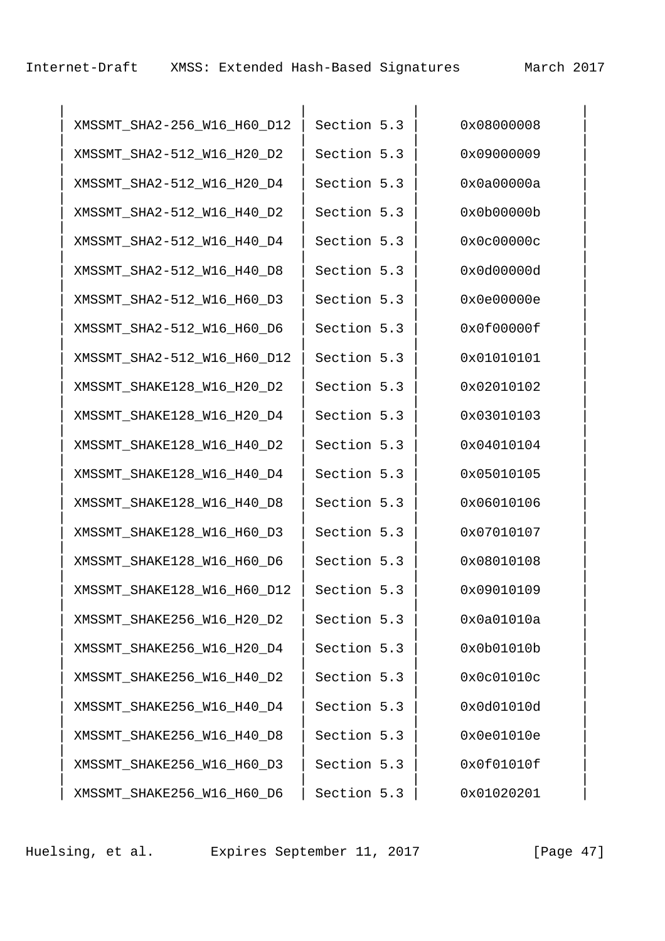| XMSSMT_SHA2-256_W16_H60_D12 | Section 5.3 | 0x08000008 |
|-----------------------------|-------------|------------|
| XMSSMT_SHA2-512_W16_H20_D2  | Section 5.3 | 0x09000009 |
| XMSSMT_SHA2-512_W16_H20_D4  | Section 5.3 | 0x0a00000a |
| XMSSMT_SHA2-512_W16_H40_D2  | Section 5.3 | 0x0b00000b |
| XMSSMT_SHA2-512_W16_H40_D4  | Section 5.3 | 0x0c00000c |
| XMSSMT_SHA2-512_W16_H40_D8  | Section 5.3 | 0x0d00000d |
| XMSSMT_SHA2-512_W16_H60_D3  | Section 5.3 | 0x0e00000e |
| XMSSMT_SHA2-512_W16_H60_D6  | Section 5.3 | 0x0f00000f |
| XMSSMT_SHA2-512_W16_H60_D12 | Section 5.3 | 0x01010101 |
| XMSSMT_SHAKE128_W16_H20_D2  | Section 5.3 | 0x02010102 |
| XMSSMT_SHAKE128_W16_H20_D4  | Section 5.3 | 0x03010103 |
| XMSSMT_SHAKE128_W16_H40_D2  | Section 5.3 | 0x04010104 |
| XMSSMT_SHAKE128_W16_H40_D4  | Section 5.3 | 0x05010105 |
| XMSSMT_SHAKE128_W16_H40_D8  | Section 5.3 | 0x06010106 |
| XMSSMT_SHAKE128_W16_H60_D3  | Section 5.3 | 0x07010107 |
| XMSSMT_SHAKE128_W16_H60_D6  | Section 5.3 | 0x08010108 |
| XMSSMT_SHAKE128_W16_H60_D12 | Section 5.3 | 0x09010109 |
| XMSSMT_SHAKE256_W16_H20_D2  | Section 5.3 | 0x0a01010a |
| XMSSMT_SHAKE256_W16_H20_D4  | Section 5.3 | 0x0b01010b |
| XMSSMT_SHAKE256_W16_H40_D2  | Section 5.3 | 0x0c01010c |
| XMSSMT_SHAKE256_W16_H40_D4  | Section 5.3 | 0x0d01010d |
| XMSSMT_SHAKE256_W16_H40_D8  | Section 5.3 | 0x0e01010e |
| XMSSMT_SHAKE256_W16_H60_D3  | Section 5.3 | 0x0f01010f |
| XMSSMT_SHAKE256_W16_H60_D6  | Section 5.3 | 0x01020201 |

Huelsing, et al. Expires September 11, 2017 [Page 47]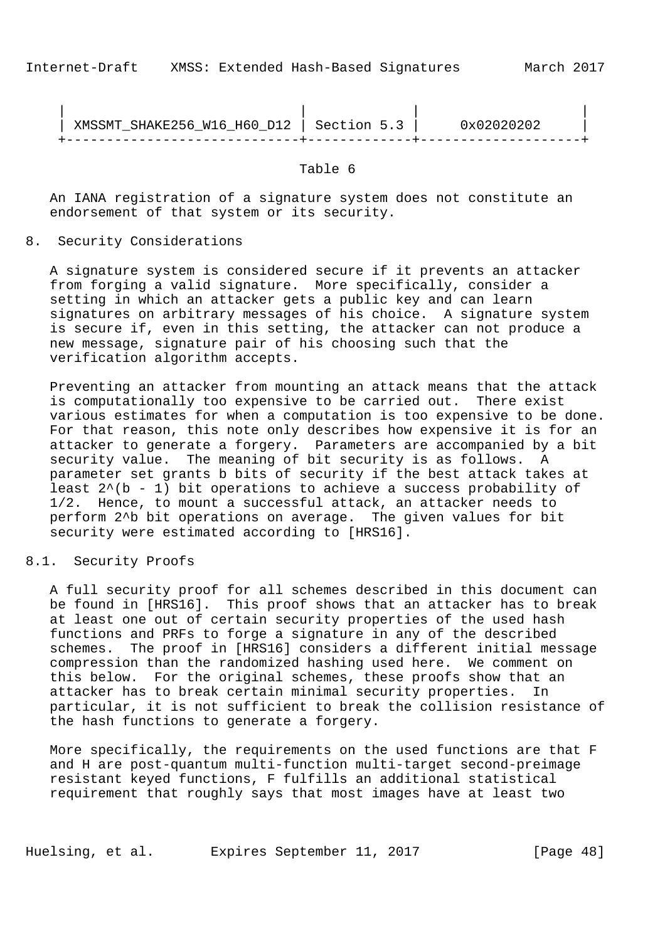| SHAKE256_W16_H60_D12   Section 5.3<br>XMSSMT | ひ立ひフロクロクロク |
|----------------------------------------------|------------|
|                                              |            |

Table 6

 An IANA registration of a signature system does not constitute an endorsement of that system or its security.

8. Security Considerations

 A signature system is considered secure if it prevents an attacker from forging a valid signature. More specifically, consider a setting in which an attacker gets a public key and can learn signatures on arbitrary messages of his choice. A signature system is secure if, even in this setting, the attacker can not produce a new message, signature pair of his choosing such that the verification algorithm accepts.

 Preventing an attacker from mounting an attack means that the attack is computationally too expensive to be carried out. There exist various estimates for when a computation is too expensive to be done. For that reason, this note only describes how expensive it is for an attacker to generate a forgery. Parameters are accompanied by a bit security value. The meaning of bit security is as follows. A parameter set grants b bits of security if the best attack takes at least  $2^{(b - 1)}$  bit operations to achieve a success probability of 1/2. Hence, to mount a successful attack, an attacker needs to perform 2^b bit operations on average. The given values for bit security were estimated according to [HRS16].

8.1. Security Proofs

 A full security proof for all schemes described in this document can be found in [HRS16]. This proof shows that an attacker has to break at least one out of certain security properties of the used hash functions and PRFs to forge a signature in any of the described schemes. The proof in [HRS16] considers a different initial message compression than the randomized hashing used here. We comment on this below. For the original schemes, these proofs show that an attacker has to break certain minimal security properties. In particular, it is not sufficient to break the collision resistance of the hash functions to generate a forgery.

 More specifically, the requirements on the used functions are that F and H are post-quantum multi-function multi-target second-preimage resistant keyed functions, F fulfills an additional statistical requirement that roughly says that most images have at least two

Huelsing, et al. Expires September 11, 2017 [Page 48]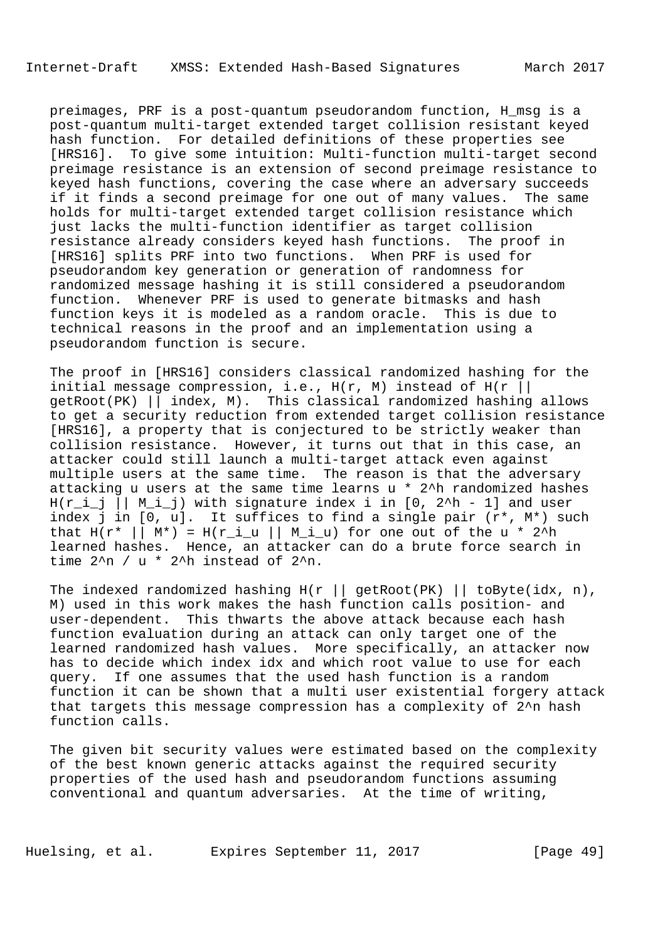preimages, PRF is a post-quantum pseudorandom function, H\_msg is a post-quantum multi-target extended target collision resistant keyed hash function. For detailed definitions of these properties see [HRS16]. To give some intuition: Multi-function multi-target second preimage resistance is an extension of second preimage resistance to keyed hash functions, covering the case where an adversary succeeds if it finds a second preimage for one out of many values. The same holds for multi-target extended target collision resistance which just lacks the multi-function identifier as target collision resistance already considers keyed hash functions. The proof in [HRS16] splits PRF into two functions. When PRF is used for pseudorandom key generation or generation of randomness for randomized message hashing it is still considered a pseudorandom function. Whenever PRF is used to generate bitmasks and hash function keys it is modeled as a random oracle. This is due to technical reasons in the proof and an implementation using a pseudorandom function is secure.

 The proof in [HRS16] considers classical randomized hashing for the initial message compression, i.e.,  $H(r, M)$  instead of  $H(r || r)$  getRoot(PK) || index, M). This classical randomized hashing allows to get a security reduction from extended target collision resistance [HRS16], a property that is conjectured to be strictly weaker than collision resistance. However, it turns out that in this case, an attacker could still launch a multi-target attack even against multiple users at the same time. The reason is that the adversary attacking u users at the same time learns u \* 2^h randomized hashes  $H(r_i_j | | M_i_j)$  with signature index i in [0, 2^h - 1] and user index j in [0, u]. It suffices to find a single pair (r\*, M\*) such that  $H(r^* \mid \mid M^*) = H(r_i \mid \mid M_i \mid u)$  for one out of the u \* 2<sup>^h</sup> learned hashes. Hence, an attacker can do a brute force search in time  $2^{\wedge}n$  / u \*  $2^{\wedge}h$  instead of  $2^{\wedge}n$ .

The indexed randomized hashing  $H(r ||$  getRoot(PK) || toByte(idx, n), M) used in this work makes the hash function calls position- and user-dependent. This thwarts the above attack because each hash function evaluation during an attack can only target one of the learned randomized hash values. More specifically, an attacker now has to decide which index idx and which root value to use for each query. If one assumes that the used hash function is a random function it can be shown that a multi user existential forgery attack that targets this message compression has a complexity of 2^n hash function calls.

 The given bit security values were estimated based on the complexity of the best known generic attacks against the required security properties of the used hash and pseudorandom functions assuming conventional and quantum adversaries. At the time of writing,

Huelsing, et al. Expires September 11, 2017 [Page 49]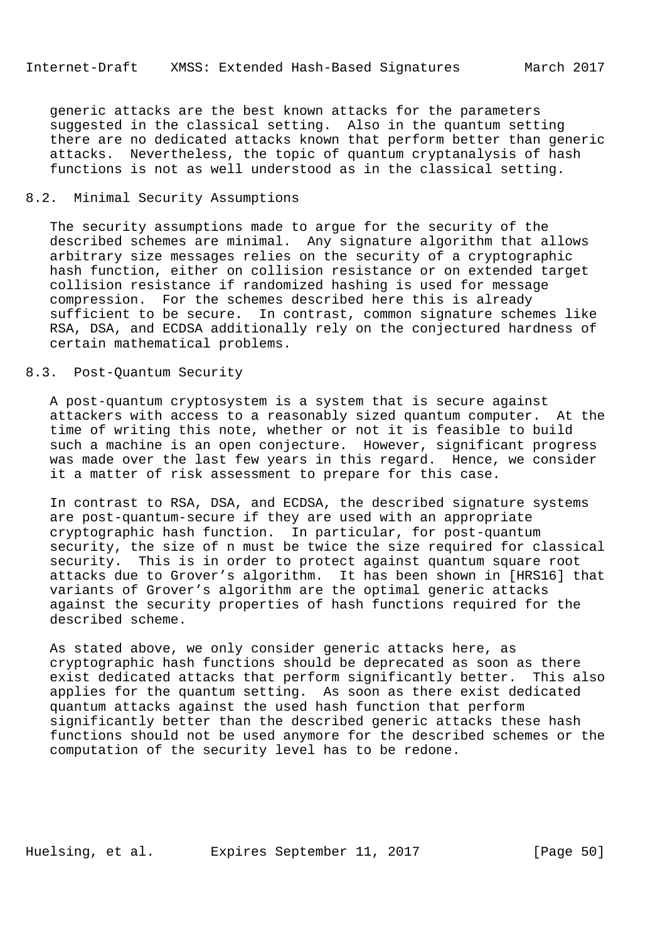generic attacks are the best known attacks for the parameters suggested in the classical setting. Also in the quantum setting there are no dedicated attacks known that perform better than generic attacks. Nevertheless, the topic of quantum cryptanalysis of hash functions is not as well understood as in the classical setting.

### 8.2. Minimal Security Assumptions

 The security assumptions made to argue for the security of the described schemes are minimal. Any signature algorithm that allows arbitrary size messages relies on the security of a cryptographic hash function, either on collision resistance or on extended target collision resistance if randomized hashing is used for message compression. For the schemes described here this is already sufficient to be secure. In contrast, common signature schemes like RSA, DSA, and ECDSA additionally rely on the conjectured hardness of certain mathematical problems.

## 8.3. Post-Quantum Security

 A post-quantum cryptosystem is a system that is secure against attackers with access to a reasonably sized quantum computer. At the time of writing this note, whether or not it is feasible to build such a machine is an open conjecture. However, significant progress was made over the last few years in this regard. Hence, we consider it a matter of risk assessment to prepare for this case.

 In contrast to RSA, DSA, and ECDSA, the described signature systems are post-quantum-secure if they are used with an appropriate cryptographic hash function. In particular, for post-quantum security, the size of n must be twice the size required for classical security. This is in order to protect against quantum square root attacks due to Grover's algorithm. It has been shown in [HRS16] that variants of Grover's algorithm are the optimal generic attacks against the security properties of hash functions required for the described scheme.

 As stated above, we only consider generic attacks here, as cryptographic hash functions should be deprecated as soon as there exist dedicated attacks that perform significantly better. This also applies for the quantum setting. As soon as there exist dedicated quantum attacks against the used hash function that perform significantly better than the described generic attacks these hash functions should not be used anymore for the described schemes or the computation of the security level has to be redone.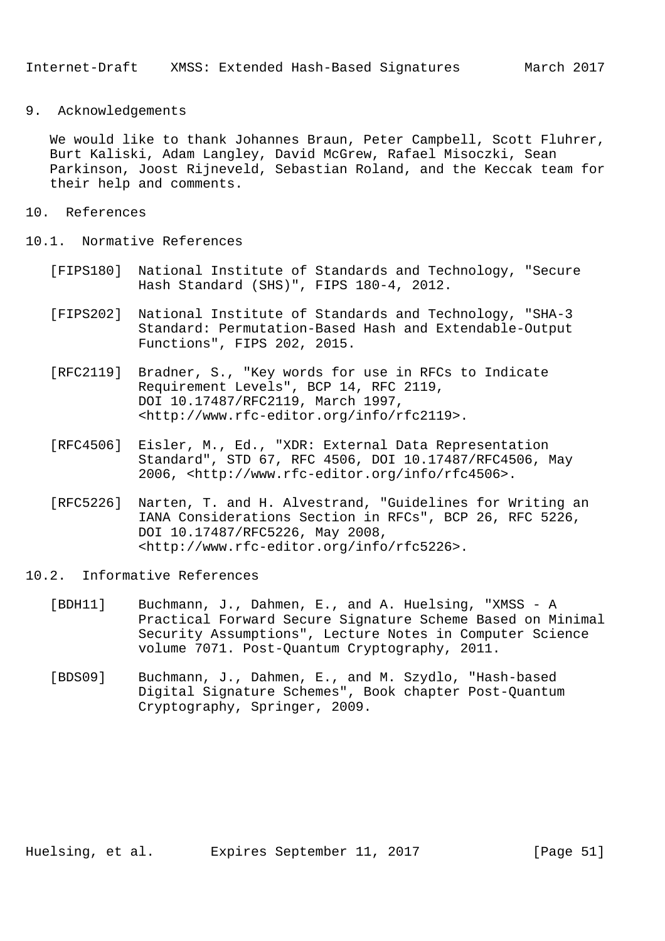### 9. Acknowledgements

 We would like to thank Johannes Braun, Peter Campbell, Scott Fluhrer, Burt Kaliski, Adam Langley, David McGrew, Rafael Misoczki, Sean Parkinson, Joost Rijneveld, Sebastian Roland, and the Keccak team for their help and comments.

- 10. References
- 10.1. Normative References
	- [FIPS180] National Institute of Standards and Technology, "Secure Hash Standard (SHS)", FIPS 180-4, 2012.
	- [FIPS202] National Institute of Standards and Technology, "SHA-3 Standard: Permutation-Based Hash and Extendable-Output Functions", FIPS 202, 2015.
	- [RFC2119] Bradner, S., "Key words for use in RFCs to Indicate Requirement Levels", BCP 14, RFC 2119, DOI 10.17487/RFC2119, March 1997, <http://www.rfc-editor.org/info/rfc2119>.
	- [RFC4506] Eisler, M., Ed., "XDR: External Data Representation Standard", STD 67, RFC 4506, DOI 10.17487/RFC4506, May 2006, <http://www.rfc-editor.org/info/rfc4506>.
	- [RFC5226] Narten, T. and H. Alvestrand, "Guidelines for Writing an IANA Considerations Section in RFCs", BCP 26, RFC 5226, DOI 10.17487/RFC5226, May 2008, <http://www.rfc-editor.org/info/rfc5226>.
- 10.2. Informative References
	- [BDH11] Buchmann, J., Dahmen, E., and A. Huelsing, "XMSS A Practical Forward Secure Signature Scheme Based on Minimal Security Assumptions", Lecture Notes in Computer Science volume 7071. Post-Quantum Cryptography, 2011.
	- [BDS09] Buchmann, J., Dahmen, E., and M. Szydlo, "Hash-based Digital Signature Schemes", Book chapter Post-Quantum Cryptography, Springer, 2009.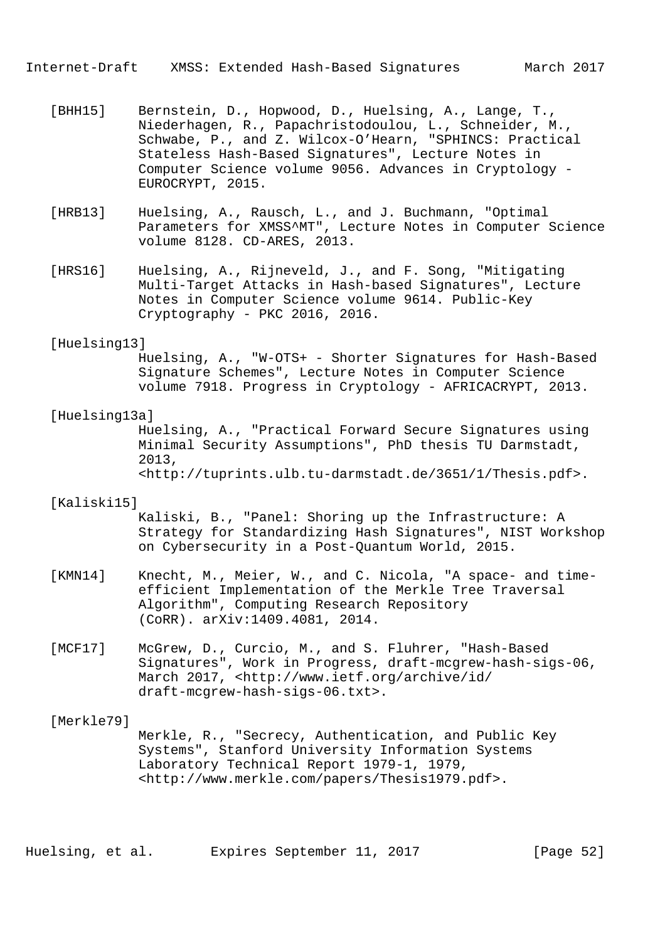Internet-Draft XMSS: Extended Hash-Based Signatures March 2017

- [BHH15] Bernstein, D., Hopwood, D., Huelsing, A., Lange, T., Niederhagen, R., Papachristodoulou, L., Schneider, M., Schwabe, P., and Z. Wilcox-O'Hearn, "SPHINCS: Practical Stateless Hash-Based Signatures", Lecture Notes in Computer Science volume 9056. Advances in Cryptology - EUROCRYPT, 2015.
- [HRB13] Huelsing, A., Rausch, L., and J. Buchmann, "Optimal Parameters for XMSS^MT", Lecture Notes in Computer Science volume 8128. CD-ARES, 2013.
- [HRS16] Huelsing, A., Rijneveld, J., and F. Song, "Mitigating Multi-Target Attacks in Hash-based Signatures", Lecture Notes in Computer Science volume 9614. Public-Key Cryptography - PKC 2016, 2016.

#### [Huelsing13]

 Huelsing, A., "W-OTS+ - Shorter Signatures for Hash-Based Signature Schemes", Lecture Notes in Computer Science volume 7918. Progress in Cryptology - AFRICACRYPT, 2013.

### [Huelsing13a]

 Huelsing, A., "Practical Forward Secure Signatures using Minimal Security Assumptions", PhD thesis TU Darmstadt, 2013, <http://tuprints.ulb.tu-darmstadt.de/3651/1/Thesis.pdf>.

#### [Kaliski15]

 Kaliski, B., "Panel: Shoring up the Infrastructure: A Strategy for Standardizing Hash Signatures", NIST Workshop on Cybersecurity in a Post-Quantum World, 2015.

- [KMN14] Knecht, M., Meier, W., and C. Nicola, "A space- and time efficient Implementation of the Merkle Tree Traversal Algorithm", Computing Research Repository (CoRR). arXiv:1409.4081, 2014.
- [MCF17] McGrew, D., Curcio, M., and S. Fluhrer, "Hash-Based Signatures", Work in Progress, draft-mcgrew-hash-sigs-06, March 2017, <http://www.ietf.org/archive/id/ draft-mcgrew-hash-sigs-06.txt>.

#### [Merkle79]

 Merkle, R., "Secrecy, Authentication, and Public Key Systems", Stanford University Information Systems Laboratory Technical Report 1979-1, 1979, <http://www.merkle.com/papers/Thesis1979.pdf>.

Huelsing, et al. Expires September 11, 2017 [Page 52]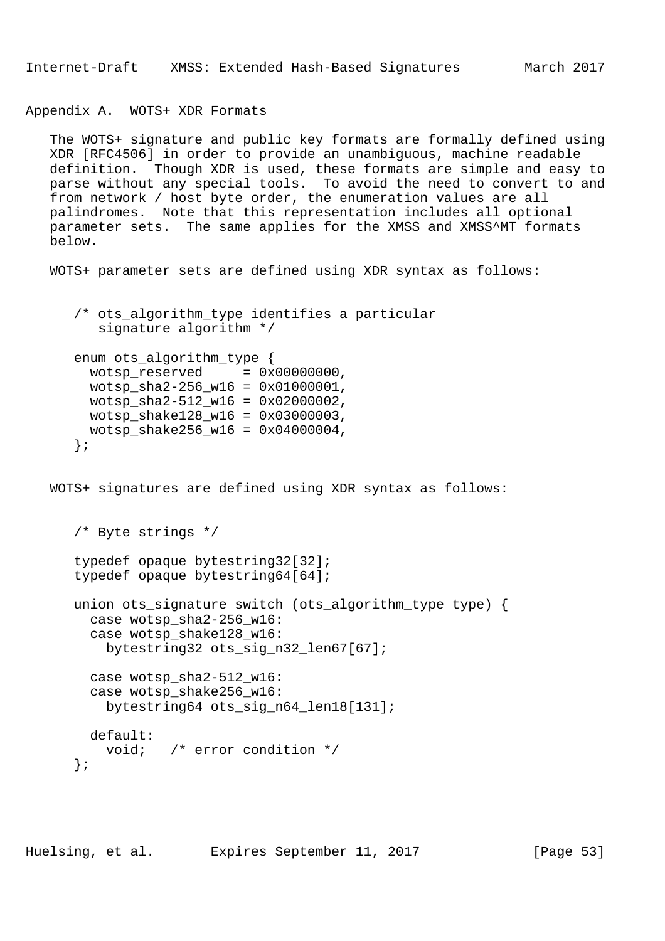Internet-Draft XMSS: Extended Hash-Based Signatures March 2017

Appendix A. WOTS+ XDR Formats

 The WOTS+ signature and public key formats are formally defined using XDR [RFC4506] in order to provide an unambiguous, machine readable definition. Though XDR is used, these formats are simple and easy to parse without any special tools. To avoid the need to convert to and from network / host byte order, the enumeration values are all palindromes. Note that this representation includes all optional parameter sets. The same applies for the XMSS and XMSS^MT formats below.

WOTS+ parameter sets are defined using XDR syntax as follows:

```
 /* ots_algorithm_type identifies a particular
    signature algorithm */
 enum ots_algorithm_type {
 wotsp reserved = 0x000000000,
  wotsp_sha2-256_w16 = 0x01000001,
  wotsp_sha2-512_w16 = 0x02000002,
 wotsp shake128 w16 = 0x03000003,
  wotsp_shake256_w16 = 0x04000004,
 };
```
WOTS+ signatures are defined using XDR syntax as follows:

```
 /* Byte strings */
 typedef opaque bytestring32[32];
 typedef opaque bytestring64[64];
 union ots_signature switch (ots_algorithm_type type) {
   case wotsp_sha2-256_w16:
   case wotsp_shake128_w16:
     bytestring32 ots_sig_n32_len67[67];
   case wotsp_sha2-512_w16:
   case wotsp_shake256_w16:
    bytestring64 ots sig n64 len18[131];
  default:
     void; /* error condition */
 };
```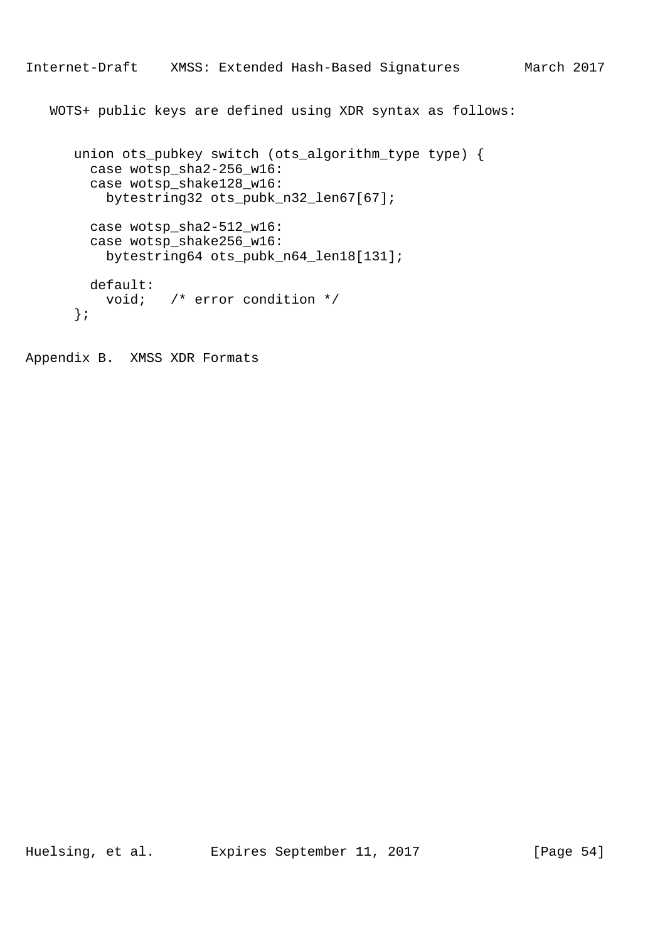WOTS+ public keys are defined using XDR syntax as follows:

```
 union ots_pubkey switch (ots_algorithm_type type) {
   case wotsp_sha2-256_w16:
  case wotsp_shake128_w16:
    bytestring32 ots_pubk_n32_len67[67];
  case wotsp_sha2-512_w16:
 case wotsp shake256 w16:
    bytestring64 ots_pubk_n64_len18[131];
  default:
    void; /* error condition */
 };
```
Appendix B. XMSS XDR Formats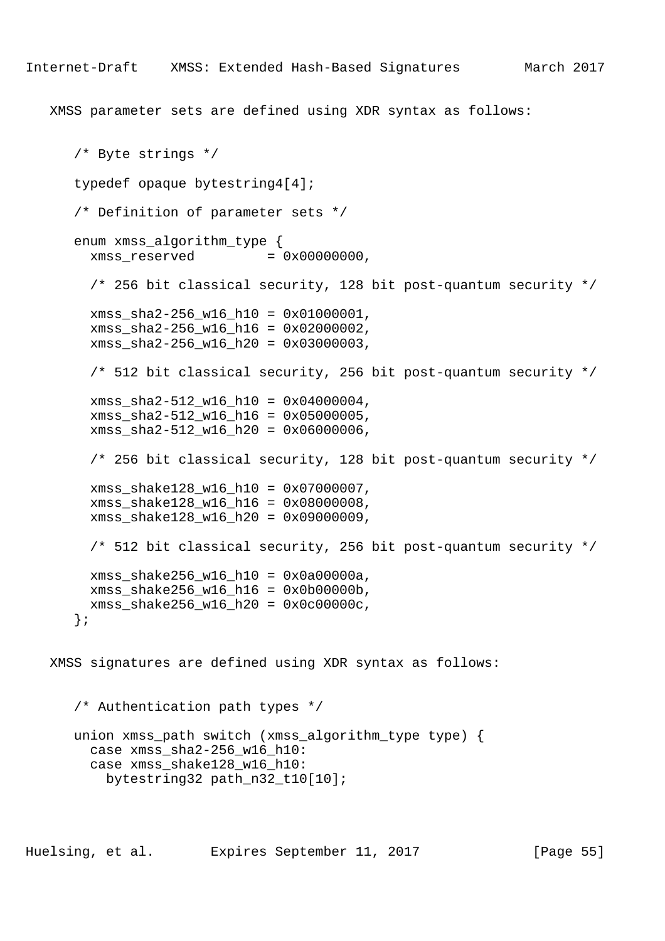XMSS parameter sets are defined using XDR syntax as follows:

```
 /* Byte strings */
    typedef opaque bytestring4[4];
    /* Definition of parameter sets */
   enum xmss algorithm type {
     x \text{mss} reserved = 0 \times 000000000,
      /* 256 bit classical security, 128 bit post-quantum security */
      xmss_sha2-256_w16_h10 = 0x01000001,
     xmss sha2-256 w16 h16 = 0x02000002,
      xmss_sha2-256_w16_h20 = 0x03000003,
      /* 512 bit classical security, 256 bit post-quantum security */
      xmss_sha2-512_w16_h10 = 0x04000004,
     xmss sha2-512 w16 h16 = 0x05000005,
      xmss_sha2-512_w16_h20 = 0x06000006,
      /* 256 bit classical security, 128 bit post-quantum security */
      xmss_shake128_w16_h10 = 0x07000007,
      xmss_shake128_w16_h16 = 0x08000008,
      xmss_shake128_w16_h20 = 0x09000009,
      /* 512 bit classical security, 256 bit post-quantum security */
      xmss_shake256_w16_h10 = 0x0a00000a,
      xmss_shake256_w16_h16 = 0x0b00000b,
      xmss_shake256_w16_h20 = 0x0c00000c,
    };
 XMSS signatures are defined using XDR syntax as follows:
```
 /\* Authentication path types \*/ union xmss\_path switch (xmss\_algorithm\_type type) { case xmss\_sha2-256\_w16\_h10: case xmss shake128 w16 h10: bytestring32 path\_n32\_t10[10];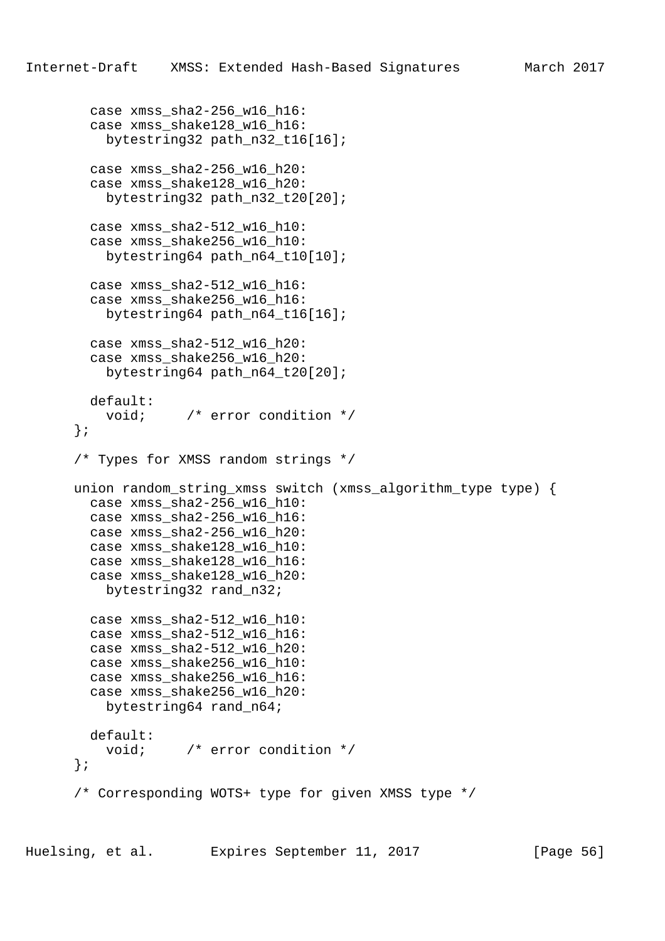```
case xmss sha2-256 w16 h16:
   case xmss_shake128_w16_h16:
    bytestring32 path_n32_t16[16];
   case xmss_sha2-256_w16_h20:
   case xmss_shake128_w16_h20:
     bytestring32 path_n32_t20[20];
 case xmss sha2-512 w16 h10:
  case xmss shake256 w16 h10:
     bytestring64 path_n64_t10[10];
  case xmss sha2-512 w16 h16:
  case xmss shake256 w16 h16:
     bytestring64 path_n64_t16[16];
   case xmss_sha2-512_w16_h20:
   case xmss_shake256_w16_h20:
     bytestring64 path_n64_t20[20];
   default:
     void; /* error condition */
 };
 /* Types for XMSS random strings */
 union random_string_xmss switch (xmss_algorithm_type type) {
   case xmss_sha2-256_w16_h10:
   case xmss_sha2-256_w16_h16:
   case xmss_sha2-256_w16_h20:
  case xmss_shake128_w16_h10:
   case xmss_shake128_w16_h16:
   case xmss_shake128_w16_h20:
    bytestring32 rand_n32;
  case xmss_sha2-512_w16_h10:
   case xmss_sha2-512_w16_h16:
   case xmss_sha2-512_w16_h20:
   case xmss_shake256_w16_h10:
   case xmss_shake256_w16_h16:
   case xmss_shake256_w16_h20:
    bytestring64 rand_n64;
  default:
     void; /* error condition */
 };
 /* Corresponding WOTS+ type for given XMSS type */
```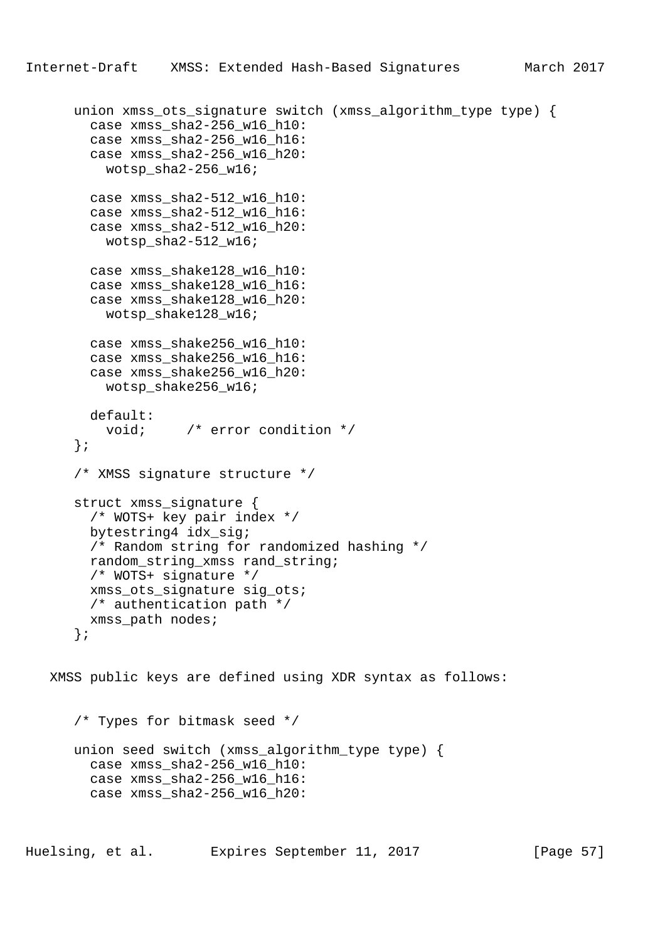```
Internet-Draft XMSS: Extended Hash-Based Signatures March 2017
```

```
union xmss ots signature switch (xmss algorithm type type) {
      case xmss_sha2-256_w16_h10:
      case xmss_sha2-256_w16_h16:
      case xmss_sha2-256_w16_h20:
        wotsp_sha2-256_w16;
      case xmss_sha2-512_w16_h10:
      case xmss_sha2-512_w16_h16:
      case xmss_sha2-512_w16_h20:
      wotsp_sha2-512_w16;
      case xmss_shake128_w16_h10:
      case xmss_shake128_w16_h16:
      case xmss_shake128_w16_h20:
        wotsp_shake128_w16;
      case xmss_shake256_w16_h10:
      case xmss_shake256_w16_h16:
      case xmss_shake256_w16_h20:
        wotsp_shake256_w16;
      default:
        void; /* error condition */
    };
    /* XMSS signature structure */
    struct xmss_signature {
      /* WOTS+ key pair index */
      bytestring4 idx_sig;
      /* Random string for randomized hashing */
      random_string_xmss rand_string;
      /* WOTS+ signature */
      xmss_ots_signature sig_ots;
      /* authentication path */
      xmss_path nodes;
    };
 XMSS public keys are defined using XDR syntax as follows:
    /* Types for bitmask seed */
    union seed switch (xmss_algorithm_type type) {
      case xmss_sha2-256_w16_h10:
      case xmss_sha2-256_w16_h16:
      case xmss_sha2-256_w16_h20:
```
Huelsing, et al. Expires September 11, 2017 [Page 57]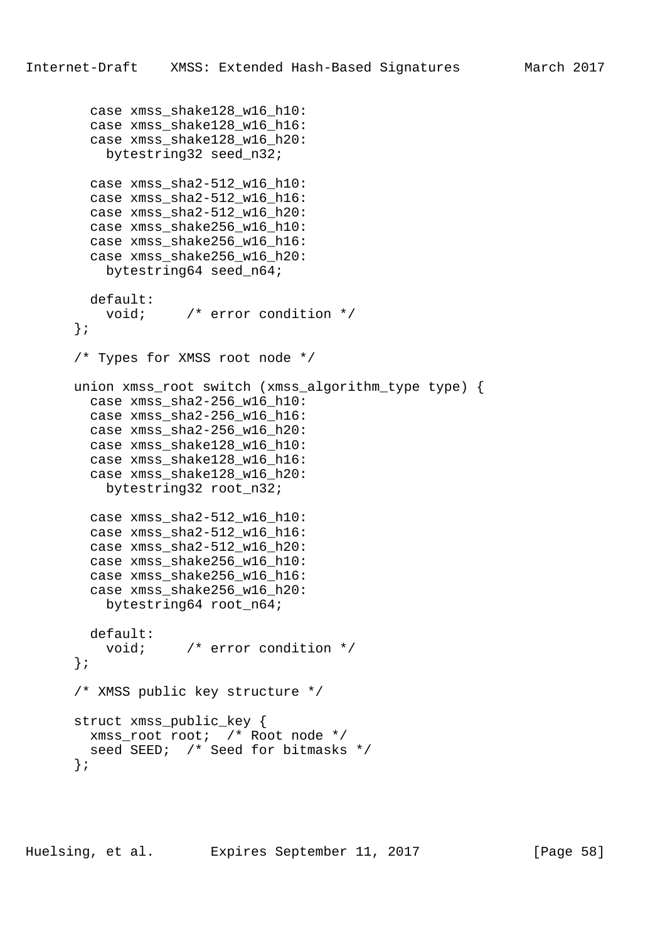```
 case xmss_shake128_w16_h10:
   case xmss_shake128_w16_h16:
   case xmss_shake128_w16_h20:
   bytestring32 seed n32;
  case xmss_sha2-512_w16_h10:
  case xmss_sha2-512_w16_h16:
   case xmss_sha2-512_w16_h20:
   case xmss_shake256_w16_h10:
 case xmss shake256 w16 h16:
   case xmss_shake256_w16_h20:
    bytestring64 seed_n64;
  default:
   void; \gamma error condition */
 };
 /* Types for XMSS root node */
 union xmss_root switch (xmss_algorithm_type type) {
  case xmss_sha2-256_w16_h10:
 case xmss sha2-256 w16 h16:
  case xmss_sha2-256_w16_h20:
   case xmss_shake128_w16_h10:
  case xmss_shake128_w16_h16:
   case xmss_shake128_w16_h20:
    bytestring32 root_n32;
  case xmss_sha2-512_w16_h10:
  case xmss sha2-512 w16 h16:
 case xmss sha2-512 w16 h20:
  case xmss_shake256_w16_h10:
   case xmss_shake256_w16_h16:
  case xmss_shake256_w16_h20:
    bytestring64 root_n64;
  default:
    void; /* error condition */
 };
 /* XMSS public key structure */
 struct xmss_public_key {
  xmss_root root; /* Root node */
 seed SEED; /* Seed for bitmasks */
 };
```
Huelsing, et al. Expires September 11, 2017 [Page 58]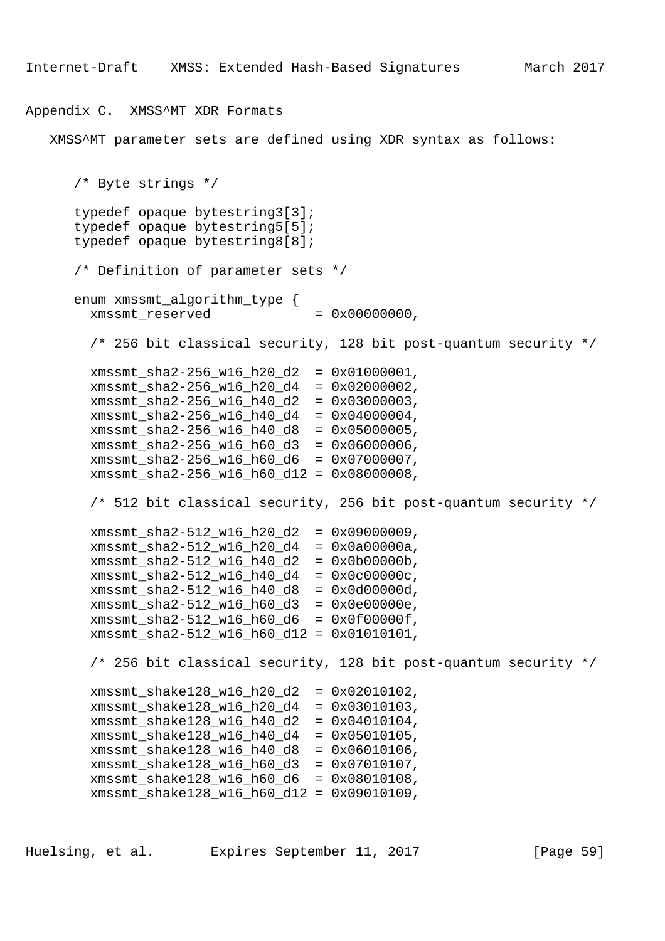## Appendix C. XMSS^MT XDR Formats

XMSS^MT parameter sets are defined using XDR syntax as follows:

```
 /* Byte strings */
 typedef opaque bytestring3[3];
 typedef opaque bytestring5[5];
 typedef opaque bytestring8[8];
 /* Definition of parameter sets */
 enum xmssmt_algorithm_type {
 xmssmt reserved = 0x000000000,
   /* 256 bit classical security, 128 bit post-quantum security */
  xmssmt sha2-256 w16 h20 d2 = 0x01000001,
   xmssmt_sha2-256_w16_h20_d4 = 0x02000002,
   xmssmt_sha2-256_w16_h40_d2 = 0x03000003,
  xmssmt sha2-256 w16 h40 d4 = 0x04000004,
   xmssmt_sha2-256_w16_h40_d8 = 0x05000005,
 xmssmt_{s}sha2-256_w16_h60_d3 = 0x06000006,
   xmssmt_sha2-256_w16_h60_d6 = 0x07000007,
   xmssmt_sha2-256_w16_h60_d12 = 0x08000008,
   /* 512 bit classical security, 256 bit post-quantum security */
   xmssmt_sha2-512_w16_h20_d2 = 0x09000009,
   xmssmt_sha2-512_w16_h20_d4 = 0x0a00000a,
   xmssmt_sha2-512_w16_h40_d2 = 0x0b00000b,
   xmssmt_sha2-512_w16_h40_d4 = 0x0c00000c,
   xmssmt_sha2-512_w16_h40_d8 = 0x0d00000d,
   xmssmt_sha2-512_w16_h60_d3 = 0x0e00000e,
   xmssmt_sha2-512_w16_h60_d6 = 0x0f00000f,
   xmssmt_sha2-512_w16_h60_d12 = 0x01010101,
   /* 256 bit classical security, 128 bit post-quantum security */
  xmssmt shake128 w16 h20 d2 = 0x02010102,
  xmssmt shake128 w16 h20 d4 = 0x03010103,
   xmssmt_shake128_w16_h40_d2 = 0x04010104,
   xmssmt_shake128_w16_h40_d4 = 0x05010105,
   xmssmt_shake128_w16_h40_d8 = 0x06010106,
   xmssmt_shake128_w16_h60_d3 = 0x07010107,
   xmssmt_shake128_w16_h60_d6 = 0x08010108,
   xmssmt_shake128_w16_h60_d12 = 0x09010109,
```
Huelsing, et al. Expires September 11, 2017 [Page 59]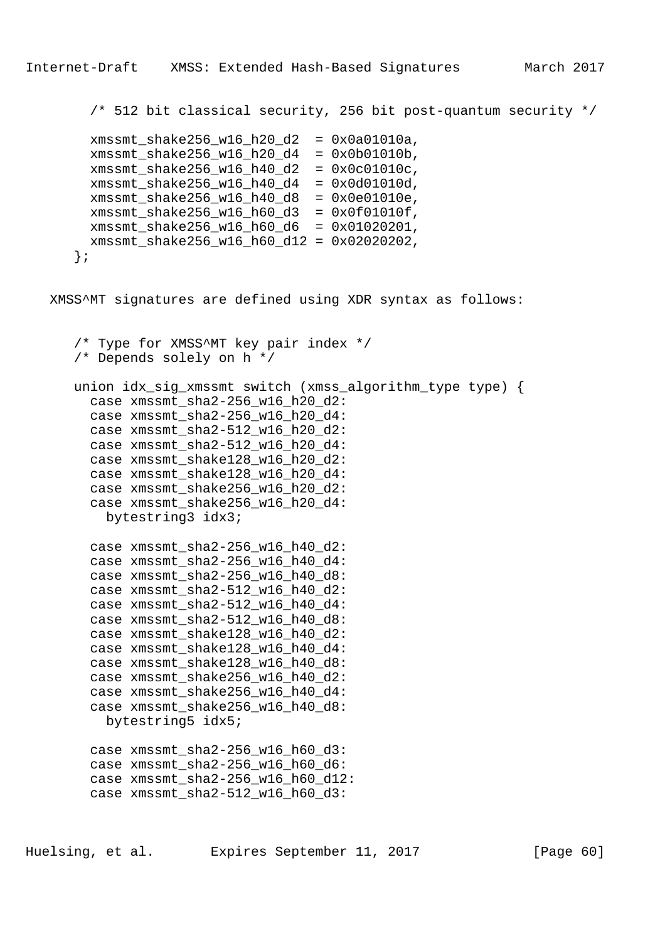/\* 512 bit classical security, 256 bit post-quantum security \*/

| xmssmt_shake256_w16_h20_d2  | $= 0x0a01010a,$  |
|-----------------------------|------------------|
| xmssmt_shake256_w16_h20_d4  | $= 0x0b01010b,$  |
| xmssmt_shake256_w16_h40_d2  | $= 0x0c01010c$ , |
| xmssmt_shake256_w16_h40_d4  | $= 0x0d01010d,$  |
| xmssmt shake256 w16 h40 d8  | $= 0x0e01010e,$  |
| xmssmt_shake256_w16_h60_d3  | $= 0x0f01010f$ , |
| xmssmt_shake256_w16_h60_d6  | $= 0x01020201,$  |
| xmssmt_shake256_w16_h60_d12 | $= 0x02020202$   |
|                             |                  |

XMSS^MT signatures are defined using XDR syntax as follows:

```
 /* Type for XMSS^MT key pair index */
 /* Depends solely on h */
 union idx_sig_xmssmt switch (xmss_algorithm_type type) {
   case xmssmt_sha2-256_w16_h20_d2:
  case xmssmt sha2-256 w16 h20 d4:
  case xmssmt_sha2-512_w16_h20_d2:
   case xmssmt_sha2-512_w16_h20_d4:
   case xmssmt_shake128_w16_h20_d2:
   case xmssmt_shake128_w16_h20_d4:
   case xmssmt_shake256_w16_h20_d2:
   case xmssmt_shake256_w16_h20_d4:
    bytestring3 idx3;
  case xmssmt sha2-256 w16 h40 d2:
   case xmssmt_sha2-256_w16_h40_d4:
   case xmssmt_sha2-256_w16_h40_d8:
   case xmssmt_sha2-512_w16_h40_d2:
   case xmssmt_sha2-512_w16_h40_d4:
   case xmssmt_sha2-512_w16_h40_d8:
   case xmssmt_shake128_w16_h40_d2:
   case xmssmt_shake128_w16_h40_d4:
   case xmssmt_shake128_w16_h40_d8:
   case xmssmt_shake256_w16_h40_d2:
   case xmssmt_shake256_w16_h40_d4:
  case xmssmt shake256 w16 h40 d8:
     bytestring5 idx5;
   case xmssmt_sha2-256_w16_h60_d3:
  case xmssmt sha2-256 w16 h60 d6:
   case xmssmt_sha2-256_w16_h60_d12:
  case xmssmt sha2-512 w16 h60 d3:
```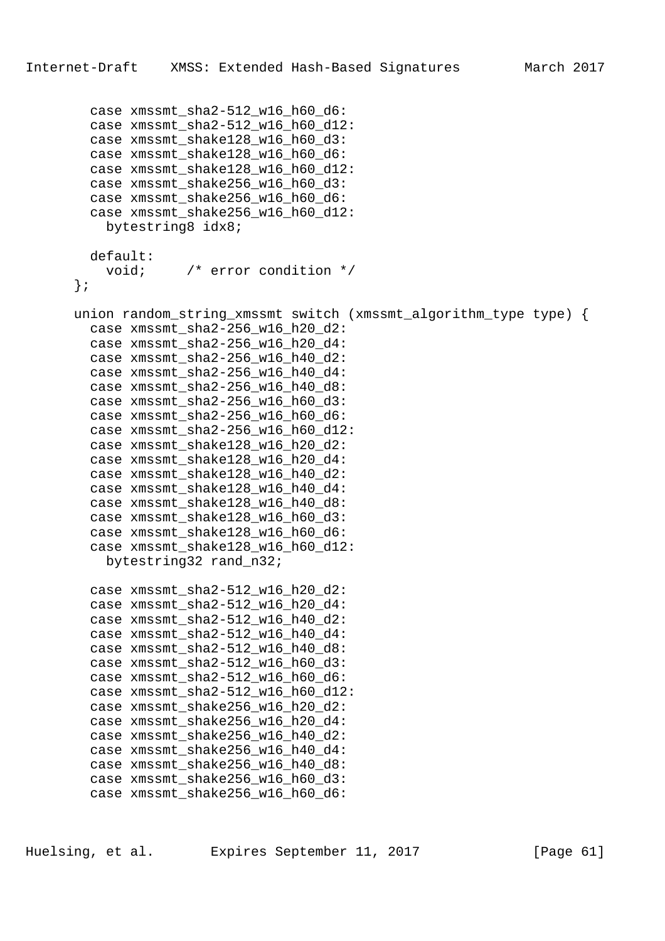case xmssmt sha2-512 w16 h60 d6:

```
 case xmssmt_sha2-512_w16_h60_d12:
   case xmssmt_shake128_w16_h60_d3:
  case xmssmt shake128 w16 h60 d6:
   case xmssmt_shake128_w16_h60_d12:
   case xmssmt_shake256_w16_h60_d3:
   case xmssmt_shake256_w16_h60_d6:
   case xmssmt_shake256_w16_h60_d12:
    bytestring8 idx8;
  default:
     void; /* error condition */
 };
 union random_string_xmssmt switch (xmssmt_algorithm_type type) {
  case xmssmt sha2-256 w16 h20 d2:
   case xmssmt_sha2-256_w16_h20_d4:
   case xmssmt_sha2-256_w16_h40_d2:
  case xmssmt sha2-256 w16 h40 d4:
  case xmssmt sha2-256 w16 h40 d8:
   case xmssmt_sha2-256_w16_h60_d3:
  case xmssmt sha2-256 w16 h60 d6:
   case xmssmt_sha2-256_w16_h60_d12:
   case xmssmt_shake128_w16_h20_d2:
   case xmssmt_shake128_w16_h20_d4:
   case xmssmt_shake128_w16_h40_d2:
   case xmssmt_shake128_w16_h40_d4:
   case xmssmt_shake128_w16_h40_d8:
   case xmssmt_shake128_w16_h60_d3:
  case xmssmt shake128 w16 h60 d6:
  case xmssmt shake128 w16 h60 d12:
    bytestring32 rand_n32;
   case xmssmt_sha2-512_w16_h20_d2:
   case xmssmt_sha2-512_w16_h20_d4:
   case xmssmt_sha2-512_w16_h40_d2:
   case xmssmt_sha2-512_w16_h40_d4:
  case xmssmt sha2-512 w16 h40 d8:
   case xmssmt_sha2-512_w16_h60_d3:
   case xmssmt_sha2-512_w16_h60_d6:
  case xmssmt sha2-512 w16 h60 d12:
  case xmssmt shake256 w16 h20 d2:
   case xmssmt_shake256_w16_h20_d4:
   case xmssmt_shake256_w16_h40_d2:
   case xmssmt_shake256_w16_h40_d4:
  case xmssmt shake256 w16 h40 d8:
   case xmssmt_shake256_w16_h60_d3:
  case xmssmt shake256 w16 h60 d6:
```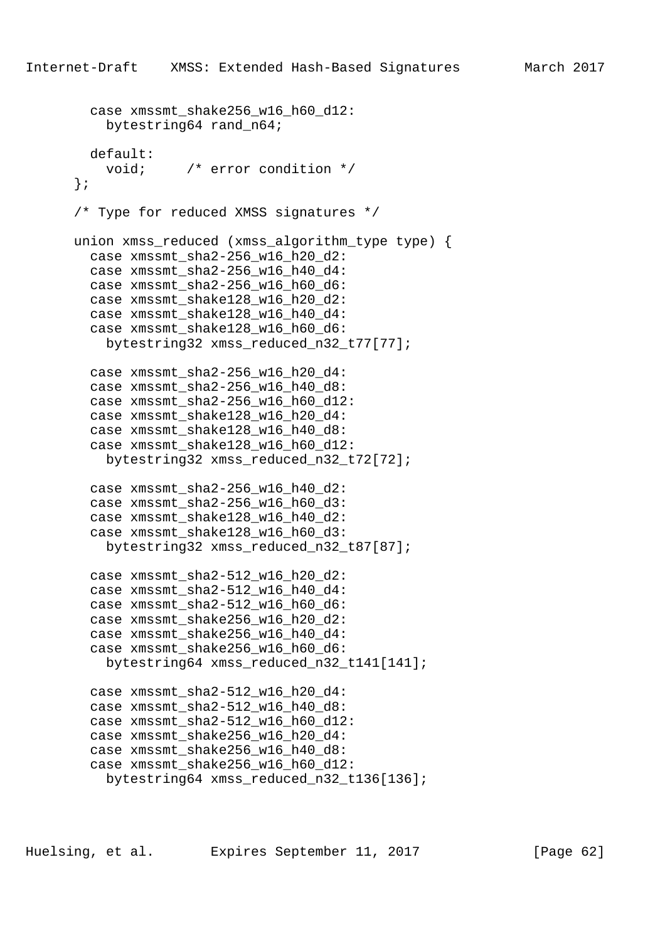```
case xmssmt shake256 w16 h60 d12:
     bytestring64 rand_n64;
  default:
     void; /* error condition */
 };
 /* Type for reduced XMSS signatures */
union xmss reduced (xmss algorithm type type) {
   case xmssmt_sha2-256_w16_h20_d2:
   case xmssmt_sha2-256_w16_h40_d4:
  case xmssmt sha2-256 w16 h60 d6:
   case xmssmt_shake128_w16_h20_d2:
   case xmssmt_shake128_w16_h40_d4:
  case xmssmt shake128 w16 h60 d6:
     bytestring32 xmss_reduced_n32_t77[77];
  case xmssmt sha2-256 w16 h20 d4:
  case xmssmt sha2-256 w16 h40 d8:
   case xmssmt_sha2-256_w16_h60_d12:
  case xmssmt shake128 w16 h20 d4:
   case xmssmt_shake128_w16_h40_d8:
   case xmssmt_shake128_w16_h60_d12:
     bytestring32 xmss_reduced_n32_t72[72];
   case xmssmt_sha2-256_w16_h40_d2:
   case xmssmt_sha2-256_w16_h60_d3:
   case xmssmt_shake128_w16_h40_d2:
  case xmssmt shake128 w16 h60 d3:
     bytestring32 xmss_reduced_n32_t87[87];
   case xmssmt_sha2-512_w16_h20_d2:
   case xmssmt_sha2-512_w16_h40_d4:
   case xmssmt_sha2-512_w16_h60_d6:
   case xmssmt_shake256_w16_h20_d2:
   case xmssmt_shake256_w16_h40_d4:
  case xmssmt shake256 w16 h60 d6:
     bytestring64 xmss_reduced_n32_t141[141];
   case xmssmt_sha2-512_w16_h20_d4:
  case xmssmt sha2-512 w16 h40 d8:
   case xmssmt_sha2-512_w16_h60_d12:
   case xmssmt_shake256_w16_h20_d4:
   case xmssmt_shake256_w16_h40_d8:
  case xmssmt shake256 w16 h60 d12:
     bytestring64 xmss_reduced_n32_t136[136];
```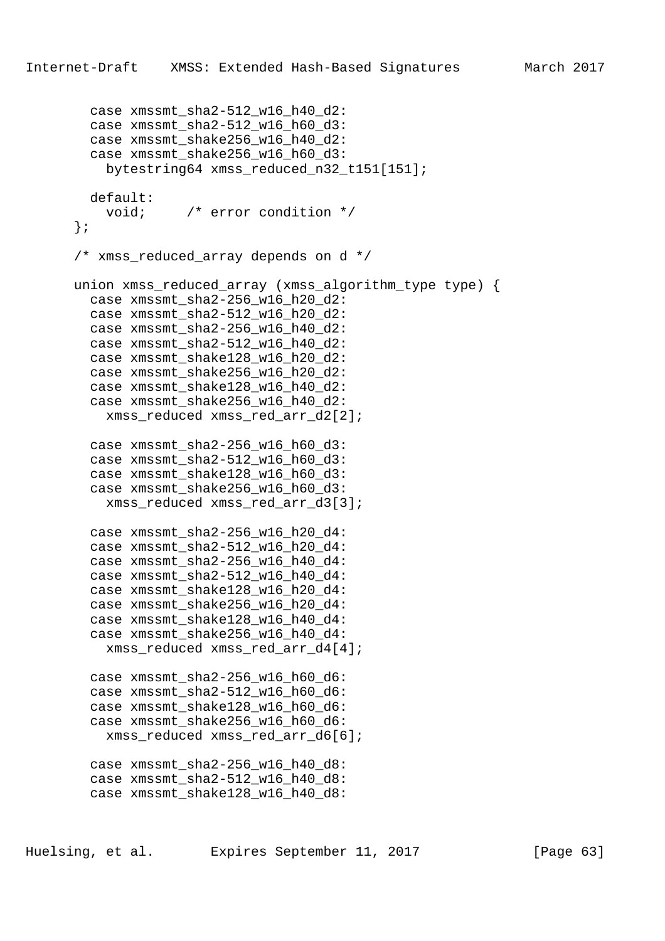```
case xmssmt sha2-512 w16 h40 d2:
   case xmssmt_sha2-512_w16_h60_d3:
   case xmssmt_shake256_w16_h40_d2:
  case xmssmt shake256 w16 h60 d3:
     bytestring64 xmss_reduced_n32_t151[151];
  default:
     void; /* error condition */
 };
 /* xmss_reduced_array depends on d */
 union xmss_reduced_array (xmss_algorithm_type type) {
  case xmssmt sha2-256 w16 h20 d2:
   case xmssmt_sha2-512_w16_h20_d2:
  case xmssmt sha2-256 w16 h40 d2:
   case xmssmt_sha2-512_w16_h40_d2:
   case xmssmt_shake128_w16_h20_d2:
  case xmssmt shake256 w16 h20 d2:
   case xmssmt_shake128_w16_h40_d2:
   case xmssmt_shake256_w16_h40_d2:
    xmss reduced xmss red arr d2[2];
   case xmssmt_sha2-256_w16_h60_d3:
   case xmssmt_sha2-512_w16_h60_d3:
   case xmssmt_shake128_w16_h60_d3:
   case xmssmt_shake256_w16_h60_d3:
     xmss_reduced xmss_red_arr_d3[3];
  case xmssmt sha2-256 w16 h20 d4:
  case xmssmt sha2-512 w16 h20 d4:
  case xmssmt sha2-256 w16 h40 d4:
   case xmssmt_sha2-512_w16_h40_d4:
   case xmssmt_shake128_w16_h20_d4:
   case xmssmt_shake256_w16_h20_d4:
   case xmssmt_shake128_w16_h40_d4:
   case xmssmt_shake256_w16_h40_d4:
     xmss_reduced xmss_red_arr_d4[4];
   case xmssmt_sha2-256_w16_h60_d6:
  case xmssmt sha2-512 w16 h60 d6:
  case xmssmt shake128 w16 h60 d6:
   case xmssmt_shake256_w16_h60_d6:
     xmss_reduced xmss_red_arr_d6[6];
   case xmssmt_sha2-256_w16_h40_d8:
   case xmssmt_sha2-512_w16_h40_d8:
  case xmssmt shake128 w16 h40 d8:
```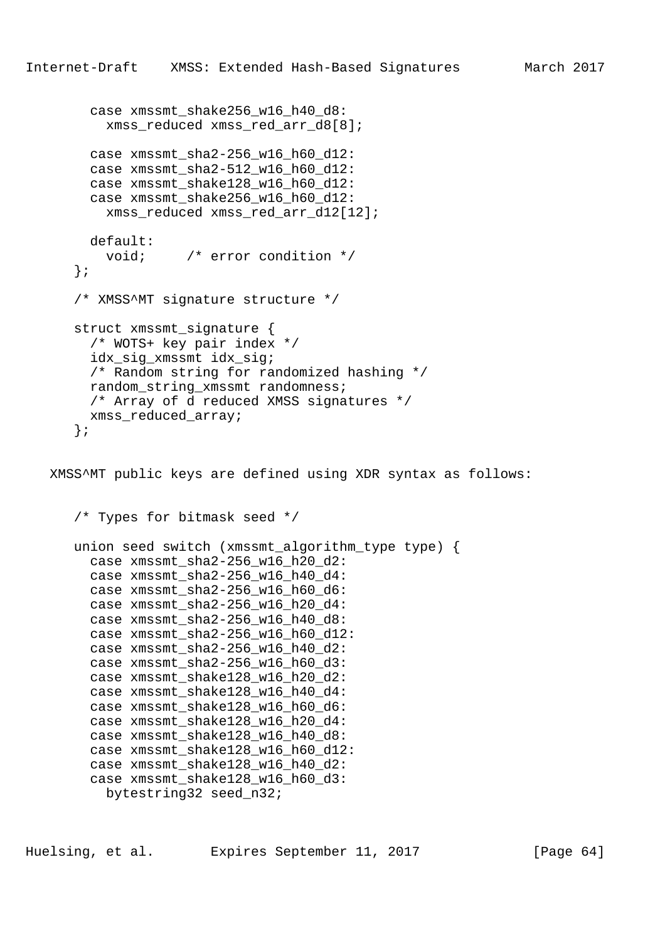```
case xmssmt shake256 w16 h40 d8:
     xmss_reduced xmss_red_arr_d8[8];
  case xmssmt sha2-256 w16 h60 d12:
   case xmssmt_sha2-512_w16_h60_d12:
   case xmssmt_shake128_w16_h60_d12:
   case xmssmt_shake256_w16_h60_d12:
     xmss_reduced xmss_red_arr_d12[12];
  default:
     void; /* error condition */
 };
 /* XMSS^MT signature structure */
struct xmssmt signature {
   /* WOTS+ key pair index */
   idx_sig_xmssmt idx_sig;
   /* Random string for randomized hashing */
  random_string_xmssmt randomness;
  /* Array of d reduced XMSS signatures */
 xmss reduced array;
 };
```
XMSS^MT public keys are defined using XDR syntax as follows:

```
 /* Types for bitmask seed */
 union seed switch (xmssmt_algorithm_type type) {
  case xmssmt_sha2-256_w16_h20_d2:
   case xmssmt_sha2-256_w16_h40_d4:
  case xmssmt_sha2-256_w16_h60_d6:
   case xmssmt_sha2-256_w16_h20_d4:
   case xmssmt_sha2-256_w16_h40_d8:
   case xmssmt_sha2-256_w16_h60_d12:
  case xmssmt sha2-256 w16 h40 d2:
   case xmssmt_sha2-256_w16_h60_d3:
   case xmssmt_shake128_w16_h20_d2:
  case xmssmt shake128 w16 h40 d4:
  case xmssmt shake128 w16 h60 d6:
   case xmssmt_shake128_w16_h20_d4:
   case xmssmt_shake128_w16_h40_d8:
   case xmssmt_shake128_w16_h60_d12:
  case xmssmt shake128 w16 h40 d2:
   case xmssmt_shake128_w16_h60_d3:
    bytestring32 seed_n32;
```
Huelsing, et al. Expires September 11, 2017 [Page 64]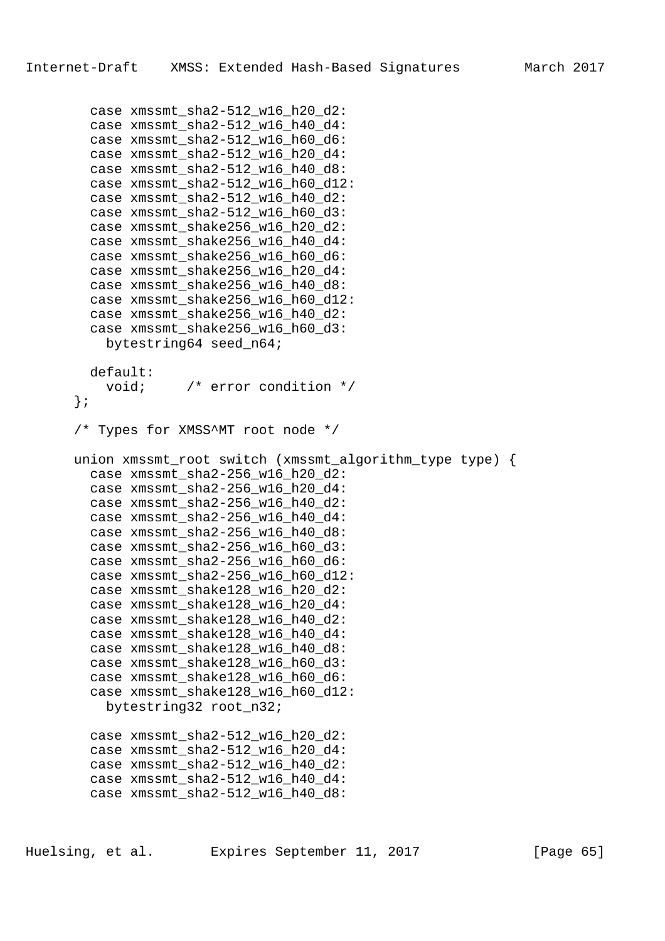case xmssmt sha2-512 w16 h20 d2:

```
 case xmssmt_sha2-512_w16_h40_d4:
   case xmssmt_sha2-512_w16_h60_d6:
  case xmssmt sha2-512 w16 h20 d4:
   case xmssmt_sha2-512_w16_h40_d8:
   case xmssmt_sha2-512_w16_h60_d12:
   case xmssmt_sha2-512_w16_h40_d2:
   case xmssmt_sha2-512_w16_h60_d3:
  case xmssmt shake256 w16 h20 d2:
  case xmssmt shake256 w16 h40 d4:
  case xmssmt shake256 w16 h60 d6:
   case xmssmt_shake256_w16_h20_d4:
  case xmssmt shake256 w16 h40 d8:
  case xmssmt shake256 w16 h60 d12:
   case xmssmt_shake256_w16_h40_d2:
  case xmssmt shake256 w16 h60 d3:
     bytestring64 seed_n64;
  default:
    void; /* error condition */
 };
 /* Types for XMSS^MT root node */
 union xmssmt_root switch (xmssmt_algorithm_type type) {
  case xmssmt_sha2-256_w16_h20_d2:
   case xmssmt_sha2-256_w16_h20_d4:
   case xmssmt_sha2-256_w16_h40_d2:
   case xmssmt_sha2-256_w16_h40_d4:
   case xmssmt_sha2-256_w16_h40_d8:
   case xmssmt_sha2-256_w16_h60_d3:
  case xmssmt sha2-256 w16 h60 d6:
   case xmssmt_sha2-256_w16_h60_d12:
   case xmssmt_shake128_w16_h20_d2:
   case xmssmt_shake128_w16_h20_d4:
   case xmssmt_shake128_w16_h40_d2:
   case xmssmt_shake128_w16_h40_d4:
  case xmssmt shake128 w16 h40 d8:
   case xmssmt_shake128_w16_h60_d3:
   case xmssmt_shake128_w16_h60_d6:
  case xmssmt shake128 w16 h60 d12:
    bytestring32 root_n32;
   case xmssmt_sha2-512_w16_h20_d2:
   case xmssmt_sha2-512_w16_h20_d4:
  case xmssmt sha2-512 w16 h40 d2:
   case xmssmt_sha2-512_w16_h40_d4:
  case xmssmt sha2-512 w16 h40 d8:
```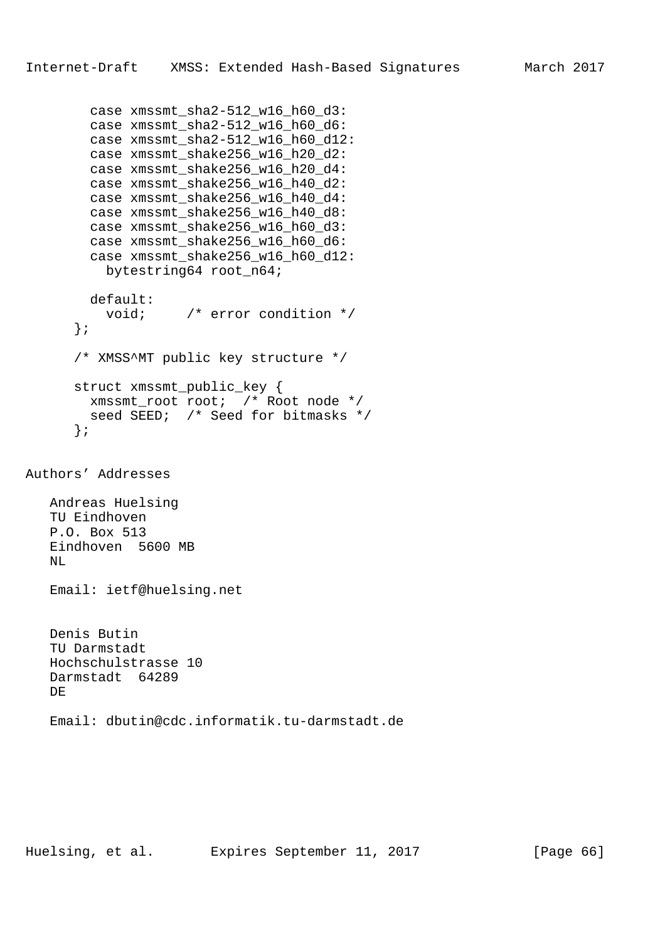```
case xmssmt sha2-512 w16 h60 d3:
         case xmssmt_sha2-512_w16_h60_d6:
         case xmssmt_sha2-512_w16_h60_d12:
        case xmssmt shake256 w16 h20 d2:
         case xmssmt_shake256_w16_h20_d4:
         case xmssmt_shake256_w16_h40_d2:
         case xmssmt_shake256_w16_h40_d4:
         case xmssmt_shake256_w16_h40_d8:
         case xmssmt_shake256_w16_h60_d3:
        case xmssmt shake256 w16 h60 d6:
         case xmssmt_shake256_w16_h60_d12:
           bytestring64 root_n64;
         default:
           void; /* error condition */
       };
       /* XMSS^MT public key structure */
       struct xmssmt_public_key {
        xmssmt_root root; /* Root node */
        seed SEED; /* Seed for bitmasks */
       };
Authors' Addresses
    Andreas Huelsing
    TU Eindhoven
    P.O. Box 513
    Eindhoven 5600 MB
   NT.
    Email: ietf@huelsing.net
    Denis Butin
```
 TU Darmstadt Hochschulstrasse 10 Darmstadt 64289 DE Email: dbutin@cdc.informatik.tu-darmstadt.de

Huelsing, et al. Expires September 11, 2017 [Page 66]